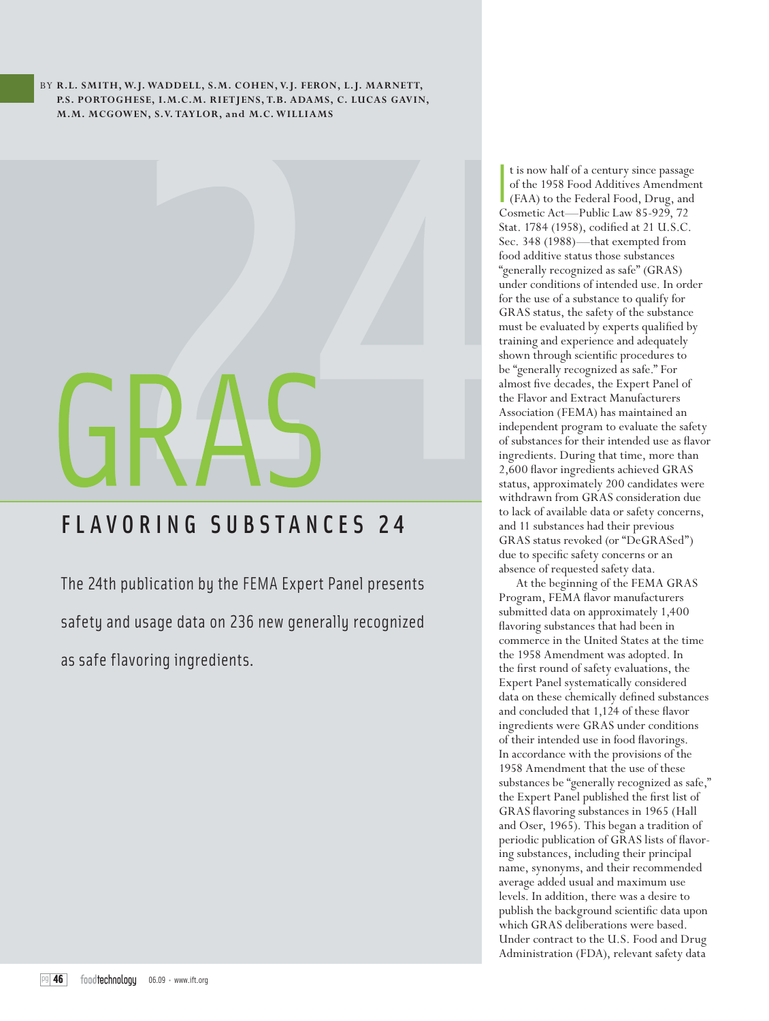BY **R.L. SMITH, W.J. WADDELL, S.M. COHEN, V.J. FERON, L.J. MARNETT, P.S. PORTOGHESE, I.M.C.M. RIETJENS, T.B. ADAMS, C. LUCAS GAVIN, M.M. MCGOWEN, S.V. TAYLOR, and M.C. WILLIAMS**

# FLAVORING SUBSTANCES 24

The 24th publication by the FEMA Expert Panel presents

safety and usage data on 236 new generally recognized

as safe flavoring ingredients.

 I t is now half of a century since passage of the 1958 Food Additives Amendment (FAA) to the Federal Food, Drug, and Cosmetic Act—Public Law 85-929, 72 Stat. 1784 (1958), codified at 21 U.S.C. Sec. 348 (1988)—that exempted from food additive status those substances "generally recognized as safe" (GRAS) under conditions of intended use. In order for the use of a substance to qualify for GRAS status, the safety of the substance must be evaluated by experts qualified by training and experience and adequately shown through scientific procedures to be "generally recognized as safe." For almost five decades, the Expert Panel of the Flavor and Extract Manufacturers Association (FEMA) has maintained an independent program to evaluate the safety of substances for their intended use as flavor ingredients. During that time, more than 2,600 flavor ingredients achieved GRAS status, approximately 200 candidates were withdrawn from GRAS consideration due to lack of available data or safety concerns, and 11 substances had their previous GRAS status revoked (or "DeGRASed") due to specific safety concerns or an absence of requested safety data.

At the beginning of the FEMA GRAS Program, FEMA flavor manufacturers submitted data on approximately 1,400 flavoring substances that had been in commerce in the United States at the time the 1958 Amendment was adopted. In the first round of safety evaluations, the Expert Panel systematically considered data on these chemically defined substances and concluded that 1,124 of these flavor ingredients were GRAS under conditions of their intended use in food flavorings. In accordance with the provisions of the 1958 Amendment that the use of these substances be "generally recognized as safe," the Expert Panel published the first list of GRAS flavoring substances in 1965 (Hall and Oser, 1965). This began a tradition of periodic publication of GRAS lists of flavoring substances, including their principal name, synonyms, and their recommended average added usual and maximum use levels. In addition, there was a desire to publish the background scientific data upon which GRAS deliberations were based. Under contract to the U.S. Food and Drug Administration (FDA), relevant safety data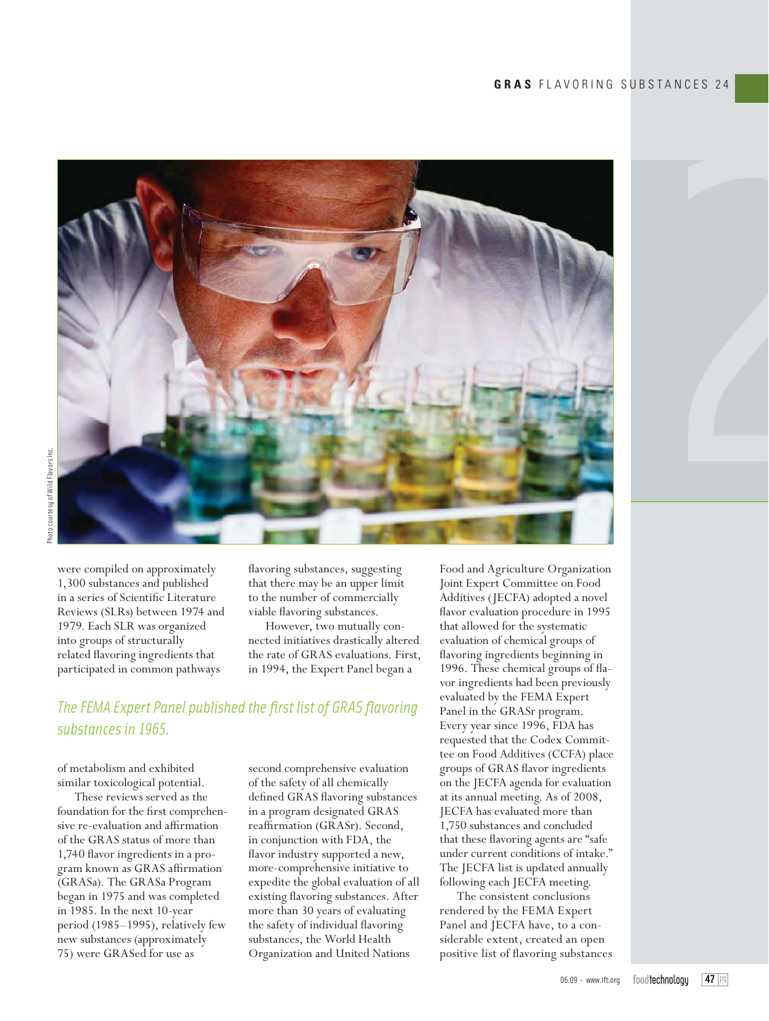

were compiled on approximately 1,300 substances and published in a series of Scientific Literature Reviews (SLRs) between 1974 and 1979. Each SLR was organized into groups of structurally related flavoring ingredients that participated in common pathways

flavoring substances, suggesting that there may be an upper limit to the number of commercially viable flavoring substances.

However, two mutually connected initiatives drastically altered the rate of GRAS evaluations. First, in 1994, the Expert Panel began a

# *The FEMA Expert Panel published the first list of GRAS flavoring substances in 1965.*

of metabolism and exhibited similar toxicological potential.

These reviews served as the foundation for the first comprehensive re-evaluation and affirmation of the GRAS status of more than 1,740 flavor ingredients in a program known as GRAS affirmation (GRASa). The GRASa Program began in 1975 and was completed in 1985. In the next 10-year period (1985–1995), relatively few new substances (approximately 75) were GRASed for use as

second comprehensive evaluation of the safety of all chemically defined GRAS flavoring substances in a program designated GRAS reaffirmation (GRASr). Second, in conjunction with FDA, the flavor industry supported a new, more-comprehensive initiative to expedite the global evaluation of all existing flavoring substances. After more than 30 years of evaluating the safety of individual flavoring substances, the World Health Organization and United Nations

Food and Agriculture Organization Joint Expert Committee on Food Additives (JECFA) adopted a novel flavor evaluation procedure in 1995 that allowed for the systematic evaluation of chemical groups of flavoring ingredients beginning in 1996. These chemical groups of flavor ingredients had been previously evaluated by the FEMA Expert Panel in the GRASr program. Every year since 1996, FDA has requested that the Codex Committee on Food Additives (CCFA) place groups of GRAS flavor ingredients on the JECFA agenda for evaluation at its annual meeting. As of 2008, JECFA has evaluated more than 1,750 substances and concluded that these flavoring agents are "safe under current conditions of intake." The JECFA list is updated annually following each JECFA meeting.

The consistent conclusions rendered by the FEMA Expert Panel and JECFA have, to a considerable extent, created an open positive list of flavoring substances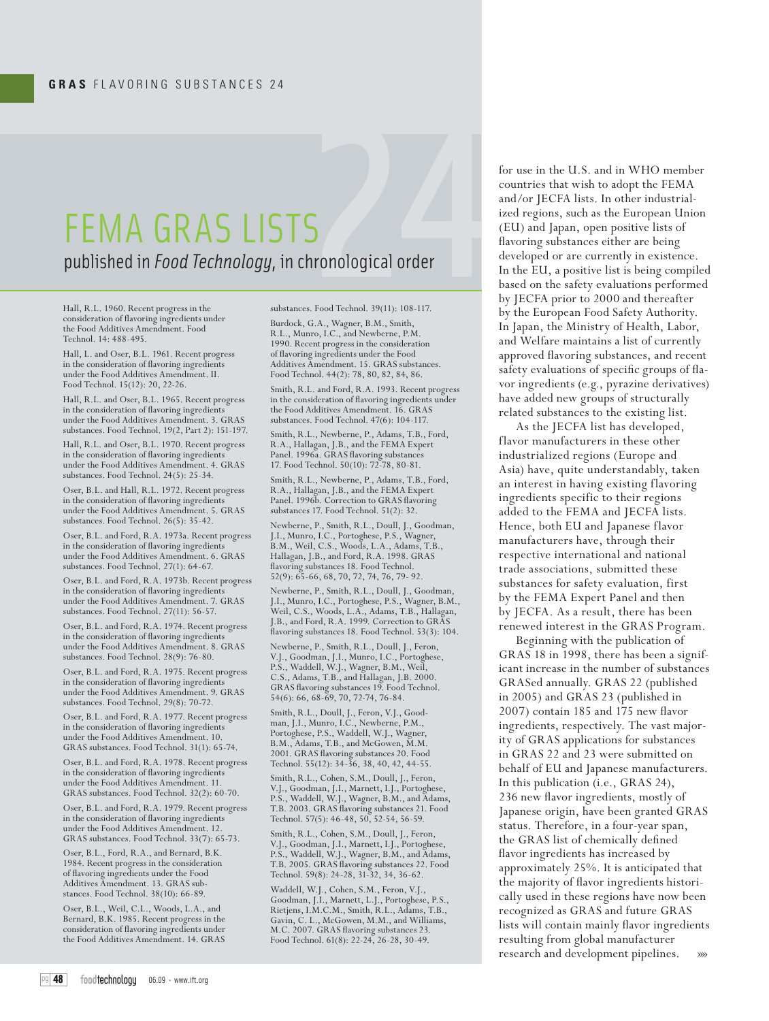# FEMA GRAS LISTS published in *Food Technology*, in chronological order

Hall, R.L. 1960. Recent progress in the consideration of flavoring ingredients under the Food Additives Amendment. Food Technol. 14: 488-495.

Hall, L. and Oser, B.L. 1961. Recent progress in the consideration of flavoring ingredients under the Food Additives Amendment. II. Food Technol. 15(12): 20, 22-26.

Hall, R.L. and Oser, B.L. 1965. Recent progress in the consideration of flavoring ingredients under the Food Additives Amendment. 3. GRAS substances. Food Technol. 19(2, Part 2): 151-197.

Hall, R.L. and Oser, B.L. 1970. Recent progress in the consideration of flavoring ingredients under the Food Additives Amendment. 4. GRAS substances. Food Technol. 24(5): 25-34.

Oser, B.L. and Hall, R.L. 1972. Recent progress in the consideration of flavoring ingredients under the Food Additives Amendment. 5. GRAS substances. Food Technol. 26(5): 35-42.

Oser, B.L. and Ford, R.A. 1973a. Recent progress in the consideration of flavoring ingredients under the Food Additives Amendment. 6. GRAS substances. Food Technol. 27(1): 64-67.

Oser, B.L. and Ford, R.A. 1973b. Recent progress in the consideration of flavoring ingredient under the Food Additives Amendment. 7. GRAS substances. Food Technol. 27(11): 56-57.

Oser, B.L. and Ford, R.A. 1974. Recent progress in the consideration of flavoring ingredients under the Food Additives Amendment. 8. GRAS substances. Food Technol. 28(9): 76-80.

Oser, B.L. and Ford, R.A. 1975. Recent progress in the consideration of flavoring ingredients under the Food Additives Amendment. 9. GRAS substances. Food Technol. 29(8): 70-72.

Oser, B.L. and Ford, R.A. 1977. Recent progress in the consideration of flavoring ingredients under the Food Additives Amendment. 10. GRAS substances. Food Technol. 31(1): 65-74.

Oser, B.L. and Ford, R.A. 1978. Recent progress in the consideration of flavoring ingredients under the Food Additives Amendment. 11. GRAS substances. Food Technol. 32(2): 60-70.

Oser, B.L. and Ford, R.A. 1979. Recent progress in the consideration of flavoring ingredients  $% \mathcal{N}$ under the Food Additives Amendment. 12. GRAS substances. Food Technol. 33(7): 65-73.

Oser, B.L., Ford, R.A., and Bernard, B.K. 1984. Recent progress in the consideration of flavoring ingredients under the Food Additives Amendment. 13. GRAS substances. Food Technol. 38(10): 66-89.

Oser, B.L., Weil, C.L., Woods, L.A., and Bernard, B.K. 1985. Recent progress in the consideration of flavoring ingredients under the Food Additives Amendment. 14. GRAS

substances. Food Technol. 39(11): 108-117.

Burdock, G.A., Wagner, B.M., Smith, R.L., Munro, I.C., and Newberne, P.M. 1990. Recent progress in the consideration of flavoring ingredients under the Food Additives Amendment. 15. GRAS substances. Food Technol. 44(2): 78, 80, 82, 84, 86.

Smith, R.L. and Ford, R.A. 1993. Recent progress in the consideration of flavoring ingredients under the Food Additives Amendment. 16. GRAS substances. Food Technol. 47(6): 104-117.

Smith, R.L., Newberne, P., Adams, T.B., Ford, R.A., Hallagan, J.B., and the FEMA Expert Panel. 1996a. GRAS flavoring substances 17. Food Technol. 50(10): 72-78, 80-81.

Smith, R.L., Newberne, P., Adams, T.B., Ford, R.A., Hallagan, J.B., and the FEMA Expert Panel. 1996b. Correction to GRAS flavoring substances 17. Food Technol. 51(2): 32.

Newberne, P., Smith, R.L., Doull, J., Goodman, J.I., Munro, I.C., Portoghese, P.S., Wagner, B.M., Weil, C.S., Woods, L.A., Adams, T.B., Hallagan, J.B., and Ford, R.A. 1998. GRAS flavoring substances 18. Food Technol. 52(9): 65-66, 68, 70, 72, 74, 76, 79- 92.

Newberne, P., Smith, R.L., Doull, J., Goodman, J.I., Munro, I.C., Portoghese, P.S., Wagner, B.M., Weil, C.S., Woods, L.A., Adams, T.B., Hallagan, J.B., and Ford, R.A. 1999. Correction to GRAS flavoring substances 18. Food Technol. 53(3): 104.

Newberne, P., Smith, R.L., Doull, J., Feron, V.J., Goodman, J.I., Munro, I.C., Portoghese, P.S., Waddell, W.J., Wagner, B.M., Weil, C.S., Adams, T.B., and Hallagan, J.B. 2000. GRAS flavoring substances 19. Food Technol. 54(6): 66, 68-69, 70, 72-74, 76-84.

Smith, R.L., Doull, J., Feron, V.J., Goodman, J.I., Munro, I.C., Newberne, P.M., Portoghese, P.S., Waddell, W.J., Wagner, B.M., Adams, T.B., and McGowen, M.M. 2001. GRAS flavoring substances 20. Food Technol. 55(12): 34-36, 38, 40, 42, 44-55.

Smith, R.L., Cohen, S.M., Doull, J., Feron, V.J., Goodman, J.I., Marnett, I.J., Portoghese, P.S., Waddell, W.J., Wagner, B.M., and Adams, T.B. 2003. GRAS flavoring substances 21. Food Technol. 57(5): 46-48, 50, 52-54, 56-59.

Smith, R.L., Cohen, S.M., Doull, J., Feron, V.J., Goodman, J.I., Marnett, I.J., Portoghese, P.S., Waddell, W.J., Wagner, B.M., and Adams, T.B. 2005. GRAS flavoring substances 22. Food Technol. 59(8): 24-28, 31-32, 34, 36-62.

Waddell, W.J., Cohen, S.M., Feron, V.J., Goodman, J.I., Marnett, L.J., Portoghese, P.S., Rietjens, I.M.C.M., Smith, R.L., Adams, T.B., Gavin, C. L., McGowen, M.M., and Williams, M.C. 2007. GRAS flavoring substances 23. Food Technol. 61(8): 22-24, 26-28, 30-49.

for use in the U.S. and in WHO member countries that wish to adopt the FEMA and/or JECFA lists. In other industrialized regions, such as the European Union (EU) and Japan, open positive lists of flavoring substances either are being developed or are currently in existence. In the EU, a positive list is being compiled based on the safety evaluations performed by JECFA prior to 2000 and thereafter by the European Food Safety Authority. In Japan, the Ministry of Health, Labor, and Welfare maintains a list of currently approved flavoring substances, and recent safety evaluations of specific groups of flavor ingredients (e.g., pyrazine derivatives) have added new groups of structurally related substances to the existing list.

As the JECFA list has developed, flavor manufacturers in these other industrialized regions (Europe and Asia) have, quite understandably, taken an interest in having existing flavoring ingredients specific to their regions added to the FEMA and JECFA lists. Hence, both EU and Japanese flavor manufacturers have, through their respective international and national trade associations, submitted these substances for safety evaluation, first by the FEMA Expert Panel and then by JECFA. As a result, there has been renewed interest in the GRAS Program.

Beginning with the publication of GRAS 18 in 1998, there has been a significant increase in the number of substances GRASed annually. GRAS 22 (published in 2005) and GRAS 23 (published in 2007) contain 185 and 175 new flavor ingredients, respectively. The vast majority of GRAS applications for substances in GRAS 22 and 23 were submitted on behalf of EU and Japanese manufacturers. In this publication (i.e., GRAS 24), 236 new flavor ingredients, mostly of Japanese origin, have been granted GRAS status. Therefore, in a four-year span, the GRAS list of chemically defined flavor ingredients has increased by approximately 25%. It is anticipated that the majority of flavor ingredients historically used in these regions have now been recognized as GRAS and future GRAS lists will contain mainly flavor ingredients resulting from global manufacturer research and development pipelines. »»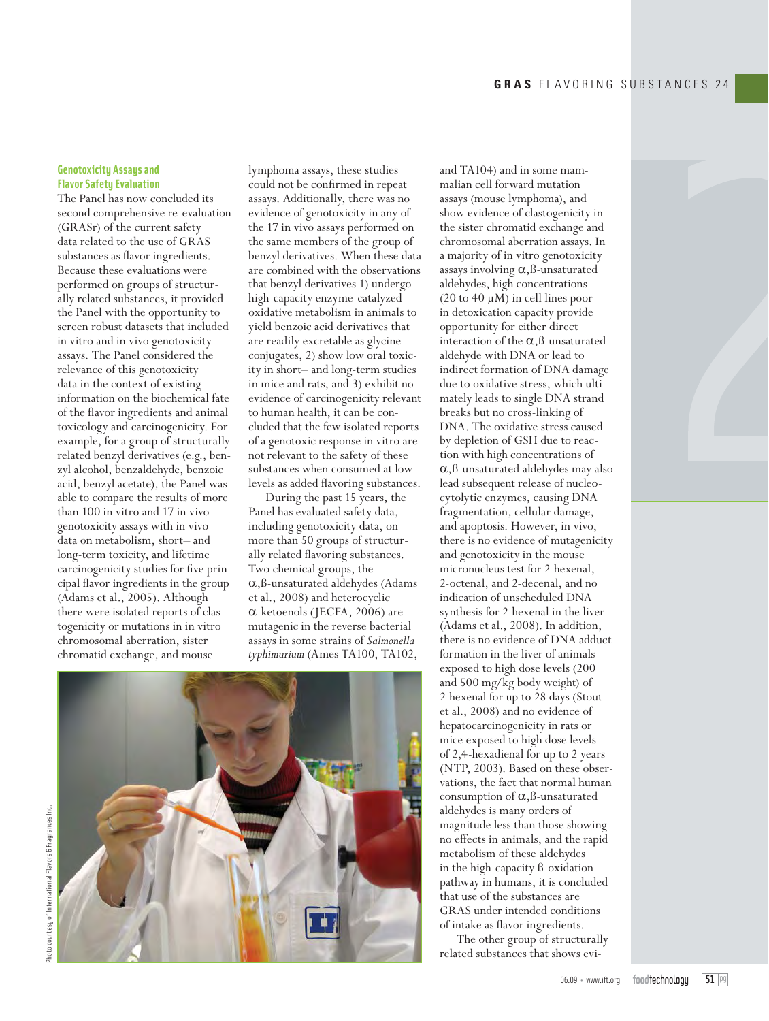### **Genotoxicity Assays and Flavor Safetu Evaluation**

The Panel has now concluded its second comprehensive re-evaluation (GRASr) of the current safety data related to the use of GRAS substances as flavor ingredients. Because these evaluations were performed on groups of structurally related substances, it provided the Panel with the opportunity to screen robust datasets that included in vitro and in vivo genotoxicity assays. The Panel considered the relevance of this genotoxicity data in the context of existing information on the biochemical fate of the flavor ingredients and animal toxicology and carcinogenicity. For example, for a group of structurally related benzyl derivatives (e.g., benzyl alcohol, benzaldehyde, benzoic acid, benzyl acetate), the Panel was able to compare the results of more than 100 in vitro and 17 in vivo genotoxicity assays with in vivo data on metabolism, short– and long-term toxicity, and lifetime carcinogenicity studies for five principal flavor ingredients in the group (Adams et al., 2005). Although there were isolated reports of clastogenicity or mutations in in vitro chromosomal aberration, sister chromatid exchange, and mouse

lymphoma assays, these studies could not be confirmed in repeat assays. Additionally, there was no evidence of genotoxicity in any of the 17 in vivo assays performed on the same members of the group of benzyl derivatives. When these data are combined with the observations that benzyl derivatives 1) undergo high-capacity enzyme-catalyzed oxidative metabolism in animals to yield benzoic acid derivatives that are readily excretable as glycine conjugates, 2) show low oral toxicity in short– and long-term studies in mice and rats, and 3) exhibit no evidence of carcinogenicity relevant to human health, it can be concluded that the few isolated reports of a genotoxic response in vitro are not relevant to the safety of these substances when consumed at low levels as added flavoring substances.

During the past 15 years, the Panel has evaluated safety data, including genotoxicity data, on more than 50 groups of structurally related flavoring substances. Two chemical groups, the  $\alpha$ , ß-unsaturated aldehydes (Adams et al., 2008) and heterocyclic  $\alpha$ -ketoenols (JECFA, 2006) are mutagenic in the reverse bacterial assays in some strains of *Salmonella typhimurium* (Ames TA100, TA102,

and TA104) and in some mammalian cell forward mutation assays (mouse lymphoma), and show evidence of clastogenicity in the sister chromatid exchange and chromosomal aberration assays. In a majority of in vitro genotoxicity assays involving  $\alpha$ ,  $\beta$ -unsaturated aldehydes, high concentrations (20 to 40  $\mu$ M) in cell lines poor in detoxication capacity provide opportunity for either direct interaction of the  $\alpha$ , ß-unsaturated aldehyde with DNA or lead to indirect formation of DNA damage due to oxidative stress, which ultimately leads to single DNA strand breaks but no cross-linking of DNA. The oxidative stress caused by depletion of GSH due to reaction with high concentrations of  $\alpha$ , ß-unsaturated aldehydes may also lead subsequent release of nucleocytolytic enzymes, causing DNA fragmentation, cellular damage, and apoptosis. However, in vivo, there is no evidence of mutagenicity and genotoxicity in the mouse micronucleus test for 2-hexenal, 2-octenal, and 2-decenal, and no indication of unscheduled DNA synthesis for 2-hexenal in the liver (Adams et al., 2008). In addition, there is no evidence of DNA adduct formation in the liver of animals exposed to high dose levels (200 and 500 mg/kg body weight) of 2-hexenal for up to 28 days (Stout et al., 2008) and no evidence of hepatocarcinogenicity in rats or mice exposed to high dose levels of 2,4-hexadienal for up to 2 years (NTP, 2003). Based on these observations, the fact that normal human consumption of  $\alpha$ , ß-unsaturated aldehydes is many orders of magnitude less than those showing no effects in animals, and the rapid metabolism of these aldehydes in the high-capacity ß-oxidation pathway in humans, it is concluded that use of the substances are GRAS under intended conditions of intake as flavor ingredients.

The other group of structurally related substances that shows evi-



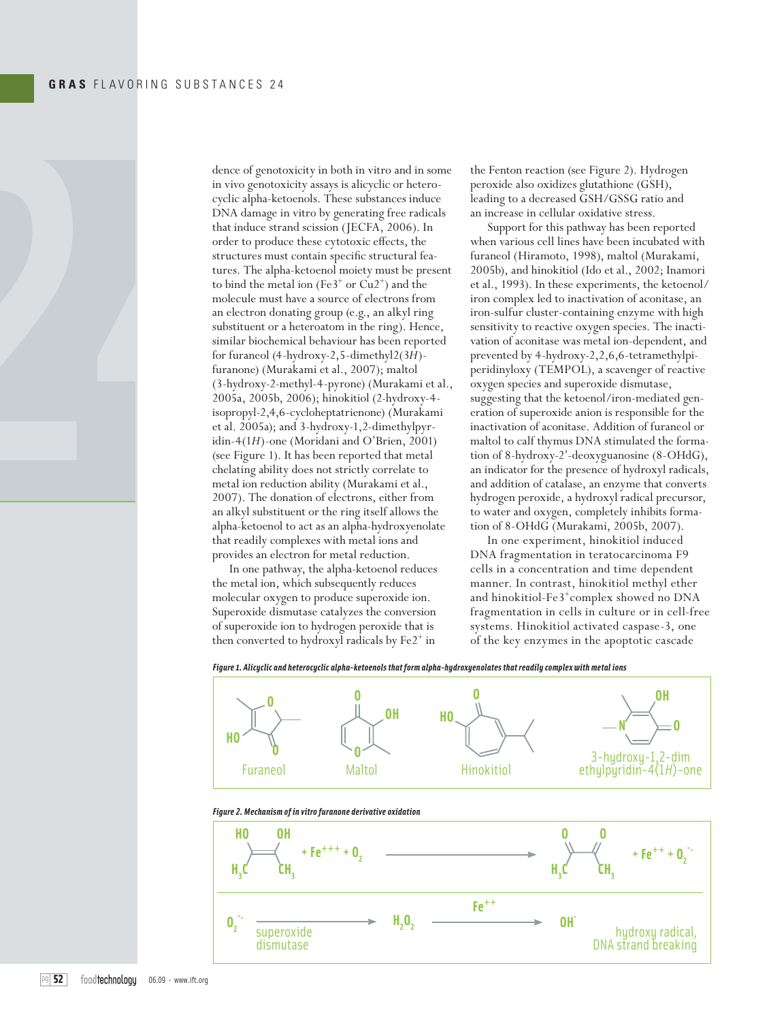

dence of genotoxicity in both in vitro and in some in vivo genotoxicity assays is alicyclic or heterocyclic alpha-ketoenols. These substances induce DNA damage in vitro by generating free radicals that induce strand scission (JECFA, 2006). In order to produce these cytotoxic effects, the structures must contain specific structural features. The alpha-ketoenol moiety must be present to bind the metal ion  $(Fe3^+$  or  $Cu2^+)$  and the molecule must have a source of electrons from an electron donating group (e.g., an alkyl ring substituent or a heteroatom in the ring). Hence, similar biochemical behaviour has been reported for furaneol (4-hydroxy-2,5-dimethyl2(3*H*) furanone) (Murakami et al., 2007); maltol (3-hydroxy-2-methyl-4-pyrone) (Murakami et al., 2005a, 2005b, 2006); hinokitiol (2-hydroxy-4 isopropyl-2,4,6-cycloheptatrienone) (Murakami et al. 2005a); and 3-hydroxy-1,2-dimethylpyridin-4(1*H*)-one (Moridani and O'Brien, 2001) (see Figure 1). It has been reported that metal chelating ability does not strictly correlate to metal ion reduction ability (Murakami et al., 2007). The donation of electrons, either from an alkyl substituent or the ring itself allows the alpha-ketoenol to act as an alpha-hydroxyenolate that readily complexes with metal ions and provides an electron for metal reduction.

In one pathway, the alpha-ketoenol reduces the metal ion, which subsequently reduces molecular oxygen to produce superoxide ion. Superoxide dismutase catalyzes the conversion of superoxide ion to hydrogen peroxide that is then converted to hydroxyl radicals by Fe2<sup>+</sup> in

the Fenton reaction (see Figure 2). Hydrogen peroxide also oxidizes glutathione (GSH), leading to a decreased GSH/GSSG ratio and an increase in cellular oxidative stress.

Support for this pathway has been reported when various cell lines have been incubated with furaneol (Hiramoto, 1998), maltol (Murakami, 2005b), and hinokitiol (Ido et al., 2002; Inamori et al., 1993). In these experiments, the ketoenol/ iron complex led to inactivation of aconitase, an iron-sulfur cluster-containing enzyme with high sensitivity to reactive oxygen species. The inactivation of aconitase was metal ion-dependent, and prevented by 4-hydroxy-2,2,6,6-tetramethylpiperidinyloxy (TEMPOL), a scavenger of reactive oxygen species and superoxide dismutase, suggesting that the ketoenol/iron-mediated generation of superoxide anion is responsible for the inactivation of aconitase. Addition of furaneol or maltol to calf thymus DNA stimulated the formation of 8-hydroxy-2'-deoxyguanosine (8-OHdG), an indicator for the presence of hydroxyl radicals, and addition of catalase, an enzyme that converts hydrogen peroxide, a hydroxyl radical precursor, to water and oxygen, completely inhibits formation of 8-OHdG (Murakami, 2005b, 2007).

In one experiment, hinokitiol induced DNA fragmentation in teratocarcinoma F9 cells in a concentration and time dependent manner. In contrast, hinokitiol methyl ether and hinokitiol-Fe3+complex showed no DNA fragmentation in cells in culture or in cell-free systems. Hinokitiol activated caspase-3, one of the key enzymes in the apoptotic cascade

*Figure 1. Alicyclic and heterocyclic alpha-ketoenols that form alpha-hydroxyenolates that readily complex with metal ions*



*Figure 2. Mechanism of in vitro furanone derivative oxidation*

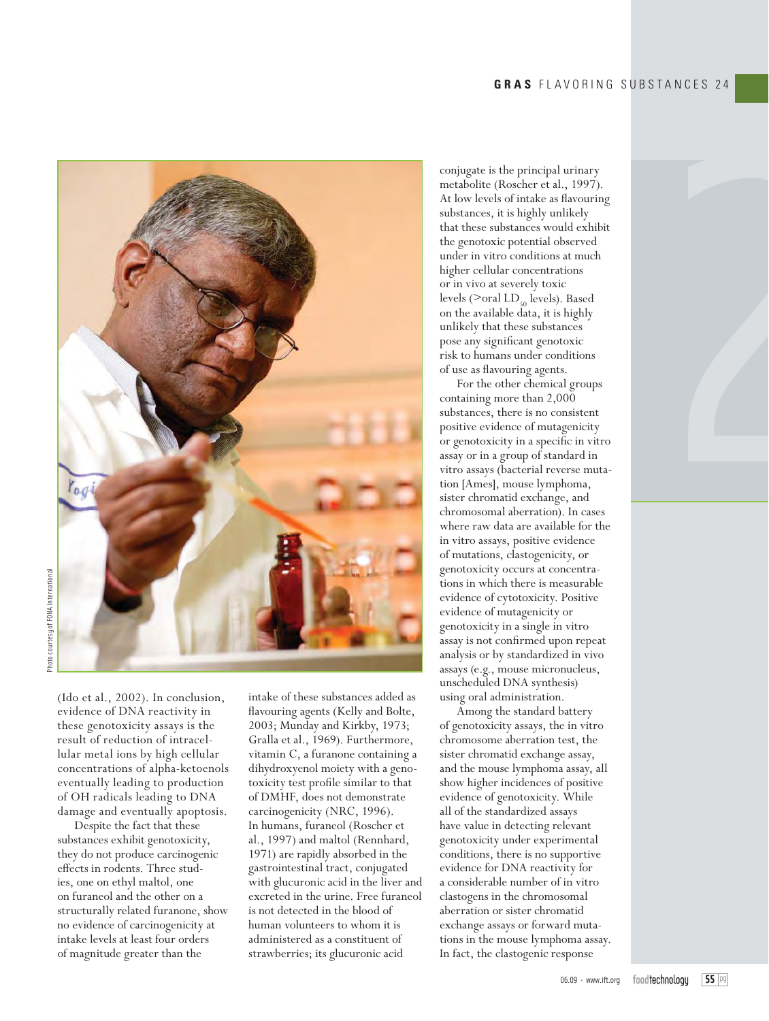

Photo courtesy of FONA InternationalPhoto courtesy of FONA Internationa

> (Ido et al., 2002). In conclusion, evidence of DNA reactivity in these genotoxicity assays is the result of reduction of intracellular metal ions by high cellular concentrations of alpha-ketoenols eventually leading to production of OH radicals leading to DNA damage and eventually apoptosis.

> Despite the fact that these substances exhibit genotoxicity, they do not produce carcinogenic effects in rodents. Three studies, one on ethyl maltol, one on furaneol and the other on a structurally related furanone, show no evidence of carcinogenicity at intake levels at least four orders of magnitude greater than the

intake of these substances added as flavouring agents (Kelly and Bolte, 2003; Munday and Kirkby, 1973; Gralla et al., 1969). Furthermore, vitamin C, a furanone containing a dihydroxyenol moiety with a genotoxicity test profile similar to that of DMHF, does not demonstrate carcinogenicity (NRC, 1996). In humans, furaneol (Roscher et al., 1997) and maltol (Rennhard, 1971) are rapidly absorbed in the gastrointestinal tract, conjugated with glucuronic acid in the liver and excreted in the urine. Free furaneol is not detected in the blood of human volunteers to whom it is administered as a constituent of strawberries; its glucuronic acid

conjugate is the principal urinary metabolite (Roscher et al., 1997). At low levels of intake as flavouring substances, it is highly unlikely that these substances would exhibit the genotoxic potential observed under in vitro conditions at much higher cellular concentrations or in vivo at severely toxic levels ( $>$ oral LD<sub>50</sub> levels). Based on the available data, it is highly unlikely that these substances pose any significant genotoxic risk to humans under conditions of use as flavouring agents.

For the other chemical groups containing more than 2,000 substances, there is no consistent positive evidence of mutagenicity or genotoxicity in a specific in vitro assay or in a group of standard in vitro assays (bacterial reverse mutation [Ames], mouse lymphoma, sister chromatid exchange, and chromosomal aberration). In cases where raw data are available for the in vitro assays, positive evidence of mutations, clastogenicity, or genotoxicity occurs at concentrations in which there is measurable evidence of cytotoxicity. Positive evidence of mutagenicity or genotoxicity in a single in vitro assay is not confirmed upon repeat analysis or by standardized in vivo assays (e.g., mouse micronucleus, unscheduled DNA synthesis) using oral administration.

Among the standard battery of genotoxicity assays, the in vitro chromosome aberration test, the sister chromatid exchange assay, and the mouse lymphoma assay, all show higher incidences of positive evidence of genotoxicity. While all of the standardized assays have value in detecting relevant genotoxicity under experimental conditions, there is no supportive evidence for DNA reactivity for a considerable number of in vitro clastogens in the chromosomal aberration or sister chromatid exchange assays or forward mutations in the mouse lymphoma assay. In fact, the clastogenic response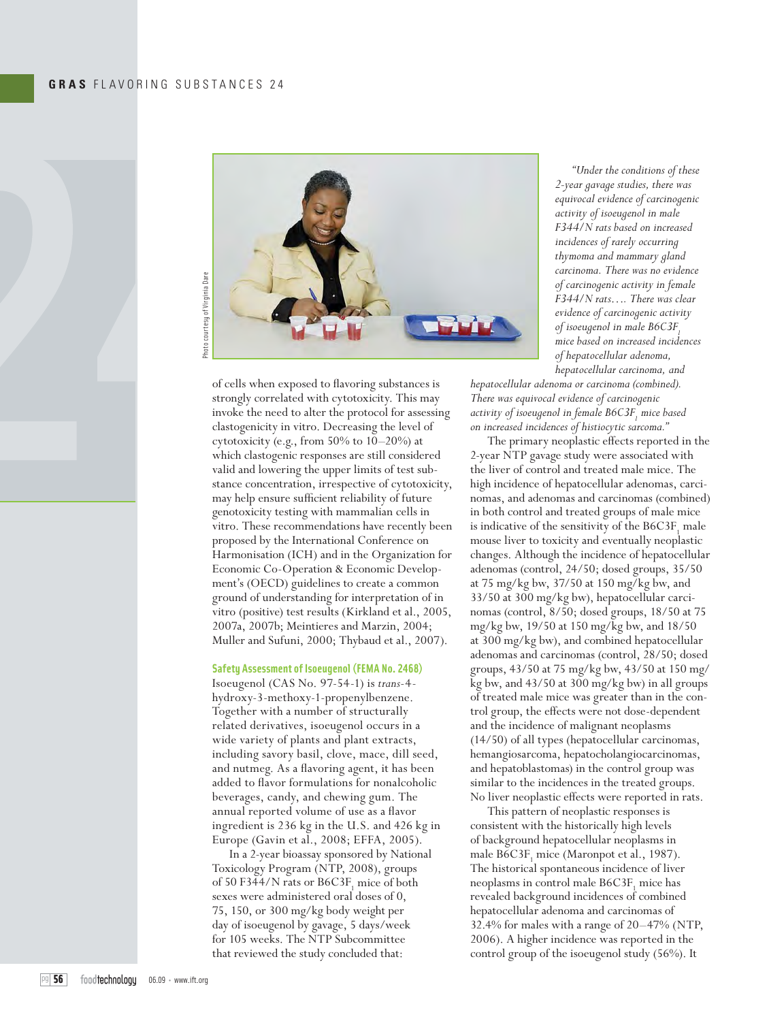

of cells when exposed to flavoring substances is strongly correlated with cytotoxicity. This may invoke the need to alter the protocol for assessing clastogenicity in vitro. Decreasing the level of cytotoxicity (e.g., from 50% to 10–20%) at which clastogenic responses are still considered valid and lowering the upper limits of test substance concentration, irrespective of cytotoxicity, may help ensure sufficient reliability of future genotoxicity testing with mammalian cells in vitro. These recommendations have recently been proposed by the International Conference on Harmonisation (ICH) and in the Organization for Economic Co-Operation & Economic Development's (OECD) guidelines to create a common ground of understanding for interpretation of in vitro (positive) test results (Kirkland et al., 2005, 2007a, 2007b; Meintieres and Marzin, 2004; Muller and Sufuni, 2000; Thybaud et al., 2007).

### **Safety Assessment of Isoeugenol (FEMA No. 2468)**

Isoeugenol (CAS No. 97-54-1) is *trans*-4 hydroxy-3-methoxy-1-propenylbenzene. Together with a number of structurally related derivatives, isoeugenol occurs in a wide variety of plants and plant extracts, including savory basil, clove, mace, dill seed, and nutmeg. As a flavoring agent, it has been added to flavor formulations for nonalcoholic beverages, candy, and chewing gum. The annual reported volume of use as a flavor ingredient is 236 kg in the U.S. and 426 kg in Europe (Gavin et al., 2008; EFFA, 2005).

In a 2-year bioassay sponsored by National Toxicology Program (NTP, 2008), groups of 50 F344/N rats or  $B6C3F_1$  mice of both sexes were administered oral doses of 0, 75, 150, or 300 mg/kg body weight per day of isoeugenol by gavage, 5 days/week for 105 weeks. The NTP Subcommittee that reviewed the study concluded that:

*"Under the conditions of these 2-year gavage studies, there was equivocal evidence of carcinogenic activity of isoeugenol in male F344/N rats based on increased incidences of rarely occurring thymoma and mammary gland carcinoma. There was no evidence of carcinogenic activity in female F344/N rats…. There was clear evidence of carcinogenic activity of isoeugenol in male B6C3F*. *mice based on increased incidences of hepatocellular adenoma, hepatocellular carcinoma, and* 

*hepatocellular adenoma or carcinoma (combined). There was equivocal evidence of carcinogenic*  activity of isoeugenol in female B6C3F<sub>1</sub> mice based *on increased incidences of histiocytic sarcoma."*

The primary neoplastic effects reported in the 2-year NTP gavage study were associated with the liver of control and treated male mice. The high incidence of hepatocellular adenomas, carcinomas, and adenomas and carcinomas (combined) in both control and treated groups of male mice is indicative of the sensitivity of the B6C3F<sub>1</sub> male mouse liver to toxicity and eventually neoplastic changes. Although the incidence of hepatocellular adenomas (control, 24/50; dosed groups, 35/50 at 75 mg/kg bw, 37/50 at 150 mg/kg bw, and 33/50 at 300 mg/kg bw), hepatocellular carcinomas (control, 8/50; dosed groups, 18/50 at 75 mg/kg bw, 19/50 at 150 mg/kg bw, and 18/50 at 300 mg/kg bw), and combined hepatocellular adenomas and carcinomas (control, 28/50; dosed groups, 43/50 at 75 mg/kg bw, 43/50 at 150 mg/ kg bw, and 43/50 at 300 mg/kg bw) in all groups of treated male mice was greater than in the control group, the effects were not dose-dependent and the incidence of malignant neoplasms (14/50) of all types (hepatocellular carcinomas, hemangiosarcoma, hepatocholangiocarcinomas, and hepatoblastomas) in the control group was similar to the incidences in the treated groups. No liver neoplastic effects were reported in rats.

This pattern of neoplastic responses is consistent with the historically high levels of background hepatocellular neoplasms in male  $B6C3F_1$  mice (Maronpot et al., 1987). The historical spontaneous incidence of liver neoplasms in control male  $\mathrm{B6C3F}_1$  mice has revealed background incidences of combined hepatocellular adenoma and carcinomas of 32.4% for males with a range of 20–47% (NTP, 2006). A higher incidence was reported in the control group of the isoeugenol study (56%). It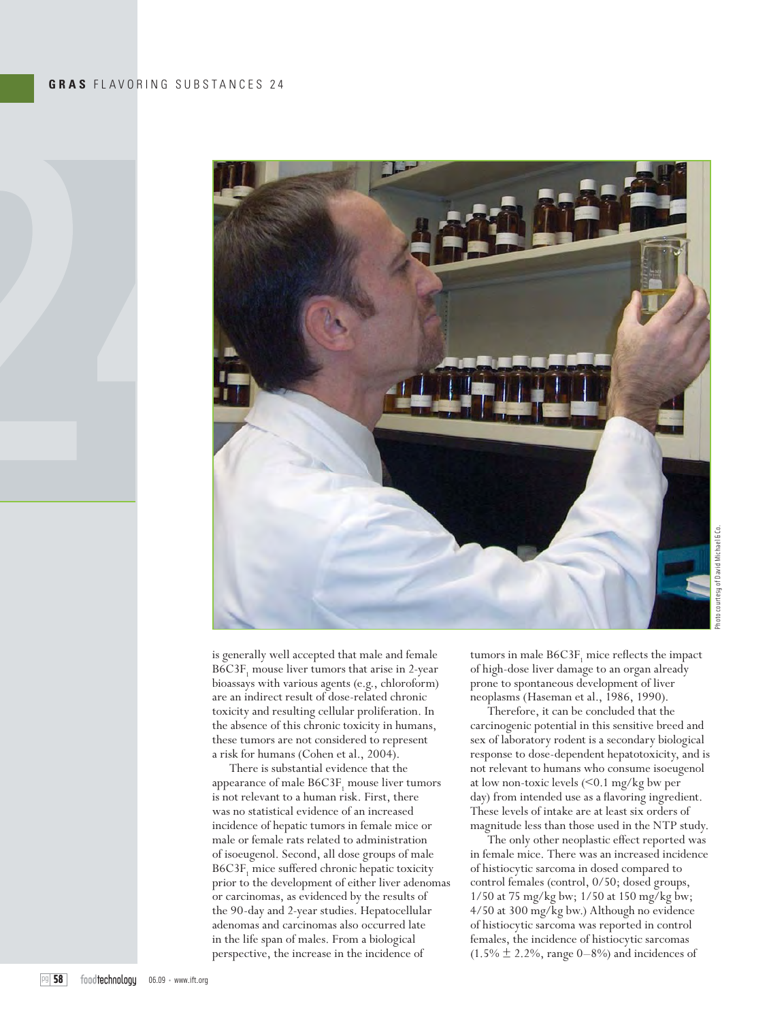

is generally well accepted that male and female  $B6C3F<sub>1</sub>$  mouse liver tumors that arise in 2-year bioassays with various agents (e.g., chloroform) are an indirect result of dose-related chronic toxicity and resulting cellular proliferation. In the absence of this chronic toxicity in humans, these tumors are not considered to represent a risk for humans (Cohen et al., 2004).

There is substantial evidence that the appearance of male  $B6C3F_1$  mouse liver tumors is not relevant to a human risk. First, there was no statistical evidence of an increased incidence of hepatic tumors in female mice or male or female rats related to administration of isoeugenol. Second, all dose groups of male B6C3F<sub>1</sub> mice suffered chronic hepatic toxicity prior to the development of either liver adenomas or carcinomas, as evidenced by the results of the 90-day and 2-year studies. Hepatocellular adenomas and carcinomas also occurred late in the life span of males. From a biological perspective, the increase in the incidence of

tumors in male  $B6C3F_1$  mice reflects the impact of high-dose liver damage to an organ already prone to spontaneous development of liver neoplasms (Haseman et al., 1986, 1990).

Therefore, it can be concluded that the carcinogenic potential in this sensitive breed and sex of laboratory rodent is a secondary biological response to dose-dependent hepatotoxicity, and is not relevant to humans who consume isoeugenol at low non-toxic levels (<0.1 mg/kg bw per day) from intended use as a flavoring ingredient. These levels of intake are at least six orders of magnitude less than those used in the NTP study.

The only other neoplastic effect reported was in female mice. There was an increased incidence of histiocytic sarcoma in dosed compared to control females (control, 0/50; dosed groups, 1/50 at 75 mg/kg bw; 1/50 at 150 mg/kg bw; 4/50 at 300 mg/kg bw.) Although no evidence of histiocytic sarcoma was reported in control females, the incidence of histiocytic sarcomas  $(1.5\% \pm 2.2\%$ , range 0–8%) and incidences of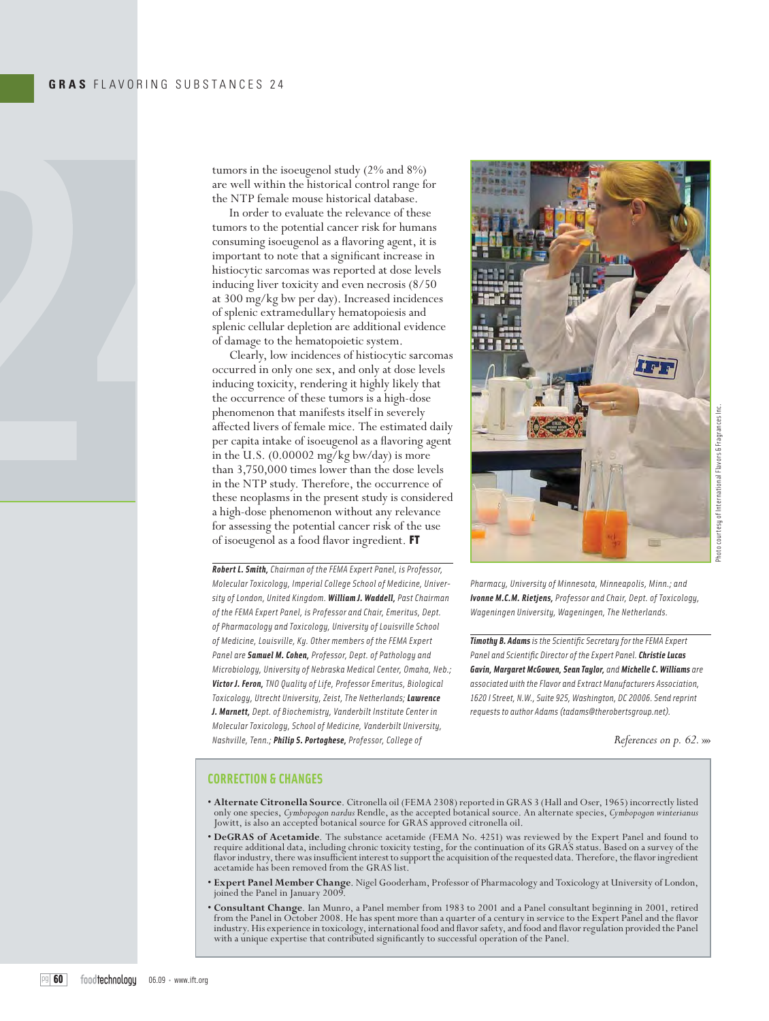

tumors in the isoeugenol study (2% and 8%) are well within the historical control range for the NTP female mouse historical database.

In order to evaluate the relevance of these tumors to the potential cancer risk for humans consuming isoeugenol as a flavoring agent, it is important to note that a significant increase in histiocytic sarcomas was reported at dose levels inducing liver toxicity and even necrosis (8/50 at 300 mg/kg bw per day). Increased incidences of splenic extramedullary hematopoiesis and splenic cellular depletion are additional evidence of damage to the hematopoietic system.

Clearly, low incidences of histiocytic sarcomas occurred in only one sex, and only at dose levels inducing toxicity, rendering it highly likely that the occurrence of these tumors is a high-dose phenomenon that manifests itself in severely affected livers of female mice. The estimated daily per capita intake of isoeugenol as a flavoring agent in the U.S. (0.00002 mg/kg bw/day) is more than 3,750,000 times lower than the dose levels in the NTP study. Therefore, the occurrence of these neoplasms in the present study is considered a high-dose phenomenon without any relevance for assessing the potential cancer risk of the use of isoeugenol as a food flavor ingredient. FT

*Robert L. Smith, Chairman of the FEMA Expert Panel, is Professor, Molecular Toxicology, Imperial College School of Medicine, University of London, United Kingdom. William J. Waddell, Past Chairman of the FEMA Expert Panel, is Professor and Chair, Emeritus, Dept. of Pharmacology and Toxicology, University of Louisville School of Medicine, Louisville, Ky. Other members of the FEMA Expert Panel are Samuel M. Cohen, Professor, Dept. of Pathology and Microbiology, University of Nebraska Medical Center, Omaha, Neb.; Victor J. Feron, TNO Quality of Life, Professor Emeritus, Biological Toxicology, Utrecht University, Zeist, The Netherlands; Lawrence J. Marnett, Dept. of Biochemistry, Vanderbilt Institute Center in Molecular Toxicology, School of Medicine, Vanderbilt University, Nashville, Tenn.; Philip S. Portoghese, Professor, College of* 



*Pharmacy, University of Minnesota, Minneapolis, Minn.; and Ivonne M.C.M. Rietjens, Professor and Chair, Dept. of Toxicology, Wageningen University, Wageningen, The Netherlands.*

**Timothy B. Adams** is the Scientific Secretary for the FEMA Expert **Panel and Scientific Director of the Expert Panel. Christie Lucas** *Gavin, Margaret McGowen, Sean Taylor, and Michelle C. Williams are associated with the Flavor and Extract Manufacturers Association, 1620 I Street, N.W., Suite 925, Washington, DC 20006. Send reprint requests to author Adams (tadams@therobertsgroup.net).*

*References on p. 62.* »»

### **CORRECTION & CHANGES**

- **Alternate Citronella Source**. Citronella oil (FEMA 2308) reported in GRAS 3 (Hall and Oser, 1965) incorrectly listed only one species, *Cymbopogon nardus* Rendle, as the accepted botanical source. An alternate species, *Cymbopogon winterianus* Jowitt, is also an accepted botanical source for GRAS approved citronella oil.
- **DeGRAS of Acetamide**. The substance acetamide (FEMA No. 4251) was reviewed by the Expert Panel and found to require additional data, including chronic toxicity testing, for the continuation of its GRAS status. Based on a survey of the flavor industry, there was insufficient interest to support the acquisition of the requested data. Therefore, the flavor ingredient acetamide has been removed from the GRAS list.
- **Expert Panel Member Change**. Nigel Gooderham, Professor of Pharmacology and Toxicology at University of London, joined the Panel in January 2009.
- Consultant Change. Ian Munro, a Panel member from 1983 to 2001 and a Panel consultant beginning in 2001, retired<br>from the Panel in October 2008. He has spent more than a quarter of a century in service to the Expert Pane industry. His experience in toxicology, international food and flavor safety, and food and flavor regulation provided the Panel with a unique expertise that contributed significantly to successful operation of the Panel.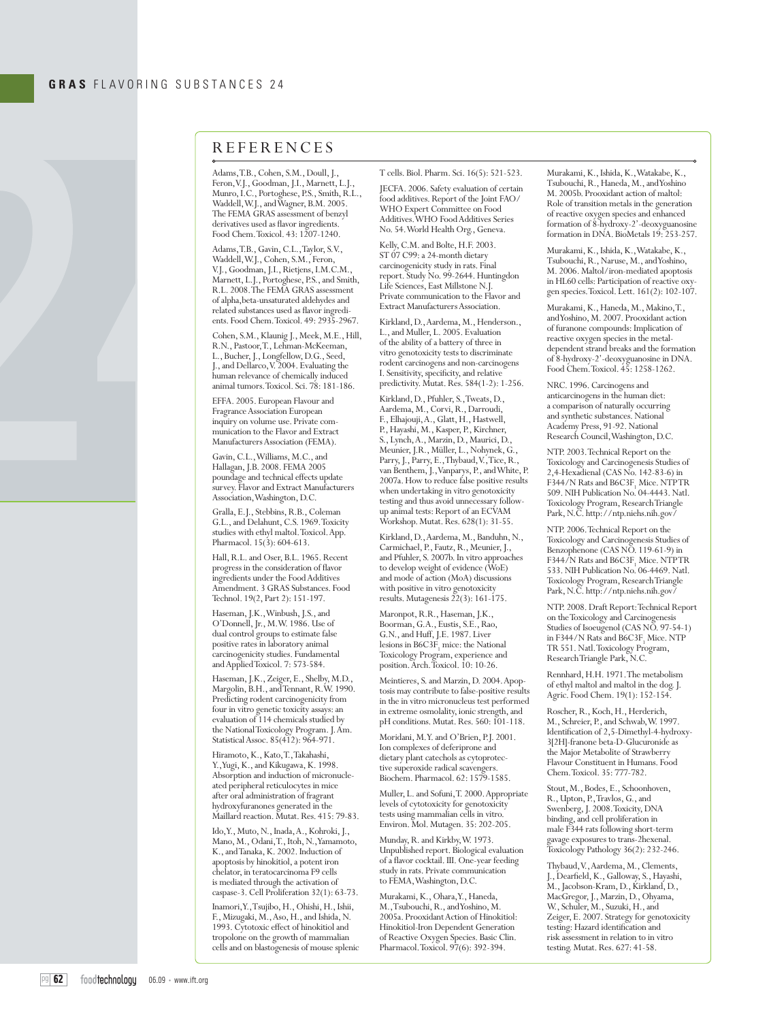

## **REFERENCES**

Adams, T.B., Cohen, S.M., Doull, J., Feron, V.J., Goodman, J.I., Marnett, L.J. Munro, I.C., Portoghese, P.S., Smith, R.L., Waddell, W.J., and Wagner, B.M. 2005. The FEMA GRAS assessment of benzyl derivatives used as flavor ingredients. Food Chem. Toxicol. 43: 1207-1240.

Adams, T.B., Gavin, C.L., Taylor, S.V., Waddell, W.J., Cohen, S.M., Feron, V.J., Goodman, J.I., Rietjens, I.M.C.M., Marnett, L.J., Portoghese, P.S., and Smith, R.L. 2008. The FEMA GRAS assessment of alpha,beta-unsaturated aldehydes and related substances used as flavor ingredients. Food Chem. Toxicol. 49: 2935-2967.

Cohen, S.M., Klaunig J., Meek, M.E., Hill, R.N., Pastoor, T., Lehman-McKeeman, L., Bucher, J., Longfellow, D.G., Seed, J., and Dellarco, V. 2004. Evaluating the human relevance of chemically induced animal tumors. Toxicol. Sci. 78: 181-186.

EFFA. 2005. European Flavour and Fragrance Association European inquiry on volume use. Private communication to the Flavor and Extract Manufacturers Association (FEMA).

Gavin, C.L., Williams, M.C., and Hallagan, J.B. 2008. FEMA 2005 poundage and technical effects update survey. Flavor and Extract Manufacturers Association, Washington, D.C.

Gralla, E.J., Stebbins, R.B., Coleman G.L., and Delahunt, C.S. 1969. Toxicity studies with ethyl maltol. Toxicol. App. Pharmacol. 15(3): 604-613.

Hall, R.L. and Oser, B.L. 1965. Recent progress in the consideration of flavor ingredients under the Food Additives Amendment. 3 GRAS Substances. Food Technol. 19(2, Part 2): 151-197.

Haseman, J.K., Winbush, J.S., and O'Donnell, Jr., M.W. 1986. Use of dual control groups to estimate false positive rates in laboratory animal carcinogenicity studies. Fundamental and Applied Toxicol. 7: 573-584.

Haseman, J.K., Zeiger, E., Shelby, M.D., Margolin, B.H., and Tennant, R.W. 1990. Predicting rodent carcinogenicity from four in vitro genetic toxicity assays: an evaluation of 114 chemicals studied by the National Toxicology Program. J. Am. Statistical Assoc. 85(412): 964-971.

Hiramoto, K., Kato, T., Takahashi, Y., Yugi, K., and Kikugawa, K. 1998. Absorption and induction of micronucleated peripheral reticulocytes in mice after oral administration of fragrant hydroxyfuranones generated in the Maillard reaction. Mutat. Res. 415: 79-83.

Ido, Y., Muto, N., Inada, A., Kohroki, J., Mano, M., Odani, T., Itoh, N., Yamamoto, K., and Tanaka, K. 2002. Induction of apoptosis by hinokitiol, a potent iron chelator, in teratocarcinoma F9 cells is mediated through the activation of caspase-3. Cell Proliferation 32(1): 63-73.

Inamori, Y., Tsujibo, H., Ohishi, H., Ishii, F., Mizugaki, M., Aso, H., and Ishida, N. 1993. Cytotoxic effect of hinokitiol and tropolone on the growth of mammalian cells and on blastogenesis of mouse splenic T cells. Biol. Pharm. Sci. 16(5): 521-523.

JECFA. 2006. Safety evaluation of certain food additives. Report of the Joint FAO/ WHO Expert Committee on Food Additives. WHO Food Additives Series No. 54. World Health Org., Geneva.

Kelly, C.M. and Bolte, H.F. 2003. ST 07 C99: a 24-month dietary carcinogenicity study in rats. Final report. Study No. 99-2644. Huntingdon Life Sciences, East Millstone N.J. Private communication to the Flavor and Extract Manufacturers Association.

Kirkland, D., Aardema, M., Henderson., L., and Muller, L. 2005. Evaluation of the ability of a battery of three in vitro genotoxicity tests to discriminate rodent carcinogens and non-carcinogens I. Sensitivity, specificity, and relative predictivity. Mutat. Res. 584(1-2): 1-256.

Kirkland, D., Pfuhler, S., Tweats, D., Aardema, M., Corvi, R., Darroudi, F., Elhajouji, A., Glatt, H., Hastwell, P., Hayashi, M., Kasper, P., Kirchner, S., Lynch, A., Marzin, D., Maurici, D., Meunier, J.R., Müller, L., Nohynek, G., Parry, J., Parry, E., Thybaud, V., Tice, R., van Benthem, J., Vanparys, P., and White, P. 2007a. How to reduce false positive results when undertaking in vitro genotoxicity testing and thus avoid unnecessary followup animal tests: Report of an ECVAM Workshop. Mutat. Res. 628(1): 31-55.

Kirkland, D., Aardema, M., Banduhn, N., Carmichael, P., Fautz, R., Meunier, J., and Pfuhler, S. 2007b. In vitro approaches to develop weight of evidence (WoE) and mode of action (MoA) discussions with positive in vitro genotoxicity results. Mutagenesis 22(3): 161-175.

Maronpot, R.R., Haseman, J.K., Boorman, G.A., Eustis, S.E., Rao, G.N., and Huff, J.E. 1987. Liver lesions in  $B6C3F_1$  mice: the National Toxicology Program, experience and position. Arch. Toxicol. 10: 10-26.

Meintieres, S. and Marzin, D. 2004. Apoptosis may contribute to false-positive results in the in vitro micronucleus test performed in extreme osmolality, ionic strength, and pH conditions. Mutat. Res. 560: 101-118.

Moridani, M.Y. and O'Brien, P.J. 2001. Ion complexes of deferiprone and dietary plant catechols as cytoprotective superoxide radical scavengers. Biochem. Pharmacol. 62: 1579-1585.

Muller, L. and Sofuni, T. 2000. Appropriate levels of cytotoxicity for genotoxicity tests using mammalian cells in vitro. Environ. Mol. Mutagen. 35: 202-205.

Munday, R. and Kirkby, W. 1973. Unpublished report. Biological evaluation of a flavor cocktail. III. One-year feeding study in rats. Private communication to FEMA, Washington, D.C.

Murakami, K., Ohara, Y., Haneda, M., Tsubouchi, R., and Yoshino, M. 2005a. Prooxidant Action of Hinokitiol: Hinokitiol-Iron Dependent Generation of Reactive Oxygen Species. Basic Clin. Pharmacol. Toxicol. 97(6): 392-394.

Murakami, K., Ishida, K., Watakabe, K., Tsubouchi, R., Haneda, M., and Yoshino M. 2005b. Prooxidant action of maltol: Role of transition metals in the generation of reactive oxygen species and enhanced formation of 8-hydroxy-2'-deoxyguanosine formation in DNA. BioMetals 19: 253-257.

Murakami, K., Ishida, K., Watakabe, K., Tsubouchi, R., Naruse, M., and Yoshino, M. 2006. Maltol/iron-mediated apoptosis in HL60 cells: Participation of reactive oxygen species. Toxicol. Lett. 161(2): 102-107.

Murakami, K., Haneda, M., Makino, T., and Yoshino, M. 2007. Prooxidant action of furanone compounds: Implication of reactive oxygen species in the metaldependent strand breaks and the formation of 8-hydroxy-2'-deoxyguanosine in DNA. Food Chem. Toxicol. 45: 1258-1262.

NRC. 1996. Carcinogens and anticarcinogens in the human diet: a comparison of naturally occurring and synthetic substances. National Academy Press, 91-92. National Research Council, Washington, D.C.

NTP. 2003. Technical Report on the Toxicology and Carcinogenesis Studies of 2,4-Hexadienal (CAS No. 142-83-6) in  $F344/N$  Rats and  $B6C3F<sub>1</sub>$  Mice. NTPTR 509. NIH Publication No. 04-4443. Natl. Toxicology Program, Research Triangle Park, N.C. http://ntp.niehs.nih.gov/

NTP. 2006. Technical Report on the Toxicology and Carcinogenesis Studies of Benzophenone (CAS NO. 119-61-9) in  $F344/N$  Rats and  $B6C3F<sub>1</sub>$  Mice. NTPTR 533. NIH Publication No. 06-4469. Natl. Toxicology Program, Research Triangle Park, N.C. http://ntp.niehs.nih.gov/

NTP. 2008. Draft Report: Technical Report on the Toxicology and Carcinogenesis Studies of Isoeugenol (CAS NO. 97-54-1) in F344/N Rats and  $B6C3F<sub>1</sub>$  Mice. NTP TR 551. Natl. Toxicology Program, Research Triangle Park, N.C.

Rennhard, H.H. 1971. The metabolism of ethyl maltol and maltol in the dog. J. Agric. Food Chem. 19(1): 152-154.

Roscher, R., Koch, H., Herderich, M., Schreier, P., and Schwab, W. 1997. Identification of 2,5-Dimethyl-4-hydroxy-3[2H]-franone beta-D-Glucuronide as the Major Metabolite of Strawberry Flavour Constituent in Humans. Food Chem. Toxicol. 35: 777-782.

Stout, M., Bodes, E., Schoonhoven, R., Upton, P., Travlos, G., and Swenberg, J. 2008. Toxicity, DNA binding, and cell proliferation in male F344 rats following short-term gavage exposures to trans-2hexenal. Toxicology Pathology 36(2): 232-246.

Thybaud, V., Aardema, M., Clements, J., Dearfield, K., Galloway, S., Hayashi, M., Jacobson-Kram, D., Kirkland, D., MacGregor, J., Marzin, D., Ohyama, W., Schuler, M., Suzuki, H., and Zeiger, E. 2007. Strategy for genotoxicity testing: Hazard identification and risk assessment in relation to in vitro testing. Mutat. Res. 627: 41-58.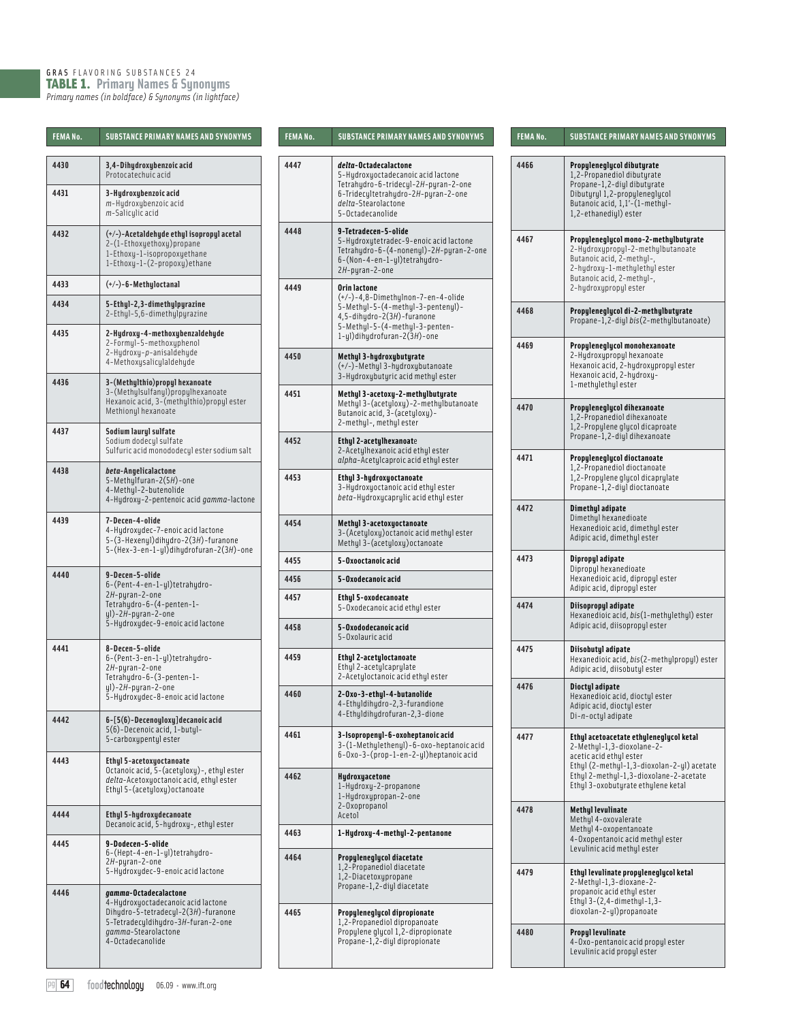## GRAS FLAVORING SUBSTANCES 24 TABLE 1. **Primary Names & Synonyms** *Primary names (in boldface) & Synonyms (in lightface)*

| FEMANo. | <b>SUBSTANCE PRIMARY NAMES AND SYNONYMS</b>                                                                                                                                         |
|---------|-------------------------------------------------------------------------------------------------------------------------------------------------------------------------------------|
| 4430    | 3,4-Dihydroxybenzoic acid<br>Protocatechuic acid                                                                                                                                    |
| 4431    | 3-Hydroxybenzoic acid<br><i>m</i> -Hydroxybenzoic acid<br><i>m</i> -Salicylic acid                                                                                                  |
| 4432    | (+/-)-Acetaldehyde ethyl isopropyl acetal<br>2-(1-Ethoxyethoxy) propane<br>1-Ethoxy-1-isopropoxyethane<br>1-Ethoxy-1-(2-propoxy)ethane                                              |
| 4433    | (+/-)-6-Methyloctanal                                                                                                                                                               |
| 4434    | 5-Ethyl-2,3-dimethylpyrazine<br>2-Ethyl-5,6-dimethylpyrazine                                                                                                                        |
| 4435    | 2-Hydroxy-4-methoxybenzaldehyde<br>2-Formyl-5-methoxyphenol<br>2-Hydroxy-p-anisaldehyde<br>4-Methoxysalicylaldehyde                                                                 |
| 4436    | 3-(Methylthio)propyl hexanoate<br>3-(Methylsulfanyl)propylhexanoate<br>Hexanoic acid, 3- (methulthio) propul ester<br>Methionyl hexanoate                                           |
| 4437    | Sodium lauryl sulfate<br>Sodium dodecul sulfate<br>Sulfuric acid monododecyl ester sodium salt                                                                                      |
| 4438    | beta-Angelicalactone<br>5-Methylfuran-2(5H)-one<br>4-Methyl-2-butenolide<br>4-Hydroxy-2-pentenoic acid <i>gamma</i> -lactone                                                        |
| 4439    | 7-Decen-4-olide<br>4-Hydroxydec-7-enoic acid lactone<br>5-(3-Hexenyl)dihydro-2(3H)-furanone<br>5-(Hex-3-en-1-yl)dihydrofuran-2(3H)-one                                              |
| 4440    | 9-Decen-5-olide<br>6-(Pent-4-en-1-yl)tetrahydro-<br>2H-pyran-2-one<br>Tetrahydro-6-(4-penten-1-<br>yl)-2H-pyran-2-one<br>5-Hydroxydec-9-enoic acid lactone                          |
| 4441    | 8-Decen-5-olide<br>6-(Pent-3-en-1-yl)tetrahydro-<br>2H-pyran-2-one<br>Tetrahydro-6-(3-penten-1-<br>yl)-2H-pyran-2-one<br>5-Hydroxydec-8-enoic acid lactone                          |
| 4442    | 6-[5(6)-Decenoyloxy]decanoic acid<br>5(6)-Decenoic acid, 1-butyl-<br>5-carboxypentylester                                                                                           |
| 4443    | <b>Ethul 5-acetoxuoctanoate</b><br>Octanoic acid, 5-(acetyloxy)-, ethyl ester<br>delta-Acetoxyoctanoic acid, ethyl ester<br>Ethyl 5-(acetyloxy) octanoate                           |
| 4444    | Ethyl 5-hydroxydecanoate<br>Decanoic acid, 5-hydroxy-, ethyl ester                                                                                                                  |
| 4445    | 9-Dodecen-5-olide<br>6-(Hept-4-en-1-yl)tetrahydro-<br>2H-pyran-2-one<br>5-Hydroxydec-9-enoic acid lactone                                                                           |
| 4446    | gamma-Octadecalactone<br>4-Hydroxyoctadecanoic acid lactone<br>Dihydro-5-tetradecyl-2(3H)-furanone<br>5-Tetradecyldihydro-3H-furan-2-one<br>gamma-Stearolactone<br>4-Octadecanolide |

| <b>FEMANo.</b> | <b>SUBSTANCE PRIMARY NAMES AND SYNONYMS</b>                                                                                                       | FEMA No.                                                         | <b>SUBSTANCE PRIMARY NAMES AND SYNONYMS</b>                                                                                                                 | FEMANo.                                                                      | <b>SUBSTANCE PRIMARY NAMES AND SYNONYMS</b>                                                                                             |  |
|----------------|---------------------------------------------------------------------------------------------------------------------------------------------------|------------------------------------------------------------------|-------------------------------------------------------------------------------------------------------------------------------------------------------------|------------------------------------------------------------------------------|-----------------------------------------------------------------------------------------------------------------------------------------|--|
| 4430           | 3,4-Dihydroxybenzoic acid<br>Protocatechuic acid                                                                                                  | 4447                                                             | delta-Octadecalactone<br>5-Hudroxuoctadecanoic acid lactone<br>Tetrahudro-6-tridecul-2H-puran-2-one                                                         | 4466                                                                         | Propyleneglycol dibutyrate<br>1,2-Propanediol dibuturate<br>Propane-1,2-diyl dibutyrate                                                 |  |
| 4431           | 3-Hydroxybenzoic acid<br>m-Hydroxybenzoic acid<br>m-Saliculic acid                                                                                |                                                                  | 6-Tridecultetrahudro-2H-puran-2-one<br>delta-Stearolactone<br>5-Octadecanolide                                                                              |                                                                              | Dibuturul 1,2-propuleneglucol<br>Butanoic acid, 1,1'-(1-methyl-<br>1,2-ethanediyl) ester                                                |  |
| 4432           | (+/-)-Acetaldehyde ethyl isopropyl acetal<br>2-(1-Ethoxyethoxy) propane<br>1-Ethoxy-1-isopropoxyethane<br>1-Ethoxy-1-(2-propoxy)ethane            | 4448                                                             | 9-Tetradecen-5-olide<br>5-Hydroxytetradec-9-enoic acid lactone<br>Tetrahydro-6-(4-nonenyl)-2H-pyran-2-one<br>6-(Non-4-en-1-yl)tetrahydro-<br>2H-pyran-2-one | 4467                                                                         | Propyleneglycol mono-2-methylbutyrate<br>2-Hydroxypropyl-2-methylbutanoate<br>Butanoic acid, 2-methul-,<br>2-hydroxy-1-methylethylester |  |
| 4433           | $(+/-)-6$ -Methyloctanal                                                                                                                          | 4449                                                             | Orin lactone                                                                                                                                                |                                                                              | Butanoic acid, 2-methul-,<br>2-hudroxupropul ester                                                                                      |  |
| 4434           | 5-Ethyl-2,3-dimethylpyrazine<br>2-Ethyl-5,6-dimethylpyrazine                                                                                      |                                                                  | $(+/-)-4,8-Dimethylnon-7-en-4-olide$<br>5-Methyl-5-(4-methyl-3-pentenyl)-<br>4,5-dihydro-2(3H)-furanone<br>5-Methyl-5-(4-methyl-3-penten-                   | 4468                                                                         | Propyleneglycol di-2-methylbutyrate<br>Propane-1,2-diyl bis(2-methylbutanoate)                                                          |  |
| 4435           | 2-Hydroxy-4-methoxybenzaldehyde<br>2-Formyl-5-methoxyphenol                                                                                       |                                                                  | $1-y1$ ) dihydrofuran- $2(3H)$ -one                                                                                                                         | 4469                                                                         | Propyleneglycol monohexanoate                                                                                                           |  |
| 4436           | 2-Hydroxy-p-anisaldehyde<br>4-Methoxysalicylaldehyde<br>3-(Methylthio) propyl hexanoate                                                           | 4450                                                             | Methyl 3-hydroxybutyrate<br>(+/-)-Methyl 3-hydroxybutanoate<br>3-Hudroxubuturic acid methul ester                                                           |                                                                              | 2-Hydroxypropyl hexanoate<br>Hexanoic acid, 2-hydroxypropyl ester<br>Hexanoic acid, 2-hydroxy-<br>1-methylethyl ester                   |  |
|                | 3-(Methylsulfanyl)propylhexanoate<br>Hexanoic acid, 3-(methylthio) propyl ester<br>Methionyl hexanoate                                            | 4451                                                             | Methyl 3-acetoxy-2-methylbutyrate<br>Methyl 3-(acetyloxy)-2-methylbutanoate<br>Butanoic acid, 3-(acetyloxy)-<br>2-methyl-, methyl ester                     | 4470                                                                         | Propuleneglucol dihexanoate<br>1,2-Propanediol dihexanoate                                                                              |  |
| 4437           | Sodium lauryl sulfate<br>Sodium dodecul sulfate<br>Sulfuric acid monododecyl ester sodium salt                                                    | 4452                                                             | <b>Ethyl 2-acetylhexanoate</b><br>2-Acetylhexanoic acid ethyl ester                                                                                         |                                                                              | 1,2-Propylene glycol dicaproate<br>Propane-1,2-diyl dihexanoate                                                                         |  |
| 4438           | beta-Angelicalactone<br>5-Methylfuran-2(5H)-one<br>4-Methyl-2-butenolide                                                                          |                                                                  | alpha-Acetylcaproic acid ethyl ester<br><b>Ethul 3-hudroxuoctanoate</b><br>3-Hydroxyoctanoic acid ethyl ester<br>beta-Hudroxucaprulic acid ethul ester      | 4471                                                                         | Propyleneglycol dioctanoate<br>1,2-Propanediol dioctanoate<br>1,2-Propylene glycol dicaprylate<br>Propane-1,2-diyl dioctanoate          |  |
|                | 4-Hudroxu-2-pentenoic acid gamma-lactone                                                                                                          |                                                                  |                                                                                                                                                             | 4472                                                                         | Dimethyl adipate<br>Dimethyl hexanedioate                                                                                               |  |
| 4439           | 7-Decen-4-olide<br>4-Hydroxydec-7-enoic acid lactone<br>5-(3-Hexenyl)dihydro-2(3H)-furanone<br>$5-($ Hex-3-en-1-yl $)$ dihydrofuran-2 $(3H)$ -one | 4454                                                             | Methyl 3-acetoxyoctanoate<br>3-(Acetyloxy) octanoic acid methyl ester<br>Methyl 3-(acetyloxy) octanoate                                                     |                                                                              | Hexanedioic acid, dimethyl ester<br>Adipic acid, dimethyl ester                                                                         |  |
|                |                                                                                                                                                   | 4455                                                             | 5-Oxooctanoic acid                                                                                                                                          | 4473                                                                         | Dipropyl adipate<br>Dipropyl hexanedioate                                                                                               |  |
| 4440           | 9-Decen-5-olide<br>6-(Pent-4-en-1-yl)tetrahydro-                                                                                                  | 4456                                                             | 5-Oxodecanoic acid                                                                                                                                          |                                                                              | Hexanedioic acid, dipropyl ester<br>Adipic acid, dipropyl ester                                                                         |  |
|                | 2H-pyran-2-one<br>Tetrahydro-6-(4-penten-1-<br>$y1) - 2H - pyran - 2 - one$                                                                       | 4457                                                             | Ethyl 5-oxodecanoate<br>5-Oxodecanoic acid ethyl ester                                                                                                      | 4474                                                                         | Diisopropyl adipate<br>Hexanedioic acid, bis(1-methylethyl) ester                                                                       |  |
|                | 5-Hydroxydec-9-enoic acid lactone                                                                                                                 |                                                                  | 5-Oxododecanoic acid<br>5-Oxolauric acid                                                                                                                    |                                                                              | Adipic acid, diisopropul ester                                                                                                          |  |
| 4441           | 8-Decen-5-olide<br>6-(Pent-3-en-1-yl)tetrahydro-<br>2H-pyran-2-one<br>Tetrahydro-6-(3-penten-1-                                                   | 4459                                                             | <b>Ethyl 2-acetyloctanoate</b><br>Ethyl 2-acetylcaprylate<br>2-Acetyloctanoic acid ethyl ester                                                              | 4475                                                                         | Diisobutyl adipate<br>Hexanedioic acid, bis(2-methylpropyl) este<br>Adipic acid, diisobutyl ester                                       |  |
|                | $ul$ )-2H-puran-2-one<br>5-Hydroxydec-8-enoic acid lactone                                                                                        | 4460                                                             | 2-0xo-3-ethyl-4-butanolide<br>4-Ethyldihydro-2,3-furandione<br>4-Ethuldihudrofuran-2,3-dione                                                                | 4476                                                                         | Dioctyl adipate<br>Hexanedioic acid, dioctyl ester<br>Adipic acid, dioctyl ester<br>Di-n-octyl adipate                                  |  |
| 4442           | 6-[5(6)-Decenoyloxy]decanoic acid<br>5(6)-Decenoic acid, 1-butyl-                                                                                 | 4461                                                             | 3-Isopropenul-6-oxoheptanoic acid                                                                                                                           | 4477                                                                         | Ethyl acetoacetate ethyleneglycol ketal                                                                                                 |  |
| 4443           | 5-carboxypentyl ester<br><b>Ethyl 5-acetoxyoctanoate</b>                                                                                          |                                                                  | 3-(1-Methylethenyl)-6-oxo-heptanoic acid<br>6-0xo-3-(prop-1-en-2-yl)heptanoic acid                                                                          |                                                                              | 2-Methyl-1,3-dioxolane-2-<br>acetic acid ethyl ester<br>Ethyl (2-methyl-1,3-dioxolan-2-yl) acetate                                      |  |
|                | Octanoic acid, 5-(acetyloxy)-, ethyl ester<br>4462<br>delta-Acetoxyoctanoic acid, ethyl ester<br>Ethyl 5-(acetyloxy) octanoate                    | Hydroxyacetone<br>1-Hydroxy-2-propanone<br>1-Hudroxupropan-2-one |                                                                                                                                                             | Ethyl 2-methyl-1,3-dioxolane-2-acetate<br>Ethyl 3-oxobutyrate ethylene ketal |                                                                                                                                         |  |
| 4444           | Ethyl 5-hydroxydecanoate                                                                                                                          |                                                                  | 2-Oxopropanol<br>Acetol                                                                                                                                     | 4478                                                                         | <b>Methyl levulinate</b><br>Methyl 4-oxovalerate                                                                                        |  |
| 4445           | Decanoic acid, 5-hydroxy-, ethyl ester<br>9-Dodecen-5-olide<br>6-(Hept-4-en-1-yl)tetrahydro-                                                      | 4463                                                             | 1-Hydroxy-4-methyl-2-pentanone                                                                                                                              |                                                                              | Methyl 4-oxopentanoate<br>4-Oxopentanoic acid methyl ester<br>Levulinic acid methyl ester                                               |  |
|                | 2H-pyran-2-one<br>5-Hudroxudec-9-enoic acid lactone                                                                                               | 4464                                                             | Propyleneglycol diacetate<br>1,2-Propanediol diacetate<br>1,2-Diacetoxypropane                                                                              | 4479                                                                         | Ethyl levulinate propyleneglycol ketal<br>2-Methyl-1,3-dioxane-2-                                                                       |  |
| 4446           | gamma-Octadecalactone<br>4-Hydroxyoctadecanoic acid lactone                                                                                       |                                                                  | Propane-1,2-diyl diacetate                                                                                                                                  |                                                                              | propanoic acid ethyl ester<br>Ethyl $3-(2,4-dimethyl-1,3-$                                                                              |  |
|                | Dihydro-5-tetradecyl-2(3H)-furanone<br>5-Tetradecyldihydro-3H-furan-2-one<br>gamma-Stearolactone                                                  | 4465                                                             | Propyleneglycol dipropionate<br>1,2-Propanediol dipropanoate<br>Propylene glycol 1,2-dipropionate                                                           | 4480                                                                         | dioxolan-2-yl)propanoate<br>Propyl levulinate                                                                                           |  |
|                | 4-Octadecanolide                                                                                                                                  | Propane-1,2-diyl dipropionate                                    |                                                                                                                                                             | 4-0xo-pentanoic acid propyl ester<br>Levulinic acid propyl ester             |                                                                                                                                         |  |

| <b>FEMANo.</b> | <b>SUBSTANCE PRIMARY NAMES AND SYNONYMS</b>                                                                                                                                                                                   |
|----------------|-------------------------------------------------------------------------------------------------------------------------------------------------------------------------------------------------------------------------------|
| 4466           | Propyleneglycol dibutyrate<br>1,2-Propanediol dibuturate<br>Propane-1, 2-diyl dibutyrate<br>Dibutyryl 1,2-propyleneglycol<br>Butanoic acid, 1, 1'- (1-methyl-<br>1,2-ethanediul) ester                                        |
| 4467           | Propyleneglycol mono-2-methylbutyrate<br>2-Hydroxypropyl-2-methylbutanoate<br>Butanoic acid, 2-methyl-,<br>2-hydroxy-1-methylethyl ester<br>Butanoic acid, 2-methyl-,<br>2-hydroxypropyl ester                                |
| 4468           | Propuleneglucol di-2-methulbuturate<br>Propane-1,2-diyl bis(2-methylbutanoate)                                                                                                                                                |
| 4469           | Propyleneglycol monohexanoate<br>2-Hydroxypropyl hexanoate<br>Hexanoic acid, 2-hydroxypropyl ester<br>Hexanoic acid, 2-hydroxy-<br>1-methylethyl ester                                                                        |
| 4470           | Propyleneglycol dihexanoate<br>1,2-Propanediol dihexanoate<br>1,2-Propylene glycol dicaproate<br>Propane-1,2-diyl dihexanoate                                                                                                 |
| 4471           | Propyleneglycol dioctanoate<br>1,2-Propanediol dioctanoate<br>1,2-Propylene glycol dicaprylate<br>Propane-1,2-diyl dioctanoate                                                                                                |
| 4472           | Dimethyl adipate<br>Dimethyl hexanedioate<br>Hexanedioic acid, dimethyl ester<br>Adipic acid, dimethyl ester                                                                                                                  |
| 4473           | Dipropyl adipate<br>Dipropyl hexanedioate<br>Hexanedioic acid, dipropyl ester<br>Adipic acid, dipropyl ester                                                                                                                  |
| 4474           | Diisopropyl adipate<br>Hexanedioic acid, bis(1-methylethyl) ester<br>Adipic acid, diisopropyl ester                                                                                                                           |
| 4475           | Diisobutyl adipate<br>Hexanedioic acid, bis(2-methylpropyl) ester<br>Adipic acid, diisobutyl ester                                                                                                                            |
| 4476           | Dioctyl adipate<br>Hexanedioic acid, dioctyl ester<br>Adipic acid, dioctyl ester<br>Di- <i>n</i> -octyl adipate                                                                                                               |
| 4477           | Ethyl acetoacetate ethyleneglycol ketal<br>2-Methyl-1,3-dioxolane-2-<br>acetic acid ethyl ester<br>Ethyl (2-methyl-1,3-dioxolan-2-yl) acetate<br>Ethul 2-methul-1,3-dioxolane-2-acetate<br>Ethyl 3-oxobutyrate ethylene ketal |
| 4478           | <b>Methul levulinate</b><br>Methyl 4-oxovalerate<br>Methyl 4-oxopentanoate<br>4-Oxopentanoic acid methul ester<br>Levulinic acid methyl ester                                                                                 |
| 4479           | Ethyl levulinate propyleneglycol ketal<br>2-Methyl-1,3-dioxane-2-<br>propanoic acid ethyl ester<br>Ethyl 3-(2,4-dimethyl-1,3-<br>dioxolan-2-yl)propanoate                                                                     |
| 4480           | Propyl levulinate<br>4-0xo-pentanoic acid propyl ester<br>Levulinic acid propyl ester                                                                                                                                         |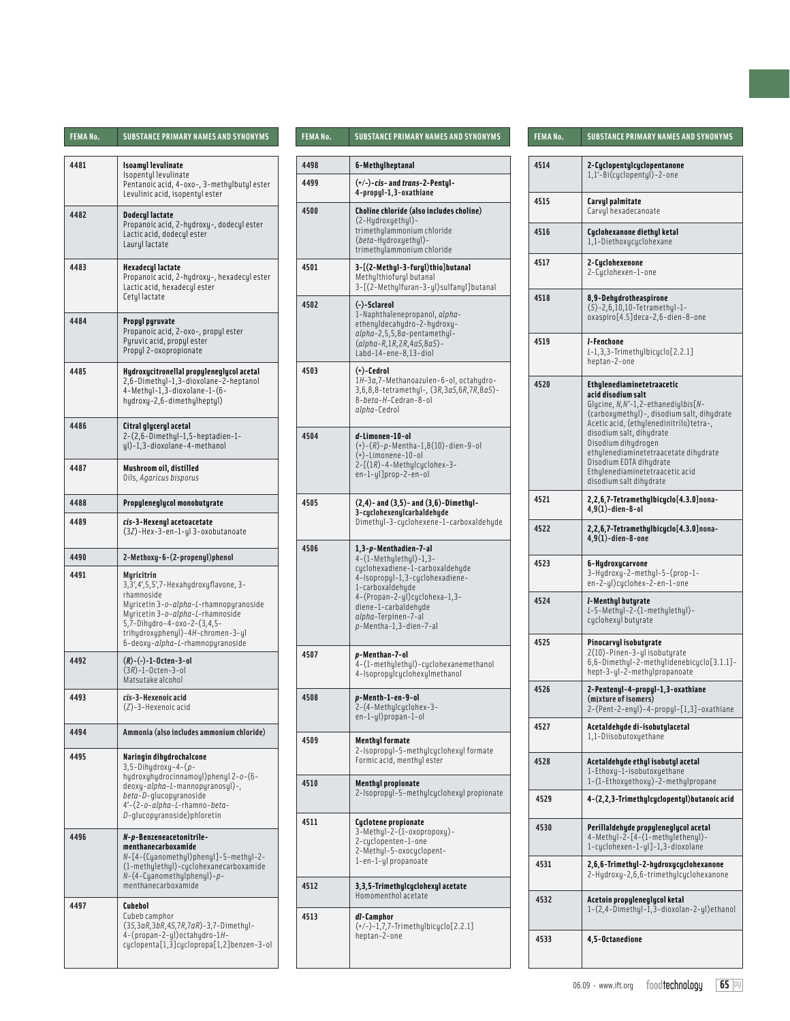| FEMA No.                                                                                                                    | <b>SUBSTANCE PRIMARY NAMES AND SYNONYMS</b>                                                                                                                  | <b>FEMANo.</b> | <b>SUBSTANCE PRIMARY NAMES AND SYNONYMS</b>                                                                                                        | FEMANo. | <b>SUBSTANCE PRIMARY NAMES AND SYNONYMS</b>                                                                                                                                        |
|-----------------------------------------------------------------------------------------------------------------------------|--------------------------------------------------------------------------------------------------------------------------------------------------------------|----------------|----------------------------------------------------------------------------------------------------------------------------------------------------|---------|------------------------------------------------------------------------------------------------------------------------------------------------------------------------------------|
| 4481<br>Isoamul levulinate                                                                                                  |                                                                                                                                                              | 4498           | 6-Methylheptanal                                                                                                                                   | 4514    | 2-Cyclopentylcyclopentanone                                                                                                                                                        |
|                                                                                                                             | Isopentyl levulinate<br>Pentanoic acid, 4-oxo-, 3-methylbutyl ester<br>Levulinic acid, isopentul ester                                                       | 4499           | $(+/-)$ -cis- and trans-2-Pentyl-<br>4-propul-1,3-oxathiane                                                                                        |         | 1,1'-Bi(cuclopentul)-2-one                                                                                                                                                         |
|                                                                                                                             |                                                                                                                                                              |                | Choline chloride (also includes choline)                                                                                                           | 4515    | Carvyl palmitate<br>Carvyl hexadecanoate                                                                                                                                           |
| 4482<br><b>Dodecyl lactate</b><br>Propanoic acid, 2-hydroxy-, dodecyl ester<br>Lactic acid, dodecul ester<br>Lauryl lactate |                                                                                                                                                              | 4500           | (2-Hydroxyethyl)-<br>trimethylammonium chloride<br>(beta-Hydroxyethyl)-<br>trimethylammonium chloride                                              | 4516    | Cyclohexanone diethyl ketal<br>1,1-Diethoxycyclohexane                                                                                                                             |
| 4483                                                                                                                        | <b>Hexadecyl lactate</b><br>Propanoic acid, 2-hudroxu-, hexadecul ester<br>Lactic acid, hexadecul ester                                                      | 4501           | 3-[(2-Methyl-3-furyl)thio]butanal<br>Methylthiofuryl butanal<br>3-[(2-Methylfuran-3-yl)sulfanyl]butanal                                            | 4517    | 2-Cyclohexenone<br>2-Cyclohexen-1-one                                                                                                                                              |
| 4484                                                                                                                        | Cetyl lactate<br>Propyl pyruvate<br>Propanoic acid, 2-oxo-, propyl ester                                                                                     | 4502           | (-)-Sclareol<br>1-Naphthalenepropanol, alpha-<br>ethenyldecahydro-2-hydroxy-                                                                       | 4518    | 8,9-Dehydrotheaspirone<br>$(5) - 2, 6, 10, 10$ -Tetramethyl-1-<br>oxaspiro[4.5]deca-2,6-dien-8-one                                                                                 |
|                                                                                                                             | Pyruvic acid, propyl ester<br>Propyl 2-oxopropionate                                                                                                         |                | $alpha-2,5,5,8a-pentament$<br>$(alpha-R, 1R, 2R, 4a5, 8a5) -$<br>Labd-14-ene-8,13-diol                                                             | 4519    | <i>l</i> -Fenchone<br>$L-1, 3, 3$ -Trimethylbicyclo $[2.2.1]$<br>heptan-2-one                                                                                                      |
| 4485                                                                                                                        | Hydroxycitronellal propyleneglycol acetal<br>2,6-Dimethyl-1,3-dioxolane-2-heptanol<br>4-Methyl-1,3-dioxolane-1-(6-<br>hydroxy-2,6-dimethylheptyl)            | 4503           | $(+)$ -Cedrol<br>1H-3a,7-Methanoazulen-6-ol, octahudro-<br>$3,6,8,8$ -tetramethyl-, $(3R,3a5,6R,7R,8a5)$ -<br>8-beta-H-Cedran-8-ol<br>alpha-Cedrol | 4520    | Ethylenediaminetetraacetic<br>acid disodium salt<br>Glycine, N, N'-1, 2-ethanediylbis[N-<br>(carboxymethyl) -, disodium salt, dihydrate<br>Acetic acid, (ethylenedinitrilo)tetra-, |
| 4486                                                                                                                        | Citral glyceryl acetal<br>2-(2,6-Dimethul-1,5-heptadien-1-<br>yl)-1,3-dioxolane-4-methanol                                                                   | 4504           | d-Limonen-10-ol<br>$(+)$ - $(R)$ - $p$ - Mentha-1,8(10) - dien-9-ol<br>$(*)$ -Limonene-10-ol                                                       |         | disodium salt, dihydrate<br>Disodium dihydrogen<br>ethylenediaminetetraacetate dihydrate<br>Disodium EDTA dihydrate                                                                |
| 4487                                                                                                                        | Mushroom oil, distilled<br>Oils, Agaricus bisporus                                                                                                           |                | $2 - [(1R) - 4 - Methy]cyclohex-3 -$<br>$en-1-yl]prop-2-en-ol$                                                                                     |         | Ethylenediaminetetraacetic acid<br>disodium salt dihudrate                                                                                                                         |
| 4488                                                                                                                        | Propyleneglycol monobutyrate                                                                                                                                 |                | $(2,4)$ - and $(3,5)$ - and $(3,6)$ -Dimethyl-<br>3-cyclohexenylcarbaldehyde                                                                       | 4521    | 2,2,6,7-Tetramethylbicyclo[4.3.0]nona-<br>$4,9(1)$ -dien-8-ol                                                                                                                      |
| 4489                                                                                                                        | cis-3-Hexenyl acetoacetate<br>(3Z)-Hex-3-en-1-yl 3-oxobutanoate                                                                                              |                | Dimethyl-3-cyclohexene-1-carboxaldehyde                                                                                                            | 4522    | 2,2,6,7-Tetramethylbicyclo[4.3.0]nona-<br>$4,9(1)$ -dien-8-one                                                                                                                     |
| 4490                                                                                                                        | 2-Methoxy-6-(2-propenyl)phenol                                                                                                                               | 4506           | 1,3-p-Menthadien-7-al<br>4-(1-Methylethyl)-1,3-                                                                                                    | 4523    | 6-Hydroxycarvone                                                                                                                                                                   |
| 4491                                                                                                                        | Myricitrin<br>3, 3', 4', 5, 5', 7-Hexahudroxuflavone, 3-                                                                                                     |                | cyclohexadiene-1-carboxaldehyde<br>4-Isopropyl-1,3-cyclohexadiene-<br>1-carboxaldehyde                                                             |         | 3-Hydroxy-2-methyl-5-(prop-1-<br>en-2-yl)cyclohex-2-en-1-one                                                                                                                       |
|                                                                                                                             | rhamnoside<br>Myricetin 3-o-alpha-L-rhamnopyranoside<br>Myricetin 3-o-alpha-L-rhamnoside<br>5,7-Dihydro-4-oxo-2-(3,4,5-<br>trihydroxyphenyl)-4H-chromen-3-yl |                | 4-(Propan-2-yl)cyclohexa-1,3-<br>diene-1-carbaldehyde<br>alpha-Terpinen-7-al<br>p-Mentha-1,3-dien-7-al                                             | 4524    | <i>l</i> -Menthyl butyrate<br>L-5-Methyl-2-(1-methylethyl)-<br>cyclohexyl butyrate                                                                                                 |
| 4492                                                                                                                        | 6-deoxy-alpha-L-rhamnopyranoside<br>(R)-(-)-1-Octen-3-ol<br>$(3R) - 1 - 0$ cten-3-ol<br>Matsutake alcohol                                                    | 4507           | p-Menthan-7-ol<br>4-(1-methylethyl)-cyclohexanemethanol<br>4-Isopropylcyclohexylmethanol                                                           | 4525    | Pinocarvyl isobutyrate<br>2(10)-Pinen-3-yl isobuturate<br>6,6-Dimethyl-2-methylidenebicyclo[3.1.1]<br>hept-3-yl-2-methylpropanoate                                                 |
| 4493                                                                                                                        | cis-3-Hexenoic acid<br>(Z)-3-Hexenoic acid                                                                                                                   | 4508           | p-Menth-1-en-9-ol<br>2-(4-Methylcyclohex-3-<br>en-1-yl)propan-1-ol                                                                                 | 4526    | 2-Pentenyl-4-propyl-1,3-oxathiane<br>(mixture of isomers)<br>2-(Pent-2-enyl)-4-propyl-[1,3]-oxathian                                                                               |
| 4494                                                                                                                        | Ammonia (also includes ammonium chloride)                                                                                                                    | 4509           | <b>Menthyl formate</b>                                                                                                                             | 4527    | Acetaldehyde di-isobutylacetal<br>1,1-Diisobutoxyethane                                                                                                                            |
| 4495                                                                                                                        | Naringin dihydrochalcone<br>$3, 5-Dihudroxu-4-(p-$<br>hydroxyhydrocinnamoyl)phenyl 2-o-(6-                                                                   |                | 2-Isopropyl-5-methylcyclohexyl formate<br>Formic acid, menthyl ester                                                                               | 4528    | Acetaldehyde ethyl isobutyl acetal<br>1-Ethoxy-1-isobutoxyethane                                                                                                                   |
|                                                                                                                             | deoxy-alpha-L-mannopyranosyl)-,<br>beta-D-glucopyranoside<br>4'-(2-o-alpha-L-rhamno-beta-                                                                    | 4510           | <b>Menthyl propionate</b><br>2-Isopropyl-5-methylcyclohexyl propionate                                                                             | 4529    | 1-(1-Ethoxyethoxy)-2-methylpropane<br>4-(2,2,3-Trimethylcyclopentyl) butanoic acid                                                                                                 |
| 4496                                                                                                                        | $D$ -glucopyranoside) phloretin<br>N-p-Benzeneacetonitrile-<br>menthanecarboxamide                                                                           | 4511           | Cyclotene propionate<br>3-Methyl-2-(1-oxopropoxy)-<br>2-cyclopenten-1-one<br>2-Methyl-5-oxocyclopent-                                              | 4530    | Perillaldehyde propyleneglycol acetal<br>4-Methyl-2-[4-(1-methylethenyl)-<br>1-cuclohexen-1-ul]-1,3-dioxolane                                                                      |
|                                                                                                                             | N-[4-(Cyanomethyl)phenyl]-5-methyl-2-<br>(1-methylethyl)-cyclohexanecarboxamide<br>$N-(4-Cyanomethylphenyl)-p-$<br>menthanecarboxamide                       |                | 1-en-1-yl propanoate                                                                                                                               | 4531    | 2,6,6-Trimethyl-2-hydroxycyclohexanone<br>2-Hydroxy-2,6,6-trimethylcyclohexanone                                                                                                   |
| 4497                                                                                                                        | Cubebol                                                                                                                                                      | 4512<br>4513   | 3, 3, 5-Trimethylcyclohexyl acetate<br>Homomenthol acetate                                                                                         | 4532    | Acetoin propyleneglycol ketal<br>1-(2,4-Dimethyl-1,3-dioxolan-2-yl)ethand                                                                                                          |
|                                                                                                                             | Cubeb camphor<br>$(35, 3aR, 3bR, 45, 7R, 7aR) - 3, 7 - Dimethyl-$<br>4-(propan-2-yl) octahydro-1H-<br>cyclopenta[1,3]cyclopropa[1,2]benzen-3-ol              |                | <i>dl</i> -Camphor<br>$(+/-)$ -1,7,7-Trimethylbicyclo[2.2.1]<br>heptan-2-one                                                                       | 4533    | 4,5-Octanedione                                                                                                                                                                    |

| FEMA No. | SUBSTANCE PRIMARY NAMES AND SYNONYMS                                                                                                                                                                                                                  |
|----------|-------------------------------------------------------------------------------------------------------------------------------------------------------------------------------------------------------------------------------------------------------|
| 4498     | 6-Methylheptanal                                                                                                                                                                                                                                      |
| 4499     | (+/-)-cis- and trans-2-Pentyl-<br>4-propyl-1,3-oxathiane                                                                                                                                                                                              |
| 4500     | Choline chloride (also includes choline)<br>(2-Hydroxyethyl)-<br>trimethylammonium chloride<br>( <i>beta</i> -Hydroxyethyl)-<br>trimethulammonium chloride                                                                                            |
| 4501     | 3-[(2-Methul-3-furul)thio]butanal<br>Methylthiofuryl butanal<br>3-[(2-Methylfuran-3-yl)sulfanyl]butanal                                                                                                                                               |
| 4502     | (-)-Sclareol<br>1-Naphthalenepropanol, alpha-<br>ethenyldecahydro-2-hydroxy-<br>alpha-2,5,5,8a-pentamethyl-<br>$(alpha-R, 1R, 2R, 4a5, 8a5) -$<br>Labd-14-ene-8,13-diol                                                                               |
| 4503     | (+)-Cedrol<br>1H-3a,7-Methanoazulen-6-ol, octahydro-<br>3,6,8,8-tetramethyl-, (3R,3a5,6R,7R,8a5)-<br>8-beta-H-Cedran-8-ol<br>alpha-Cedrol                                                                                                             |
| 4504     | d-Limonen-10-ol<br>(+)-(R)-p-Mentha-1,8(10)-dien-9-ol<br>$(+)$ -Limonene-10-ol<br>$2-[(1R)-4-Methy]c$ uclohex-3-<br>en-1-yl]prop-2-en-ol                                                                                                              |
| 4505     | $(2,4)$ - and $(3,5)$ - and $(3,6)$ -Dimethul-<br>3-cyclohexenylcarbaldehyde<br>Dimethyl-3-cyclohexene-1-carboxaldehyde                                                                                                                               |
| 4506     | 1,3-p-Menthadien-7-al<br>$4-(1-Methylethyl)-1,3-$<br>cyclohexadiene-1-carboxaldehyde<br>4-Isopropyl-1,3-cyclohexadiene-<br>1-carboxaldehyde<br>4-(Propan-2-yl)cyclohexa-1,3-<br>diene-1-carbaldehyde<br>alpha-Terpinen-7-al<br>p-Mentha-1,3-dien-7-al |
| 4507     | p-Menthan-7-ol<br>4-(1-methylethyl)-cyclohexanemethanol<br>4-Isopropylcyclohexylmethanol                                                                                                                                                              |
| 4508     | p-Menth-1-en-9-ol<br>2-(4-Methylcyclohex-3-<br>en-1-yl)propan-1-ol                                                                                                                                                                                    |
| 4509     | <b>Menthyl formate</b><br>2-Isopropyl-5-methylcyclohexyl formate<br>Formic acid, menthyl ester                                                                                                                                                        |
| 4510     | <b>Menthyl propionate</b><br>2-Isopropyl-5-methylcyclohexyl propionate                                                                                                                                                                                |
| 4511     | <b>Cyclotene propionate</b><br>3-Methyl-2-(1-oxopropoxy)-<br>2-cyclopenten-1-one<br>2-Methyl-5-oxocyclopent-<br>1-en-1-yl propanoate                                                                                                                  |
| 4512     | 3,3,5-Trimethylcyclohexyl acetate<br>Homomenthol acetate                                                                                                                                                                                              |
| 4513     | dl-Camphor<br>(+/-)-1,7,7-Trimethylbicyclo[2.2.1]<br>heptan-2-one                                                                                                                                                                                     |

| FEMA No. | SUBSTANCE PRIMARY NAMES AND SYNONYMS                                                                                                                                                                                                                                                                                                                                    |
|----------|-------------------------------------------------------------------------------------------------------------------------------------------------------------------------------------------------------------------------------------------------------------------------------------------------------------------------------------------------------------------------|
| 4514     | 2-Cyclopentylcyclopentanone<br>1,1'-Bi(cyclopentyl)-2-one                                                                                                                                                                                                                                                                                                               |
| 4515     | Carvyl palmitate<br>Carvul hexadecanoate                                                                                                                                                                                                                                                                                                                                |
| 4516     | Cyclohexanone diethyl ketal<br>1,1-Diethoxycyclohexane                                                                                                                                                                                                                                                                                                                  |
| 4517     | 2-Cyclohexenone<br>2-Cyclohexen-1-one                                                                                                                                                                                                                                                                                                                                   |
| 4518     | 8,9-Dehydrotheaspirone<br>$(5) - 2, 6, 10, 10$ -Tetramethyl-1-<br>oxaspiro[4.5]deca-2,6-dien-8-one                                                                                                                                                                                                                                                                      |
| 4519     | <i>l</i> -Fenchone<br>$L-1, 3, 3$ -Trimethylbicyclo $[2.2.1]$<br>heptan-2-one                                                                                                                                                                                                                                                                                           |
| 4520     | Ethylenediaminetetraacetic<br>acid disodium salt<br>Glycine, N, N'-1, 2-ethanediylbis[N-<br>(carboxymethyl) -, disodium salt, dihydrate<br>Acetic acid, (ethylenedinitrilo)tetra-,<br>disodium salt, dihydrate<br>Disodium dihydrogen<br>ethylenediaminetetraacetate dihydrate<br>Disodium EDTA dihydrate<br>Ethylenediaminetetraacetic acid<br>disodium salt dihudrate |
| 4521     | 2,2,6,7-Tetramethylbicyclo[4.3.0]nona-<br>$4.9(1)$ -dien-8-ol                                                                                                                                                                                                                                                                                                           |
| 4522     | 2,2,6,7-Tetramethylbicyclo[4.3.0]nona-<br>$4,9(1)$ -dien-8-one                                                                                                                                                                                                                                                                                                          |
| 4523     | 6-Hydroxycarvone<br>3-Hydroxy-2-methyl-5-(prop-1-<br>en-2-yl)cyclohex-2-en-1-one                                                                                                                                                                                                                                                                                        |
| 4524     | <i>I</i> -Menthyl butyrate<br>L-5-Methyl-2-(1-methylethyl)-<br>cyclohexyl butyrate                                                                                                                                                                                                                                                                                      |
| 4525     | Pinocarvyl isobutyrate<br>2(10)-Pinen-3-yl isobutyrate<br>6,6-Dimethyl-2-methylidenebicyclo[3.1.1]-<br>hept-3-yl-2-methylpropanoate                                                                                                                                                                                                                                     |
| 4526     | 2-Pentenyl-4-propyl-1,3-oxathiane<br>(mixture of isomers)<br>2-(Pent-2-enyl)-4-propyl-[1,3]-oxathiane                                                                                                                                                                                                                                                                   |
| 4527     | Acetaldehyde di-isobutylacetal<br>1,1-Diisobutoxyethane                                                                                                                                                                                                                                                                                                                 |
| 4528     | Acetaldehyde ethyl isobutyl acetal<br>1-Ethoxy-1-isobutoxyethane<br>1-(1-Ethoxyethoxy)-2-methylpropane                                                                                                                                                                                                                                                                  |
| 4529     | 4-(2,2,3-Trimethylcyclopentyl) butanoic acid                                                                                                                                                                                                                                                                                                                            |
| 4530     | Perillaldehyde propyleneglycol acetal<br>4-Methyl-2-[4-(1-methylethenyl)-<br>1-cyclohexen-1-yl]-1,3-dioxolane                                                                                                                                                                                                                                                           |
| 4531     | 2,6,6-Trimethyl-2-hydroxycyclohexanone<br>2-Hydroxy-2,6,6-trimethylcyclohexanone                                                                                                                                                                                                                                                                                        |
| 4532     | Acetoin propyleneglycol ketal<br>1-(2,4-Dimethyl-1,3-dioxolan-2-yl)ethanol                                                                                                                                                                                                                                                                                              |
| 4533     | 4,5-Octanedione                                                                                                                                                                                                                                                                                                                                                         |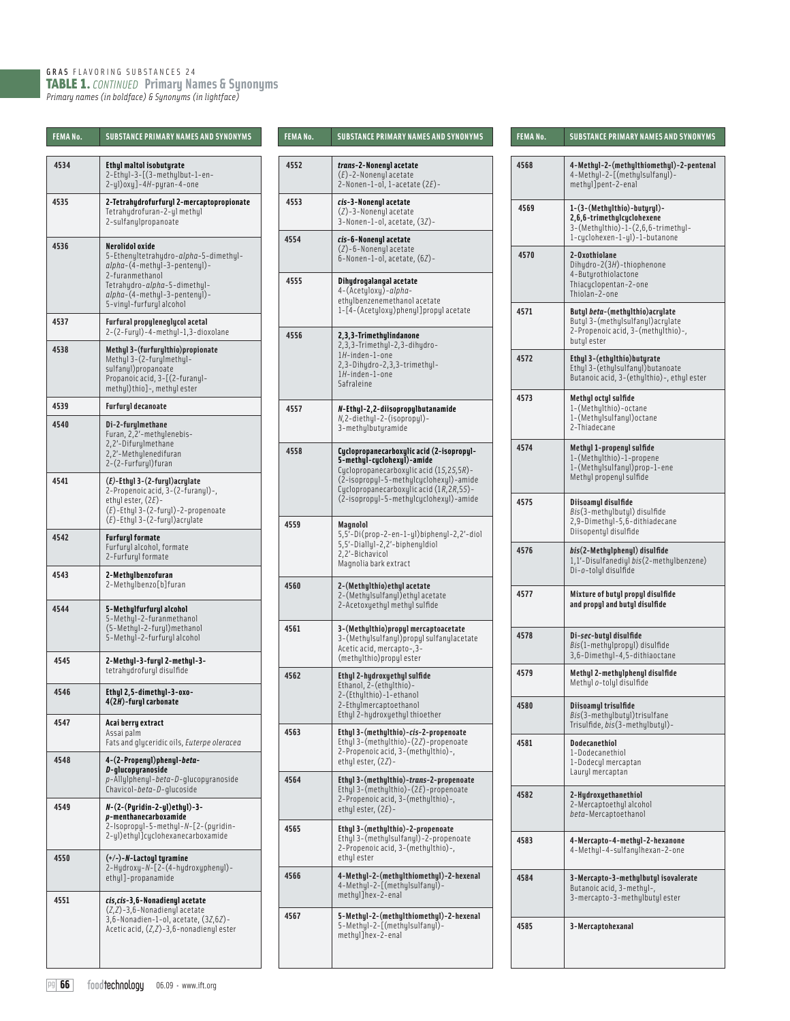GRAS FLAVORING SUBSTANCES 24 TABLE 1. *CONTINUED* **Primary Names & Synonyms** *Primary names (in boldface) & Synonyms (in lightface)*

| FEMA No. | <b>SUBSTANCE PRIMARY NAMES AND SYNONYMS</b>                                                                                                                                                             |
|----------|---------------------------------------------------------------------------------------------------------------------------------------------------------------------------------------------------------|
| 4534     | <b>Ethyl maltol isobuturate</b><br>2-Ethyl-3-[(3-methylbut-1-en-<br>$2-y1)$ oxy]-4H-pyran-4-one                                                                                                         |
| 4535     | 2-Tetrahydrofurfuryl 2-mercaptopropionate<br>Tetrahydrofuran-2-yl methyl<br>2-sulfanylpropanoate                                                                                                        |
| 4536     | Nerolidol oxide<br>5-Ethenyltetrahydro-alpha-5-dimethyl-<br>alpha-(4-methyl-3-pentenyl)-<br>2-furanmethanol<br>Tetrahydro-alpha-5-dimethyl-<br>alpha-(4-methyl-3-pentenyl)-<br>5-vinyl-furfuryl alcohol |
| 4537     | <b>Furfural propyleneglycol acetal</b><br>2-(2-Furyl)-4-methyl-1,3-dioxolane                                                                                                                            |
| 4538     | Methyl 3-(furfurylthio)propionate<br>Methyl 3-(2-furylmethyl-<br>sulfanyl) propanoate<br>Propanoic acid, 3-[(2-furanul-<br>methyl)thio]-, methyl ester                                                  |
| 4539     | <b>Furfuryl decanoate</b>                                                                                                                                                                               |
| 4540     | Di-2-furylmethane<br>Furan, 2,2'-methylenebis-<br>2,2'-Difurylmethane<br>2,2'-Methylenedifuran<br>2-(2-Furfuryl)furan                                                                                   |
| 4541     | $(E)$ -Ethyl 3- $(2$ -furyl)acrylate<br>2-Propenoic acid, 3-(2-furanyl)-,<br>ethyl ester, $(2E)$ -<br>$(E)$ -Ethyl 3-(2-furyl)-2-propenoate<br>(E)-Ethyl 3-(2-furyl)acrylate                            |
| 4542     | <b>Furfuryl formate</b><br>Furfuryl alcohol, formate<br>2-Furfuryl formate                                                                                                                              |
| 4543     | 2-Methylbenzofuran<br>2-Methylbenzo[b]furan                                                                                                                                                             |
| 4544     | 5-Methylfurfuryl alcohol<br>5-Methyl-2-furanmethanol<br>(5-Methyl-2-furyl) methanol<br>5-Methyl-2-furfurylalcohol                                                                                       |
| 4545     | 2-Methyl-3-furyl 2-methyl-3-<br>tetrahydrofuryl disulfide                                                                                                                                               |
| 4546     | Ethyl 2,5-dimethyl-3-oxo-<br>4(2H)-furyl carbonate                                                                                                                                                      |
| 4547     | Acai berry extract<br>Assai palm<br>Fats and gluceridic oils, Euterpe oleracea                                                                                                                          |
| 4548     | 4-(2-Propenyl)phenyl- <i>beta</i> -<br>D-glucopyranoside<br>p-Allylphenyl-beta-D-glucopyranoside<br>Chavicol-beta-D-glucoside                                                                           |
| 4549     | N-(2-(Pyridin-2-yl)ethyl)-3-<br>p-menthanecarboxamide<br>2-Isopropyl-5-methyl-N-[2-(pyridin-<br>2-yl)ethyl]cyclohexanecarboxamide                                                                       |
| 4550     | (+/-)-N-Lactoyl tyramine<br>2-Hydroxy-N-[2-(4-hydroxyphenyl)-<br>ethyl]-propanamide                                                                                                                     |
| 4551     | cis, cis-3, 6-Nonadienyl acetate<br>$(Z,Z)$ -3,6-Nonadienyl acetate<br>3,6-Nonadien-1-ol, acetate, (3Z,6Z)-<br>Acetic acid, $(Z, Z)$ -3,6-nonadienyl ester                                              |

| <b>FEMANo.</b> | <b>SUBSTANCE PRIMARY NAMES AND SYNONYMS</b>                                                                                                                                                                                                         |
|----------------|-----------------------------------------------------------------------------------------------------------------------------------------------------------------------------------------------------------------------------------------------------|
| 4552           | trans-2-Nonenyl acetate<br>$(E)$ -2-Nonenyl acetate<br>2-Nonen-1-ol, 1-acetate $(2E)$ -                                                                                                                                                             |
| 4553           | cis-3-Nonenyl acetate<br>$(Z)$ -3-Nonenyl acetate<br>3-Nonen-1-ol, acetate, (3Z)-                                                                                                                                                                   |
| 4554           | cis-6-Nonenyl acetate<br>$(Z)$ -6-Nonenyl acetate<br>6-Nonen-1-ol, acetate, (6Z)-                                                                                                                                                                   |
| 4555           | Dihydrogalangal acetate<br>4-(Acetyloxy)-alpha-<br>ethulbenzenemethanol acetate<br>1-[4-(Acetyloxy)phenyl]propylacetate                                                                                                                             |
| 4556           | 2,3,3-Trimethylindanone<br>2,3,3-Trimethyl-2,3-dihydro-<br>1H-inden-1-one<br>2,3-Dihydro-2,3,3-trimethyl-<br>1H-inden-1-one<br>Safraleine                                                                                                           |
| 4557           | N-Ethyl-2,2-diisopropylbutanamide<br>$N, 2$ -diethyl-2-(isopropyl)-<br>3-methylbutyramide                                                                                                                                                           |
| 4558           | Cyclopropanecarboxylic acid (2-isopropyl-<br>5-methyl-cyclohexyl)-amide<br>Cyclopropanecarboxylic acid (15,25,5R)-<br>(2-isopropyl-5-methylcyclohexyl)-amide<br>Cyclopropanecarboxylic acid (1R, 2R, 5S)-<br>(2-isopropyl-5-methylcyclohexyl)-amide |
| 4559           | Magnolol<br>5,5'-Di(prop-2-en-1-yl)biphenyl-2,2'-diol<br>5,5'-Diallyl-2,2'-biphenyldiol<br>2,2'-Bichavicol<br>Magnolia bark extract                                                                                                                 |
| 4560           | 2-(Methylthio)ethyl acetate<br>2-(Methylsulfanyl) ethyl acetate<br>2-Acetoxyethyl methyl sulfide                                                                                                                                                    |
| 4561           | 3-(Methylthio)propyl mercaptoacetate<br>3-(Methylsulfanyl) propyl sulfanylacetate<br>Acetic acid, mercapto-, 3-<br>(methulthio) propul ester                                                                                                        |
| 4562           | Ethyl 2-hydroxyethyl sulfide<br>Ethanol, 2-(ethulthio)-<br>2-(Ethylthio)-1-ethanol<br>2-Ethylmercaptoethanol<br>Ethyl 2-hydroxyethyl thioether                                                                                                      |
| 4563           | Ethyl 3-(methylthio)-cis-2-propenoate<br>Ethyl 3-(methylthio)-(2Z)-propenoate<br>2-Propenoic acid, 3-(methulthio)-,<br>ethyl ester, (2Z)-                                                                                                           |
| 4564           | Ethyl 3-(methylthio)-trans-2-propenoate<br>Ethyl 3-(methylthio)- $(2E)$ -propenoate<br>2-Propenoic acid, 3-(methylthio)-,<br>ethyl ester, $(2E)$ -                                                                                                  |
| 4565           | Ethyl 3-(methylthio)-2-propenoate<br>Ethyl 3-(methylsulfanyl)-2-propenoate<br>2-Propenoic acid, 3-(methylthio)-,<br>ethyl ester                                                                                                                     |
| 4566           | 4-Methyl-2-(methylthiomethyl)-2-hexenal<br>4-Methyl-2-[(methylsulfanyl)-<br>methyl]hex-2-enal                                                                                                                                                       |
| 4567           | 5-Methyl-2-(methylthiomethyl)-2-hexenal<br>5-Methyl-2-[(methylsulfanyl)-<br>methyl]hex-2-enal                                                                                                                                                       |

| FEMA No. | SUBSTANCE PRIMARY NAMES AND SYNONYMS                                                                                               |
|----------|------------------------------------------------------------------------------------------------------------------------------------|
| 4568     | 4-Methyl-2-(methylthiomethyl)-2-pentenal<br>4-Methyl-2-[(methylsulfanyl)-<br>methyl]pent-2-enal                                    |
| 4569     | 1-(3-(Methylthio)-butyryl)-<br>2,6,6-trimethylcyclohexene<br>3-(Methylthio)-1-(2,6,6-trimethyl-<br>1-cyclohexen-1-yl)-1-butanone   |
| 4570     | 2-Oxothiolane<br>Dihydro-2(3H)-thiophenone<br>4-Butyrothiolactone<br>Thiacyclopentan-2-one<br>Thiolan-2-one                        |
| 4571     | Butyl <i>beta</i> -(methylthio) acrylate<br>Butyl 3-(methylsulfanyl) acrylate<br>2-Propenoic acid, 3-(methylthio)-,<br>butyl ester |
| 4572     | Ethyl 3-(ethylthio)butyrate<br>Ethyl 3-(ethylsulfanyl) butanoate<br>Butanoic acid, 3-(ethylthio)-, ethyl ester                     |
| 4573     | Methyl octyl sulfide<br>1-(Methylthio)-octane<br>1-(Methylsulfanyl) octane<br>2-Thiadecane                                         |
| 4574     | Methyl 1-propenyl sulfide<br>1-(Methylthio)-1-propene<br>1-(Methylsulfanyl)prop-1-ene<br>Methyl propenyl sulfide                   |
| 4575     | Diisoamyl disulfide<br>Bis(3-methylbutyl) disulfide<br>2,9-Dimethyl-5,6-dithiadecane<br>Diisopentyl disulfide                      |
| 4576     | <i>bis</i> (2-Methylphenyl) disulfide<br>1,1'-Disulfanediyl bis(2-methylbenzene)<br>Di-o-tolyl disulfide                           |
| 4577     | Mixture of butyl propyl disulfide<br>and propyl and butyl disulfide                                                                |
| 4578     | Di-sec-butyl disulfide<br><i>Bis</i> (1-methylpropyl) disulfide<br>3,6-Dimethyl-4,5-dithiaoctane                                   |
| 4579     | Methyl 2-methylphenyl disulfide<br>Methyl o-tolyl disulfide                                                                        |
| 4580     | Diisoamyl trisulfide<br><i>Bis</i> (3-methylbutyl)trisulfane<br>Trisulfide, bis(3-methylbutyl)-                                    |
| 4581     | <b>Dodecanethiol</b><br>1-Dodecanethiol<br>1-Dodecyl mercaptan<br>Lauryl mercaptan                                                 |
| 4582     | 2-Hydroxyethanethiol<br>2-Mercaptoethyl alcohol<br>beta-Mercaptoethanol                                                            |
| 4583     | 4-Mercapto-4-methul-2-hexanone<br>4-Methyl-4-sulfanylhexan-2-one                                                                   |
| 4584     | 3-Mercapto-3-methylbutyl isovalerate<br>Butanoic acid, 3-methyl-,<br>3-mercapto-3-methylbutyl ester                                |
| 4585     | 3-Mercaptohexanal                                                                                                                  |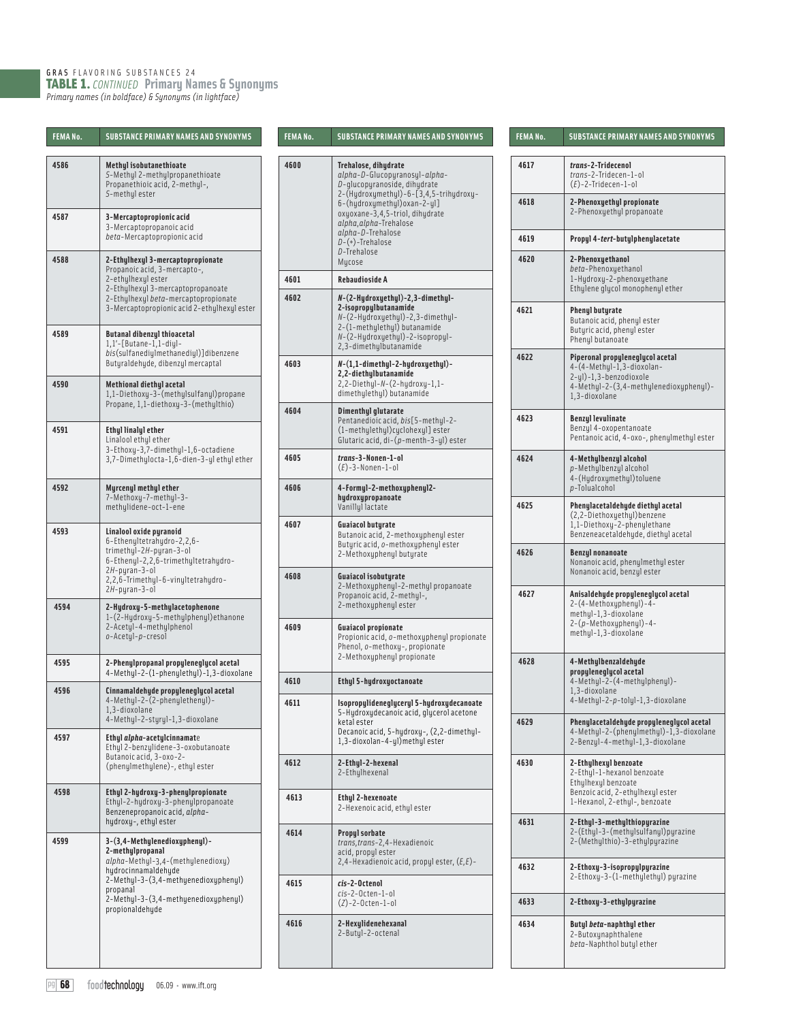GRAS FLAVORING SUBSTANCES 24 TABLE 1. *CONTINUED* **Primary Names & Synonyms** *Primary names (in boldface) & Synonyms (in lightface)*

| <b>FEMANo.</b> | <b>SUBSTANCE PRIMARY NAMES AND SYNONYMS</b>                                                                                                                                                                                  |
|----------------|------------------------------------------------------------------------------------------------------------------------------------------------------------------------------------------------------------------------------|
| 4586           | <b>Methyl isobutanethioate</b><br>S-Methyl 2-methylpropanethioate<br>Propanethioic acid, 2-methyl-,<br>S-methyl ester                                                                                                        |
| 4587           | 3-Mercaptopropionic acid<br>3-Mercaptopropanoic acid<br>beta-Mercaptopropionic acid                                                                                                                                          |
| 4588           | 2-Ethylhexyl 3-mercaptopropionate<br>Propanoic acid, 3-mercapto-,<br>2-ethylhexyl ester<br>2-Ethylhexyl 3-mercaptopropanoate<br>2-Ethylhexyl beta-mercaptopropionate<br>3-Mercaptopropionic acid 2-ethylhexyl ester          |
| 4589           | <b>Butanal dibenzyl thioacetal</b><br>1,1'-[Butane-1,1-diyl-<br>bis(sulfanediylmethanediyl)]dibenzene<br>Butyraldehyde, dibenzyl mercaptal                                                                                   |
| 4590           | Methional diethyl acetal<br>1,1-Diethoxy-3-(methylsulfanyl)propane<br>Propane, 1,1-diethoxy-3-(methylthio)                                                                                                                   |
| 4591           | Ethyl linalyl ether<br>Linalool ethyl ether<br>3-Ethoxy-3,7-dimethyl-1,6-octadiene<br>3,7-Dimethylocta-1,6-dien-3-yl ethyl ether                                                                                             |
| 4592           | Myrcenyl methyl ether<br>7-Methoxy-7-methyl-3-<br>methylidene-oct-1-ene                                                                                                                                                      |
| 4593           | Linalool oxide pyranoid<br>6-Ethenyltetrahydro-2,2,6-<br>trimethyl-2H-pyran-3-ol<br>6-Ethenyl-2,2,6-trimethyltetrahydro-<br>$2H$ -pyran-3-ol<br>2,2,6-Trimethyl-6-vinyltetrahydro-<br>2H-pyran-3-ol                          |
| 4594           | 2-Hydroxy-5-methylacetophenone<br>1-(2-Hydroxy-5-methylphenyl) ethanone<br>2-Acetyl-4-methylphenol<br>o-Acetyl-p-cresol                                                                                                      |
| 4595           | 2-Phenylpropanal propyleneglycol acetal<br>4-Methyl-2-(1-phenylethyl)-1,3-dioxolane                                                                                                                                          |
| 4596           | Cinnamaldehyde propyleneglycol acetal<br>4-Methyl-2-(2-phenylethenyl)-<br>1,3-dioxolane<br>4-Methyl-2-styryl-1,3-dioxolane                                                                                                   |
| 4597           | Ethyl alpha-acetylcinnamate<br>Ethyl 2-benzylidene-3-oxobutanoate<br>Butanoic acid, 3-oxo-2-<br>(phenylmethylene) -, ethyl ester                                                                                             |
| 4598           | Ethyl 2-hydroxy-3-phenylpropionate<br>Ethyl-2-hydroxy-3-phenylpropanoate<br>Benzenepropanoic acid, alpha-<br>hydroxy-, ethyl ester                                                                                           |
| 4599           | 3-(3,4-Methylenedioxyphenyl)-<br>2-methylpropanal<br>alpha-Methyl-3,4-(methylenedioxy)<br>hydrocinnamaldehyde<br>2-Methyl-3-(3,4-methyenedioxyphenyl)<br>propanal<br>2-Methyl-3-(3,4-methyenedioxyphenyl)<br>propionaldehyde |

| FEMANo. | <b>SUBSTANCE PRIMARY NAMES AND SYNONYMS</b>                                                                                                                                                                                                                                                     |
|---------|-------------------------------------------------------------------------------------------------------------------------------------------------------------------------------------------------------------------------------------------------------------------------------------------------|
| 4600    | Trehalose, dihudrate<br>alpha-D-Glucopyranosyl-alpha-<br>D-glucopyranoside, dihydrate<br>2-(Hydroxymethyl)-6-[3,4,5-trihydroxy-<br>6-(hydroxymethyl)oxan-2-yl]<br>oxyoxane-3,4,5-triol, dihydrate<br>alpha, alpha-Trehalose<br>alpha-D-Trehalose<br>$D-(+)$ -Trehalose<br>D-Trehalose<br>Mucose |
| 4601    | Rebaudioside A                                                                                                                                                                                                                                                                                  |
| 4602    | N-(2-Hydroxyethyl)-2,3-dimethyl-<br>2-isopropulbutanamide<br>N-(2-Hydroxyethyl)-2,3-dimethyl-<br>2-(1-methylethyl) butanamide<br>N-(2-Hydroxyethyl)-2-isopropyl-<br>2,3-dimethylbutanamide                                                                                                      |
| 4603    | N-(1,1-dimethyl-2-hydroxyethyl)-<br>2,2-diethylbutanamide<br>2,2-Diethyl-N-(2-hydroxy-1,1-<br>dimethylethyl) butanamide                                                                                                                                                                         |
| 4604    | Dimenthyl glutarate<br>Pentanedioic acid, bis[5-methul-2-<br>(1-methylethyl)cyclohexyl] ester<br>Glutaric acid, $di-(p-menth-3-yl)$ ester                                                                                                                                                       |
| 4605    | trans-3-Nonen-1-ol<br>$(E)$ -3-Nonen-1-ol                                                                                                                                                                                                                                                       |
| 4606    | 4-Formul-2-methoxuphenul2-<br>hydroxypropanoate<br>Vanillyl lactate                                                                                                                                                                                                                             |
| 4607    | <b>Guaiacol butyrate</b><br>Butanoic acid, 2-methoxyphenyl ester<br>Butyric acid, o-methoxyphenyl ester<br>2-Methoxyphenyl butyrate                                                                                                                                                             |
| 4608    | <b>Guaiacol isobutyrate</b><br>2-Methoxyphenyl-2-methyl propanoate<br>Propanoic acid, 2-methul-,<br>2-methoxyphenyl ester                                                                                                                                                                       |
| 4609    | Guaiacol propionate<br>Propionic acid, o-methoxyphenyl propionate<br>Phenol, o-methoxy-, propionate<br>2-Methoxuphenul propionate                                                                                                                                                               |
| 4610    | Ethyl 5-hydroxyoctanoate                                                                                                                                                                                                                                                                        |
| 4611    | Isopropylideneglyceryl 5-hydroxydecanoate<br>5-Hydroxydecanoic acid, glycerol acetone<br>ketal ester<br>Decanoic acid, 5-hydroxy-, (2,2-dimethyl-<br>1,3-dioxolan-4-yl)methyl ester                                                                                                             |
| 4612    | 2-Ethyl-2-hexenal<br>2-Ethylhexenal                                                                                                                                                                                                                                                             |
| 4613    | Ethyl 2-hexenoate<br>2-Hexenoic acid, ethyl ester                                                                                                                                                                                                                                               |
| 4614    | <b>Propyl sorbate</b><br>trans, trans-2, 4-Hexadienoic<br>acid, propul ester<br>2,4-Hexadienoic acid, propyl ester, (E,E)-                                                                                                                                                                      |
| 4615    | cis-2-Octenol<br>cis-2-Octen-1-ol<br>$(Z) - 2 - 0$ cten-1-ol                                                                                                                                                                                                                                    |
| 4616    | 2-Hexylidenehexanal<br>2-Butyl-2-octenal                                                                                                                                                                                                                                                        |

| FEMA No. | <b>SUBSTANCE PRIMARY NAMES AND SYNONYMS</b>                                                                                                        |
|----------|----------------------------------------------------------------------------------------------------------------------------------------------------|
| 4617     | trans-2-Tridecenol<br>trans-2-Tridecen-1-ol<br>$(E)$ -2-Tridecen-1-ol                                                                              |
| 4618     | 2-Phenoxyethyl propionate<br>2-Phenoxyethyl propanoate                                                                                             |
| 4619     | Propyl 4-tert-butylphenylacetate                                                                                                                   |
| 4620     | 2-Phenoxyethanol<br>beta-Phenoxyethanol<br>1-Hydroxy-2-phenoxyethane<br>Ethylene glycol monophenyl ether                                           |
| 4621     | Phenyl butyrate<br>Butanoic acid, phenyl ester<br>Butyric acid, phenyl ester<br>Phenyl butanoate                                                   |
| 4622     | Piperonal propyleneglycol acetal<br>4-(4-Methyl-1,3-dioxolan-<br>2-yl)-1,3-benzodioxole<br>4-Methyl-2-(3,4-methylenedioxyphenyl)-<br>1.3-dioxolane |
| 4623     | <b>Benzyl levulinate</b><br>Benzyl 4-oxopentanoate<br>Pentanoic acid, 4-oxo-, phenylmethyl ester                                                   |
| 4624     | 4-Methylbenzyl alcohol<br>p-Methulbenzul alcohol<br>4-(Hydroxymethyl) toluene<br>$p$ -Tolualcohol                                                  |
| 4625     | Phenylacetaldehyde diethyl acetal<br>(2,2-Diethoxyethyl) benzene<br>1,1-Diethoxy-2-phenylethane<br>Benzeneacetaldehyde, diethyl acetal             |
| 4626     | <b>Benzyl nonanoate</b><br>Nonanoic acid, phenylmethyl ester<br>Nonanoic acid, benzyl ester                                                        |
| 4627     | Anisaldehyde propyleneglycol acetal<br>2-(4-Methoxyphenyl)-4-<br>methyl-1,3-dioxolane<br>2-(p-Methoxyphenyl)-4-<br>methyl-1,3-dioxolane            |
| 4628     | 4-Methylbenzaldehyde<br>propyleneglycol acetal<br>4-Methyl-2-(4-methylphenyl)-<br>1,3-dioxolane<br>4-Methyl-2-p-tolyl-1,3-dioxolane                |
| 4629     | Phenylacetaldehyde propyleneglycol acetal<br>4-Methyl-2-(phenylmethyl)-1,3-dioxolane<br>2-Benzyl-4-methyl-1,3-dioxolane                            |
| 4630     | 2-Ethylhexyl benzoate<br>2-Ethyl-1-hexanol benzoate<br>Ethylhexyl benzoate<br>Benzoic acid, 2-ethylhexyl ester<br>1-Hexanol, 2-ethyl-, benzoate    |
| 4631     | 2-Ethyl-3-methylthiopyrazine<br>2-(Ethyl-3-(methylsulfanyl)pyrazine<br>2-(Methylthio)-3-ethylpyrazine                                              |
| 4632     | 2-Ethoxy-3-isopropylpyrazine<br>2-Ethoxy-3-(1-methylethyl) pyrazine                                                                                |
| 4633     | 2-Ethoxy-3-ethylpyrazine                                                                                                                           |
| 4634     | Butyl <i>beta</i> -naphthyl ether<br>2-Butoxynaphthalene<br><i>beta</i> -Naphthol butyl ether                                                      |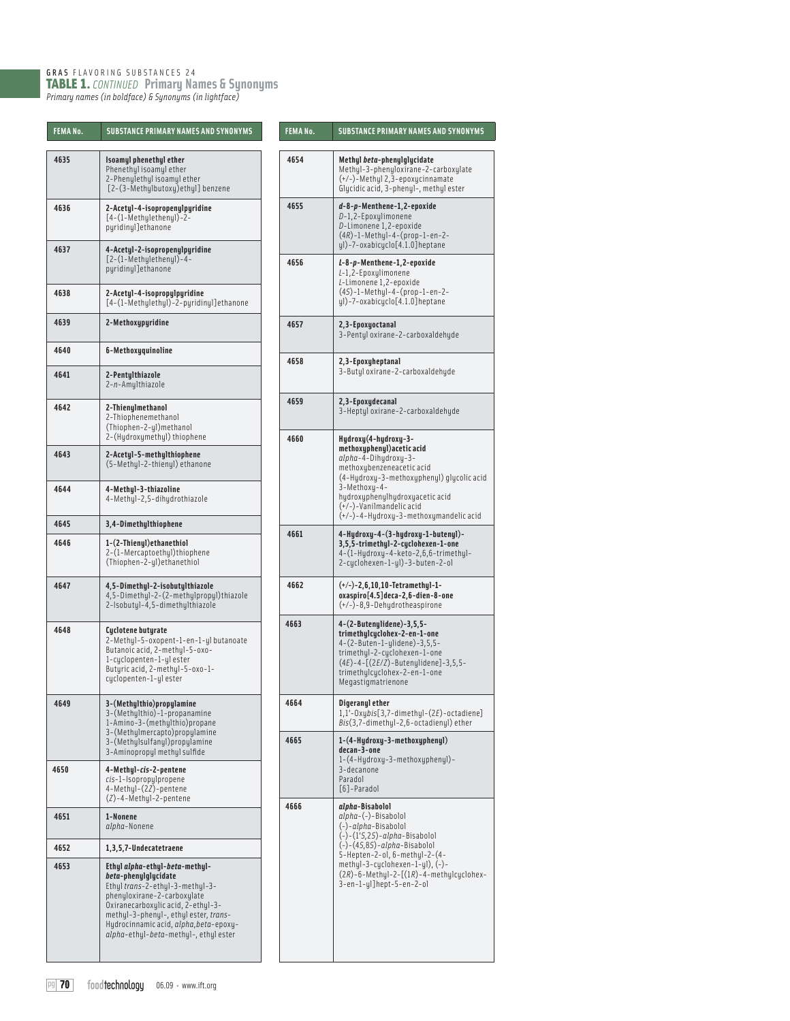GRAS FLAVORING SUBSTANCES 24 TABLE 1. *CONTINUED* **Primary Names & Synonyms** *Primary names (in boldface) & Synonyms (in lightface)*

| FEMA NO. | SUBSIANLE PKIMAKY NAMES AND SYNUNYMS                                                                                                                                                                                                                                                       |
|----------|--------------------------------------------------------------------------------------------------------------------------------------------------------------------------------------------------------------------------------------------------------------------------------------------|
| 4635     | Isoamyl phenethyl ether<br>Phenethyl isoamyl ether<br>2-Phenylethyl isoamyl ether<br>[2-(3-Methylbutoxy)ethyl] benzene                                                                                                                                                                     |
| 4636     | 2-Acetyl-4-isopropenylpyridine<br>$[4-(1-Methy]etheny]$ )-2-<br>pyridinyl]ethanone                                                                                                                                                                                                         |
| 4637     | 4-Acetyl-2-isopropenylpyridine<br>[2-(1-Methulethenul)-4-<br>puridinul]ethanone                                                                                                                                                                                                            |
| 4638     | 2-Acetyl-4-isopropylpyridine<br>[4-(1-Methylethyl)-2-pyridinyl]ethanone                                                                                                                                                                                                                    |
| 4639     | 2-Methoxypyridine                                                                                                                                                                                                                                                                          |
| 4640     | 6-Methoxyquinoline                                                                                                                                                                                                                                                                         |
| 4641     | 2-Pentylthiazole<br>2-n-Amylthiazole                                                                                                                                                                                                                                                       |
| 4642     | 2-Thienylmethanol<br>2-Thiophenemethanol<br>(Thiophen-2-yl)methanol<br>2-(Hydroxymethyl) thiophene                                                                                                                                                                                         |
| 4643     | 2-Acetyl-5-methylthiophene<br>(5-Methyl-2-thienyl) ethanone                                                                                                                                                                                                                                |
| 4644     | 4-Methyl-3-thiazoline<br>4-Methyl-2,5-dihydrothiazole                                                                                                                                                                                                                                      |
| 4645     | 3,4-Dimethylthiophene                                                                                                                                                                                                                                                                      |
| 4646     | 1-(2-Thienyl)ethanethiol<br>2-(1-Mercaptoethyl)thiophene<br>(Thiophen-2-yl) ethanethiol                                                                                                                                                                                                    |
| 4647     | 4,5-Dimethyl-2-isobutylthiazole<br>4,5-Dimethyl-2-(2-methylpropyl)thiazole<br>2-Isobutyl-4,5-dimethylthiazole                                                                                                                                                                              |
| 4648     | Cyclotene butyrate<br>2-Methyl-5-oxopent-1-en-1-yl butanoate<br>Butanoic acid, 2-methyl-5-oxo-<br>1-cyclopenten-1-ylester<br>Butyric acid, 2-methyl-5-oxo-1-<br>cyclopenten-1-ylester                                                                                                      |
| 4649     | 3-(Methylthio)propylamine<br>3-(Methylthio)-1-propanamine<br>1-Amino-3-(methylthio)propane<br>3-(Methylmercapto)propylamine<br>3-(Methylsulfanyl)propylamine<br>3-Aminopropyl methyl sulfide                                                                                               |
| 4650     | 4-Methyl-cis-2-pentene<br>cis-1-Isopropylpropene<br>4-Methyl-(2Z)-pentene<br>(Z)-4-Methyl-2-pentene                                                                                                                                                                                        |
| 4651     | 1-Nonene<br>alpha-Nonene                                                                                                                                                                                                                                                                   |
| 4652     | 1,3,5,7-Undecatetraene                                                                                                                                                                                                                                                                     |
| 4653     | Ethyl alpha-ethyl-beta-methyl-<br>beta-phenylglycidate<br>Ethyl trans-2-ethyl-3-methyl-3-<br>phenyloxirane-2-carboxylate<br>Oxiranecarboxulic acid, 2-ethul-3-<br>methyl-3-phenyl-, ethyl ester, trans-<br>Hydrocinnamic acid, alpha, beta-epoxy-<br>alpha-ethyl-beta-methyl-, ethyl ester |

| FEMANo.      | <b>SUBSTANCE PRIMARY NAMES AND SYNONYMS</b>                                                                                                                                                                                                                                                | FEMANo. | <b>SUBSTANCE PRIMARY NAMES AND SYNONYMS</b>                                                                                                                                                                                         |
|--------------|--------------------------------------------------------------------------------------------------------------------------------------------------------------------------------------------------------------------------------------------------------------------------------------------|---------|-------------------------------------------------------------------------------------------------------------------------------------------------------------------------------------------------------------------------------------|
| 4635         | Isoamyl phenethyl ether<br>Phenethyl isoamyl ether<br>2-Phenulethul isoamul ether<br>[2-(3-Methylbutoxy)ethyl] benzene                                                                                                                                                                     | 4654    | Methyl beta-phenylglycidate<br>Methyl-3-phenyloxirane-2-carboxylate<br>$(+/-)$ -Methyl 2,3-epoxycinnamate<br>Glucidic acid, 3-phenul-, methul ester                                                                                 |
| 4636         | 2-Acetyl-4-isopropenylpyridine<br>$[4-(1-Methy]etheny]$ -2-<br>pyridinyl]ethanone                                                                                                                                                                                                          | 4655    | d-8-p-Menthene-1,2-epoxide<br>D-1,2-Epoxylimonene<br>D-Limonene 1,2-epoxide<br>$(4R) - 1 - Methyl - 4 - (prop - 1 - en - 2 -$<br>ul)-7-oxabicuclo[4.1.0]heptane                                                                     |
| 4637<br>4638 | 4-Acetyl-2-isopropenylpyridine<br>[2-(1-Methulethenul)-4-<br>pyridinyl]ethanone<br>2-Acetyl-4-isopropylpyridine                                                                                                                                                                            | 4656    | L-8-p-Menthene-1,2-epoxide<br>L-1,2-Epoxylimonene<br>L-Limonene 1,2-epoxide<br>$(45) - 1 - \text{Methul} - 4 - (\text{prop} - 1 - \text{en} - 2 -$                                                                                  |
|              | [4-(1-Methylethyl)-2-pyridinyl]ethanone                                                                                                                                                                                                                                                    |         | yl)-7-oxabicyclo[4.1.0]heptane                                                                                                                                                                                                      |
| 4639         | 2-Methoxypyridine                                                                                                                                                                                                                                                                          | 4657    | 2,3-Epoxyoctanal<br>3-Pentyl oxirane-2-carboxaldehyde                                                                                                                                                                               |
| 4640<br>4641 | 6-Methoxyquinoline<br>2-Pentylthiazole                                                                                                                                                                                                                                                     | 4658    | 2,3-Epoxyheptanal<br>3-Butul oxirane-2-carboxaldehude                                                                                                                                                                               |
| 4642         | 2-n-Amylthiazole<br>2-Thienylmethanol<br>2-Thiophenemethanol<br>(Thiophen-2-yl)methanol                                                                                                                                                                                                    | 4659    | 2,3-Epoxydecanal<br>3-Heptul oxirane-2-carboxaldehude                                                                                                                                                                               |
| 4643<br>4644 | 2-(Hydroxymethyl) thiophene<br>2-Acetyl-5-methylthiophene<br>(5-Methyl-2-thienyl) ethanone<br>4-Methyl-3-thiazoline                                                                                                                                                                        | 4660    | Hydroxy(4-hydroxy-3-<br>methoxuphenul) acetic acid<br>alpha-4-Dihydroxy-3-<br>methoxybenzeneacetic acid<br>(4-Hydroxy-3-methoxyphenyl) glycolic acid<br>3-Methoxu-4-                                                                |
|              | 4-Methyl-2,5-dihydrothiazole                                                                                                                                                                                                                                                               |         | hydroxyphenylhydroxyacetic acid<br>(+/-)-Vanilmandelic acid<br>(+/-)-4-Hydroxy-3-methoxymandelic acid                                                                                                                               |
| 4645<br>4646 | 3,4-Dimethylthiophene<br>1-(2-Thienyl) ethanethiol<br>2-(1-Mercaptoethyl)thiophene<br>(Thiophen-2-yl) ethanethiol                                                                                                                                                                          | 4661    | 4-Hydroxy-4-(3-hydroxy-1-butenyl)-<br>3,5,5-trimethyl-2-cyclohexen-1-one<br>4-(1-Hydroxy-4-keto-2,6,6-trimethyl-<br>2-cyclohexen-1-yl)-3-buten-2-ol                                                                                 |
| 4647         | 4,5-Dimethyl-2-isobutylthiazole<br>4,5-Dimethyl-2-(2-methylpropyl)thiazole<br>2-Isobutyl-4,5-dimethylthiazole                                                                                                                                                                              | 4662    | $(+/-)$ -2,6,10,10-Tetramethyl-1-<br>oxaspiro[4.5]deca-2,6-dien-8-one<br>$(+/-)-8,9-Dehydrothe aspirone$                                                                                                                            |
| 4648         | Cyclotene butyrate<br>2-Methyl-5-oxopent-1-en-1-yl butanoate<br>Butanoic acid, 2-methyl-5-oxo-<br>1-cuclopenten-1-ul ester<br>Butyric acid, 2-methyl-5-oxo-1-<br>cyclopenten-1-yl ester                                                                                                    | 4663    | 4-(2-Butenylidene)-3,5,5-<br>trimethylcyclohex-2-en-1-one<br>$4-(2-Buten-1-ylidene)-3,5,5-$<br>trimethyl-2-cyclohexen-1-one<br>$(4E) - 4 - [(2E/Z) - Butenulidene] - 3,5,5 -$<br>trimethylcyclohex-2-en-1-one<br>Megastigmatrienone |
| 4649         | 3-(Methylthio)propylamine<br>3-(Methylthio)-1-propanamine<br>1-Amino-3-(methylthio)propane                                                                                                                                                                                                 | 4664    | Digeranyl ether<br>$1,1'-0$ xubis[3,7-dimethul- $(2E)$ -octadiene]<br>Bis(3,7-dimethul-2,6-octadienul) ether                                                                                                                        |
|              | 3-(Methylmercapto)propylamine<br>3-(Methylsulfanyl)propylamine<br>3-Aminopropyl methyl sulfide                                                                                                                                                                                             | 4665    | 1-(4-Hydroxy-3-methoxyphenyl)<br>decan-3-one<br>1-(4-Hydroxy-3-methoxyphenyl)-                                                                                                                                                      |
| 4650         | 4-Methyl-cis-2-pentene<br>cis-1-Isopropylpropene<br>4-Methyl-(2Z)-pentene<br>(Z)-4-Methyl-2-pentene                                                                                                                                                                                        |         | 3-decanone<br>Paradol<br>[6]-Paradol                                                                                                                                                                                                |
| 4651         | 1-Nonene<br>alpha-Nonene                                                                                                                                                                                                                                                                   | 4666    | <i>alpha-</i> Bisabolol<br>alpha-(-)-Bisabolol<br>(-)-alpha-Bisabolol<br>(-)-(1'5,25)-alpha-Bisabolol                                                                                                                               |
| 4652         | 1,3,5,7-Undecatetraene                                                                                                                                                                                                                                                                     |         | (-)-(45,85)-alpha-Bisabolol<br>5-Hepten-2-ol, 6-methyl-2-(4-                                                                                                                                                                        |
| 4653         | Ethyl alpha-ethyl-beta-methyl-<br>beta-phenylglycidate<br>Ethyl trans-2-ethyl-3-methyl-3-<br>phenyloxirane-2-carboxylate<br>Oxiranecarboxylic acid, 2-ethyl-3-<br>methyl-3-phenyl-, ethyl ester, trans-<br>Hydrocinnamic acid, alpha, beta-epoxy-<br>alpha-ethyl-beta-methyl-, ethyl ester |         | $method-3-cyclohexen-1-yl), (-) -$<br>$(2R)$ -6-Methyl-2- $[(1R)$ -4-methylcyclohex-<br>3-en-1-yl]hept-5-en-2-ol                                                                                                                    |

pg 70 foodtechnology 06.09 · www.ift.org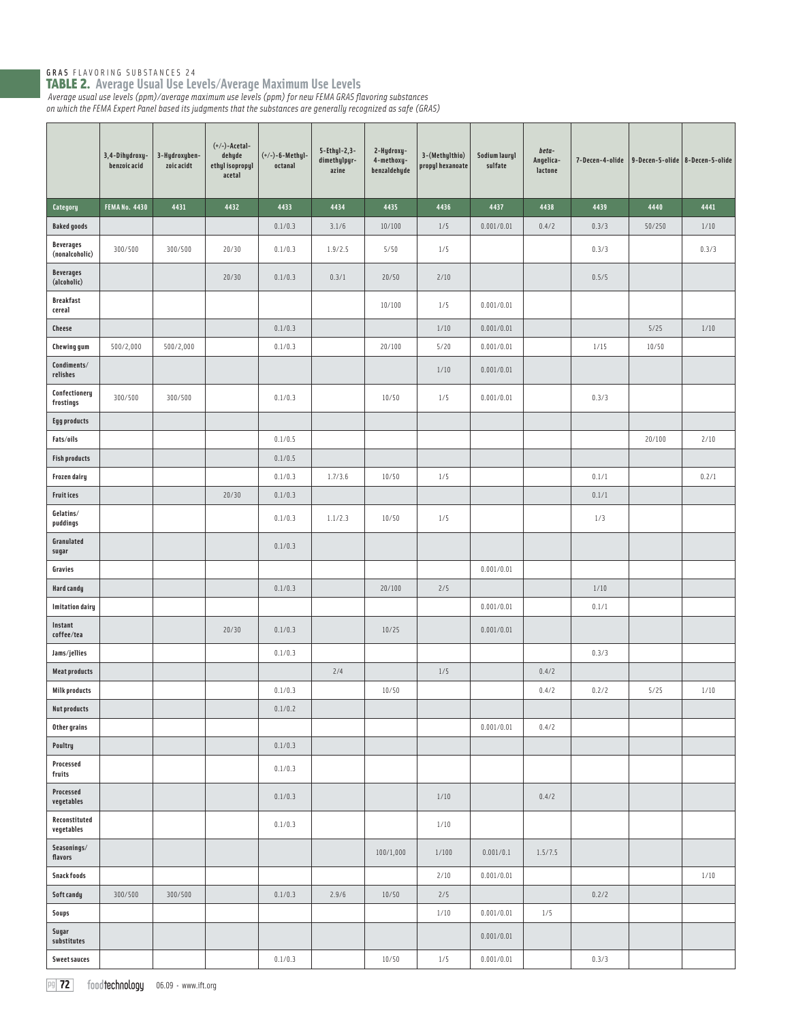GRAS FLAVORING SUBSTANCES 24 TABLE 2. **Average Usual Use Levels/Average Maximum Use Levels** *Average usual use levels (ppm)/average maximum use levels (ppm) for new FEMA GRAS fl avoring substances* 

*on which the FEMA Expert Panel based its judgments that the substances are generally recognized as safe (GRAS)* 

|                                    | 3,4-Dihydroxy-<br>benzoic acid | 3-Hydroxyben-<br>zoic acidt | $(+/-)$ -Acetal-<br>dehyde<br>ethyl isopropyl<br>acetal | $(+/-)-6$ -Methyl-<br>octanal | $5-Ethyl-2,3-$<br>dimethylpyr-<br>azine | 2-Hydroxy-<br>4-methoxy-<br>benzaldehyde | 3-(Methylthio)<br>propyl hexanoate | Sodium lauryl<br>sulfate | $beta-$<br>Angelica-<br>lactone | 7-Decen-4-olide   9-Decen-5-olide   8-Decen-5-olide |        |        |
|------------------------------------|--------------------------------|-----------------------------|---------------------------------------------------------|-------------------------------|-----------------------------------------|------------------------------------------|------------------------------------|--------------------------|---------------------------------|-----------------------------------------------------|--------|--------|
| Category                           | <b>FEMANo. 4430</b>            | 4431                        | 4432                                                    | 4433                          | 4434                                    | 4435                                     | 4436                               | 4437                     | 4438                            | 4439                                                | 4440   | 4441   |
| <b>Baked goods</b>                 |                                |                             |                                                         | 0.1/0.3                       | 3.1/6                                   | 10/100                                   | 1/5                                | 0.001/0.01               | 0.4/2                           | 0.3/3                                               | 50/250 | $1/10$ |
| <b>Beverages</b><br>(nonalcoholic) | 300/500                        | 300/500                     | 20/30                                                   | 0.1/0.3                       | 1.9/2.5                                 | 5/50                                     | 1/5                                |                          |                                 | 0.3/3                                               |        | 0.3/3  |
| <b>Beverages</b><br>(alcoholic)    |                                |                             | 20/30                                                   | 0.1/0.3                       | 0.3/1                                   | 20/50                                    | 2/10                               |                          |                                 | 0.5/5                                               |        |        |
| <b>Breakfast</b><br>cereal         |                                |                             |                                                         |                               |                                         | 10/100                                   | 1/5                                | 0.001/0.01               |                                 |                                                     |        |        |
| <b>Cheese</b>                      |                                |                             |                                                         | 0.1/0.3                       |                                         |                                          | 1/10                               | 0.001/0.01               |                                 |                                                     | 5/25   | 1/10   |
| Chewing gum                        | 500/2,000                      | 500/2,000                   |                                                         | 0.1/0.3                       |                                         | 20/100                                   | 5/20                               | 0.001/0.01               |                                 | 1/15                                                | 10/50  |        |
| Condiments/<br>relishes            |                                |                             |                                                         |                               |                                         |                                          | 1/10                               | 0.001/0.01               |                                 |                                                     |        |        |
| Confectionery<br>frostings         | 300/500                        | 300/500                     |                                                         | 0.1/0.3                       |                                         | 10/50                                    | 1/5                                | 0.001/0.01               |                                 | 0.3/3                                               |        |        |
| <b>Egg products</b>                |                                |                             |                                                         |                               |                                         |                                          |                                    |                          |                                 |                                                     |        |        |
| Fats/oils                          |                                |                             |                                                         | 0.1/0.5                       |                                         |                                          |                                    |                          |                                 |                                                     | 20/100 | 2/10   |
| <b>Fish products</b>               |                                |                             |                                                         | 0.1/0.5                       |                                         |                                          |                                    |                          |                                 |                                                     |        |        |
| Frozen dairy                       |                                |                             |                                                         | 0.1/0.3                       | 1.7/3.6                                 | 10/50                                    | 1/5                                |                          |                                 | 0.1/1                                               |        | 0.2/1  |
| <b>Fruitices</b>                   |                                |                             | 20/30                                                   | 0.1/0.3                       |                                         |                                          |                                    |                          |                                 | 0.1/1                                               |        |        |
| Gelatins/<br>puddings              |                                |                             |                                                         | 0.1/0.3                       | 1.1/2.3                                 | 10/50                                    | 1/5                                |                          |                                 | 1/3                                                 |        |        |
| Granulated<br>sugar                |                                |                             |                                                         | 0.1/0.3                       |                                         |                                          |                                    |                          |                                 |                                                     |        |        |
| Gravies                            |                                |                             |                                                         |                               |                                         |                                          |                                    | 0.001/0.01               |                                 |                                                     |        |        |
| Hard candy                         |                                |                             |                                                         | 0.1/0.3                       |                                         | 20/100                                   | 2/5                                |                          |                                 | 1/10                                                |        |        |
| <b>Imitation dairy</b>             |                                |                             |                                                         |                               |                                         |                                          |                                    | 0.001/0.01               |                                 | 0.1/1                                               |        |        |
| Instant<br>coffee/tea              |                                |                             | 20/30                                                   | 0.1/0.3                       |                                         | 10/25                                    |                                    | 0.001/0.01               |                                 |                                                     |        |        |
| Jams/jellies                       |                                |                             |                                                         | 0.1/0.3                       |                                         |                                          |                                    |                          |                                 | 0.3/3                                               |        |        |
| <b>Meat products</b>               |                                |                             |                                                         |                               | 2/4                                     |                                          | 1/5                                |                          | 0.4/2                           |                                                     |        |        |
| <b>Milk products</b>               |                                |                             |                                                         | 0.1/0.3                       |                                         | 10/50                                    |                                    |                          | 0.4/2                           | 0.2/2                                               | 5/25   | 1/10   |
| <b>Nut products</b>                |                                |                             |                                                         | 0.1/0.2                       |                                         |                                          |                                    |                          |                                 |                                                     |        |        |
| Other grains                       |                                |                             |                                                         |                               |                                         |                                          |                                    | 0.001/0.01               | 0.4/2                           |                                                     |        |        |
| Poultry<br>Processed               |                                |                             |                                                         | 0.1/0.3<br>0.1/0.3            |                                         |                                          |                                    |                          |                                 |                                                     |        |        |
| fruits<br>Processed<br>vegetables  |                                |                             |                                                         | 0.1/0.3                       |                                         |                                          | $1/10$                             |                          | 0.4/2                           |                                                     |        |        |
| Reconstituted<br>vegetables        |                                |                             |                                                         | 0.1/0.3                       |                                         |                                          | $1/10$                             |                          |                                 |                                                     |        |        |
| Seasonings/<br>flavors             |                                |                             |                                                         |                               |                                         | 100/1,000                                | 1/100                              | 0.001/0.1                | 1.5/7.5                         |                                                     |        |        |
| <b>Snack foods</b>                 |                                |                             |                                                         |                               |                                         |                                          | 2/10                               | 0.001/0.01               |                                 |                                                     |        | $1/10$ |
| Soft candy                         | 300/500                        | 300/500                     |                                                         | 0.1/0.3                       | 2.9/6                                   | 10/50                                    | 2/5                                |                          |                                 | 0.2/2                                               |        |        |
| Soups                              |                                |                             |                                                         |                               |                                         |                                          | $1/10$                             | 0.001/0.01               | 1/5                             |                                                     |        |        |
| Sugar<br>substitutes               |                                |                             |                                                         |                               |                                         |                                          |                                    | 0.001/0.01               |                                 |                                                     |        |        |
| <b>Sweet sauces</b>                |                                |                             |                                                         | 0.1/0.3                       |                                         | 10/50                                    | $1/5$                              | 0.001/0.01               |                                 | 0.3/3                                               |        |        |

pg 72 foodtechnology 06.09 · www.ift.org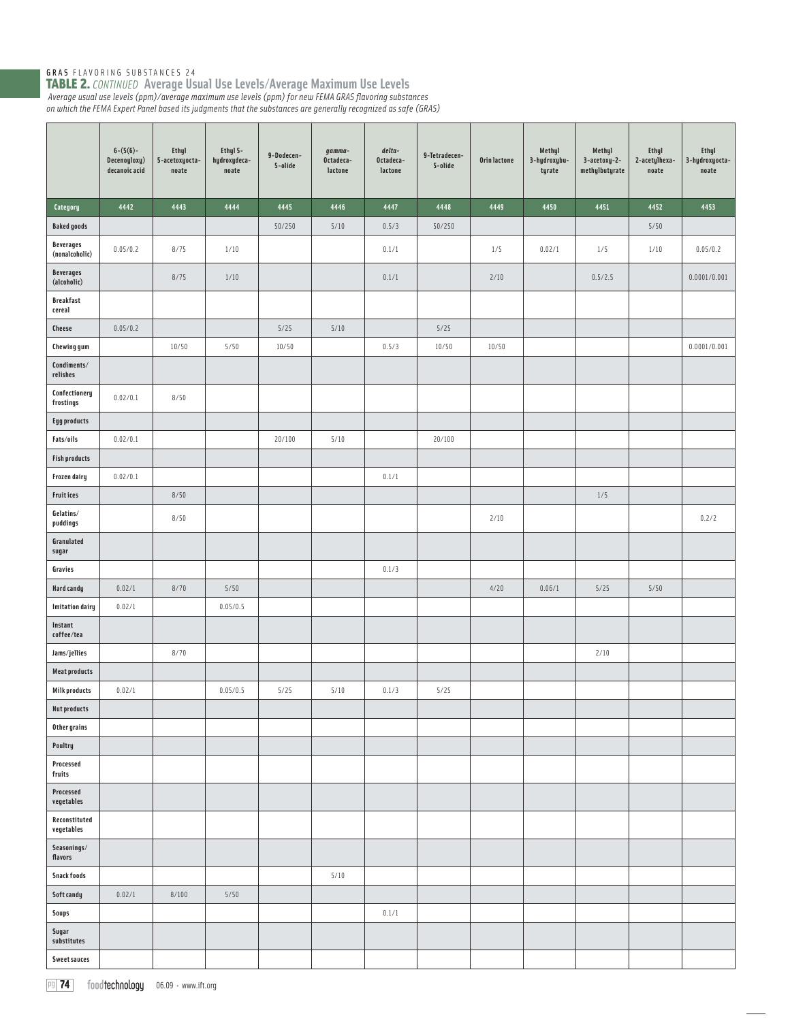|                                    | $6-(5(6)-$<br>Decenoyloxy)<br>decanoic acid | <b>Ethyl</b><br>5-acetoxyocta-<br>$\mathop{\mathtt{noate}}$ | Ethyl 5-<br>hydroxydeca-<br>noate | 9-Dodecen-<br>5-olide | gamma-<br>Octadeca-<br>lactone | $delta$ -<br>Octadeca-<br>lactone | 9-Tetradecen-<br>5-olide | Orin lactone | Methyl<br>3-hydroxybu-<br>tyrate | Methyl<br>3-acetoxy-2-<br>methylbutyrate | <b>Ethyl</b><br>2-acetylhexa-<br>$n$ oate | Ethyl<br>3-hydroxyocta-<br>$\mathop{\mathsf{noate}}$ |
|------------------------------------|---------------------------------------------|-------------------------------------------------------------|-----------------------------------|-----------------------|--------------------------------|-----------------------------------|--------------------------|--------------|----------------------------------|------------------------------------------|-------------------------------------------|------------------------------------------------------|
| Category                           | 4442                                        | 4443                                                        | 4444                              | 4445                  | 4446                           | 4447                              | 4448                     | 4449         | 4450                             | 4451                                     | 4452                                      | 4453                                                 |
| <b>Baked goods</b>                 |                                             |                                                             |                                   | 50/250                | 5/10                           | 0.5/3                             | 50/250                   |              |                                  |                                          | 5/50                                      |                                                      |
| <b>Beverages</b><br>(nonalcoholic) | 0.05/0.2                                    | 8/75                                                        | 1/10                              |                       |                                | 0.1/1                             |                          | 1/5          | 0.02/1                           | 1/5                                      | 1/10                                      | 0.05/0.2                                             |
| <b>Beverages</b><br>(alcoholic)    |                                             | 8/75                                                        | $1/10$                            |                       |                                | 0.1/1                             |                          | 2/10         |                                  | 0.5/2.5                                  |                                           | 0.0001/0.001                                         |
| <b>Breakfast</b><br>cereal         |                                             |                                                             |                                   |                       |                                |                                   |                          |              |                                  |                                          |                                           |                                                      |
| Cheese                             | 0.05/0.2                                    |                                                             |                                   | 5/25                  | $5/10$                         |                                   | $5/25$                   |              |                                  |                                          |                                           |                                                      |
| <b>Chewing gum</b>                 |                                             | 10/50                                                       | 5/50                              | 10/50                 |                                | 0.5/3                             | 10/50                    | 10/50        |                                  |                                          |                                           | 0.0001/0.001                                         |
| Condiments/<br>relishes            |                                             |                                                             |                                   |                       |                                |                                   |                          |              |                                  |                                          |                                           |                                                      |
| Confectionery<br>frostings         | 0.02/0.1                                    | 8/50                                                        |                                   |                       |                                |                                   |                          |              |                                  |                                          |                                           |                                                      |
| <b>Egg products</b>                |                                             |                                                             |                                   |                       |                                |                                   |                          |              |                                  |                                          |                                           |                                                      |
| Fats/oils                          | 0.02/0.1                                    |                                                             |                                   | 20/100                | 5/10                           |                                   | 20/100                   |              |                                  |                                          |                                           |                                                      |
| <b>Fish products</b>               |                                             |                                                             |                                   |                       |                                |                                   |                          |              |                                  |                                          |                                           |                                                      |
| Frozen dairy                       | 0.02/0.1                                    |                                                             |                                   |                       |                                | 0.1/1                             |                          |              |                                  |                                          |                                           |                                                      |
| <b>Fruitices</b>                   |                                             | 8/50                                                        |                                   |                       |                                |                                   |                          |              |                                  | $1/5$                                    |                                           |                                                      |
| Gelatins/<br>puddings              |                                             | 8/50                                                        |                                   |                       |                                |                                   |                          | 2/10         |                                  |                                          |                                           | 0.2/2                                                |
| Granulated<br>sugar                |                                             |                                                             |                                   |                       |                                |                                   |                          |              |                                  |                                          |                                           |                                                      |
| Gravies                            |                                             |                                                             |                                   |                       |                                | 0.1/3                             |                          |              |                                  |                                          |                                           |                                                      |
| Hard candy                         | 0.02/1                                      | 8/70                                                        | 5/50                              |                       |                                |                                   |                          | 4/20         | 0.06/1                           | $5/25$                                   | 5/50                                      |                                                      |
| <b>Imitation dairy</b>             | 0.02/1                                      |                                                             | 0.05/0.5                          |                       |                                |                                   |                          |              |                                  |                                          |                                           |                                                      |
| Instant<br>coffee/tea              |                                             |                                                             |                                   |                       |                                |                                   |                          |              |                                  |                                          |                                           |                                                      |
| Jams/jellies                       |                                             | 8/70                                                        |                                   |                       |                                |                                   |                          |              |                                  | 2/10                                     |                                           |                                                      |
| <b>Meat products</b>               |                                             |                                                             |                                   |                       |                                |                                   |                          |              |                                  |                                          |                                           |                                                      |
| <b>Milk products</b>               | 0.02/1                                      |                                                             | 0.05/0.5                          | 5/25                  | 5/10                           | 0.1/3                             | $5/25$                   |              |                                  |                                          |                                           |                                                      |
| <b>Nut products</b>                |                                             |                                                             |                                   |                       |                                |                                   |                          |              |                                  |                                          |                                           |                                                      |
| Other grains                       |                                             |                                                             |                                   |                       |                                |                                   |                          |              |                                  |                                          |                                           |                                                      |
| Poultry<br>Processed<br>fruits     |                                             |                                                             |                                   |                       |                                |                                   |                          |              |                                  |                                          |                                           |                                                      |
| Processed<br>vegetables            |                                             |                                                             |                                   |                       |                                |                                   |                          |              |                                  |                                          |                                           |                                                      |
| Reconstituted<br>vegetables        |                                             |                                                             |                                   |                       |                                |                                   |                          |              |                                  |                                          |                                           |                                                      |
| Seasonings/<br>flavors             |                                             |                                                             |                                   |                       |                                |                                   |                          |              |                                  |                                          |                                           |                                                      |
| <b>Snack foods</b>                 |                                             |                                                             |                                   |                       | $5/10$                         |                                   |                          |              |                                  |                                          |                                           |                                                      |
| Soft candy                         | 0.02/1                                      | 8/100                                                       | $5/50$                            |                       |                                |                                   |                          |              |                                  |                                          |                                           |                                                      |
| Soups                              |                                             |                                                             |                                   |                       |                                | 0.1/1                             |                          |              |                                  |                                          |                                           |                                                      |
| Sugar<br>substitutes               |                                             |                                                             |                                   |                       |                                |                                   |                          |              |                                  |                                          |                                           |                                                      |
| <b>Sweet sauces</b>                |                                             |                                                             |                                   |                       |                                |                                   |                          |              |                                  |                                          |                                           |                                                      |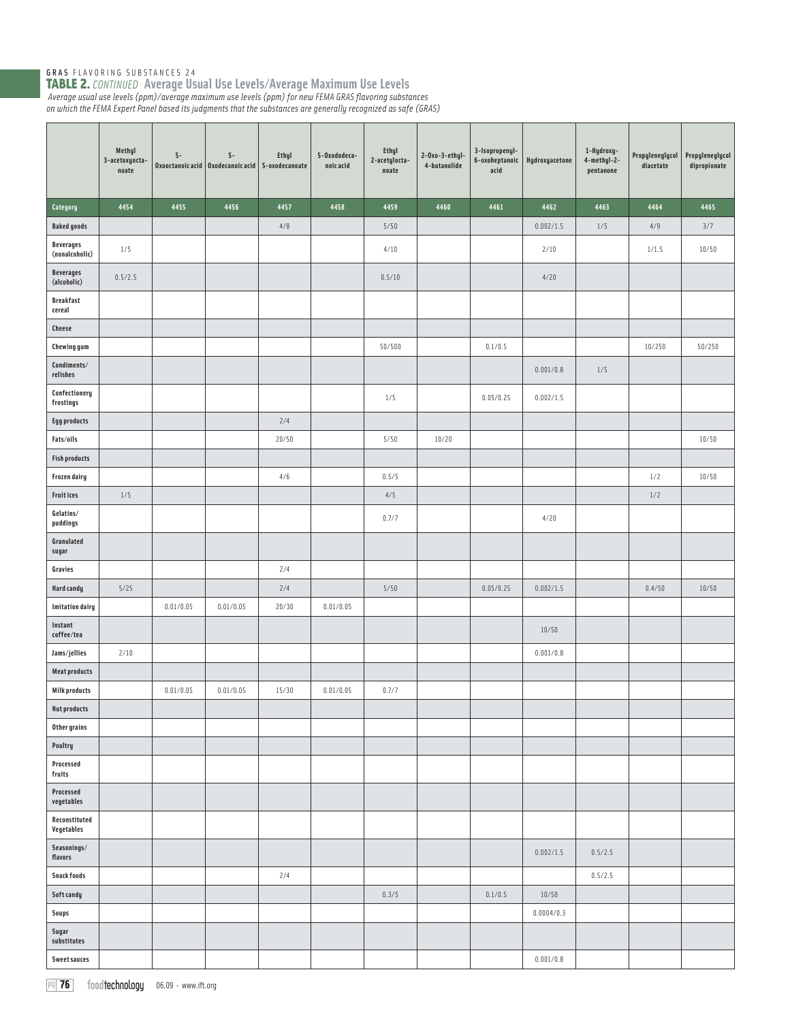|                                    | Methyl<br>3-acetoxyocta-<br>noate | $5-$      | $5-$<br>Oxooctanoic acid   Oxodecanoic acid | <b>Ethyl</b><br>5-oxodecanoate | 5-Oxododeca-<br>noic acid | <b>Ethyl</b><br>2-acetylocta-<br>noate | $2-0x0-3-ethyl-$<br>4-butanolide | 3-Isopropenyl-<br>6-oxoheptanoic<br>acid | Hydroxyacetone | 1-Hydroxy-<br>4-methyl-2-<br>pentanone | Propyleneglycol<br>diacetate | Propyleneglycol<br>dipropionate |
|------------------------------------|-----------------------------------|-----------|---------------------------------------------|--------------------------------|---------------------------|----------------------------------------|----------------------------------|------------------------------------------|----------------|----------------------------------------|------------------------------|---------------------------------|
| Category                           | 4454                              | 4455      | 4456                                        | 4457                           | 4458                      | 4459                                   | 4460                             | 4461                                     | 4462           | 4463                                   | 4464                         | 4465                            |
| <b>Baked goods</b>                 |                                   |           |                                             | 4/8                            |                           | 5/50                                   |                                  |                                          | 0.002/1.5      | $1/5$                                  | 4/9                          | 3/7                             |
| <b>Beverages</b><br>(nonalcoholic) | 1/5                               |           |                                             |                                |                           | 4/10                                   |                                  |                                          | 2/10           |                                        | 1/1.5                        | 10/50                           |
| <b>Beverages</b><br>(alcoholic)    | 0.5/2.5                           |           |                                             |                                |                           | 0.5/10                                 |                                  |                                          | 4/20           |                                        |                              |                                 |
| <b>Breakfast</b><br>cereal         |                                   |           |                                             |                                |                           |                                        |                                  |                                          |                |                                        |                              |                                 |
| Cheese                             |                                   |           |                                             |                                |                           |                                        |                                  |                                          |                |                                        |                              |                                 |
| <b>Chewing gum</b>                 |                                   |           |                                             |                                |                           | 50/500                                 |                                  | 0.1/0.5                                  |                |                                        | 10/250                       | 50/250                          |
| Condiments/<br>relishes            |                                   |           |                                             |                                |                           |                                        |                                  |                                          | 0.001/0.8      | $1/5$                                  |                              |                                 |
| Confectionery<br>frostings         |                                   |           |                                             |                                |                           | 1/5                                    |                                  | 0.05/0.25                                | 0.002/1.5      |                                        |                              |                                 |
| <b>Egg products</b>                |                                   |           |                                             | 2/4                            |                           |                                        |                                  |                                          |                |                                        |                              |                                 |
| Fats/oils                          |                                   |           |                                             | 20/50                          |                           | 5/50                                   | 10/20                            |                                          |                |                                        |                              | 10/50                           |
| <b>Fish products</b>               |                                   |           |                                             |                                |                           |                                        |                                  |                                          |                |                                        |                              |                                 |
| Frozen dairy                       |                                   |           |                                             | 4/6                            |                           | 0.5/5                                  |                                  |                                          |                |                                        | 1/2                          | 10/50                           |
| Fruit ices                         | 1/5                               |           |                                             |                                |                           | $4/5$                                  |                                  |                                          |                |                                        | $1/2$                        |                                 |
| Gelatins/<br>puddings              |                                   |           |                                             |                                |                           | 0.7/7                                  |                                  |                                          | 4/20           |                                        |                              |                                 |
| Granulated<br>sugar                |                                   |           |                                             |                                |                           |                                        |                                  |                                          |                |                                        |                              |                                 |
| Gravies                            |                                   |           |                                             | 2/4                            |                           |                                        |                                  |                                          |                |                                        |                              |                                 |
| Hard candy                         | 5/25                              |           |                                             | 2/4                            |                           | 5/50                                   |                                  | 0.05/0.25                                | 0.002/1.5      |                                        | 0.4/50                       | 10/50                           |
| <b>Imitation dairy</b>             |                                   | 0.01/0.05 | 0.01/0.05                                   | 20/30                          | 0.01/0.05                 |                                        |                                  |                                          |                |                                        |                              |                                 |
| Instant<br>coffee/tea              |                                   |           |                                             |                                |                           |                                        |                                  |                                          | 10/50          |                                        |                              |                                 |
| Jams/jellies                       | 2/10                              |           |                                             |                                |                           |                                        |                                  |                                          | 0.001/0.8      |                                        |                              |                                 |
| <b>Meat products</b>               |                                   |           |                                             |                                |                           |                                        |                                  |                                          |                |                                        |                              |                                 |
| <b>Milk products</b>               |                                   | 0.01/0.05 | 0.01/0.05                                   | 15/30                          | 0.01/0.05                 | 0.7/7                                  |                                  |                                          |                |                                        |                              |                                 |
| <b>Nut products</b>                |                                   |           |                                             |                                |                           |                                        |                                  |                                          |                |                                        |                              |                                 |
| Other grains                       |                                   |           |                                             |                                |                           |                                        |                                  |                                          |                |                                        |                              |                                 |
| Poultry<br>Processed               |                                   |           |                                             |                                |                           |                                        |                                  |                                          |                |                                        |                              |                                 |
| fruits<br>Processed<br>vegetables  |                                   |           |                                             |                                |                           |                                        |                                  |                                          |                |                                        |                              |                                 |
| Reconstituted<br>Vegetables        |                                   |           |                                             |                                |                           |                                        |                                  |                                          |                |                                        |                              |                                 |
| Seasonings/<br>flavors             |                                   |           |                                             |                                |                           |                                        |                                  |                                          | 0.002/1.5      | 0.5/2.5                                |                              |                                 |
| <b>Snack foods</b>                 |                                   |           |                                             | 2/4                            |                           |                                        |                                  |                                          |                | 0.5/2.5                                |                              |                                 |
| Soft candy                         |                                   |           |                                             |                                |                           | 0.3/5                                  |                                  | 0.1/0.5                                  | 10/50          |                                        |                              |                                 |
| Soups                              |                                   |           |                                             |                                |                           |                                        |                                  |                                          | 0.0004/0.3     |                                        |                              |                                 |
| Sugar                              |                                   |           |                                             |                                |                           |                                        |                                  |                                          |                |                                        |                              |                                 |
| substitutes                        |                                   |           |                                             |                                |                           |                                        |                                  |                                          |                |                                        |                              |                                 |
| <b>Sweet sauces</b>                |                                   |           |                                             |                                |                           |                                        |                                  |                                          | 0.001/0.8      |                                        |                              |                                 |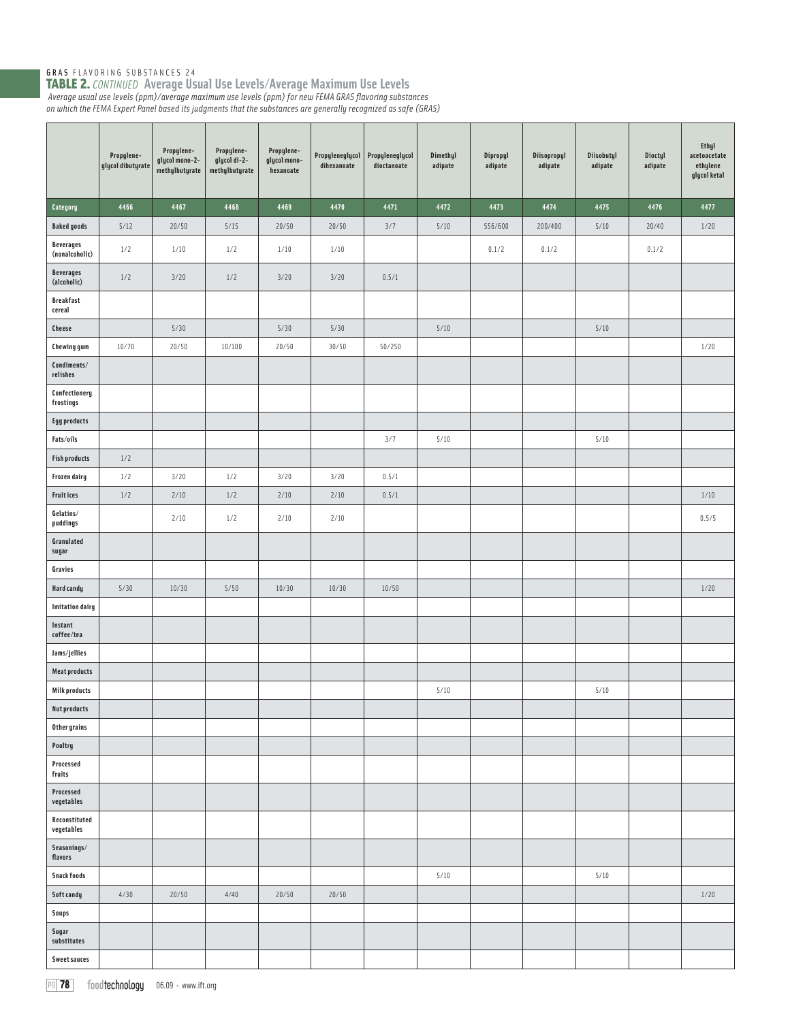|                                    | Propylene-<br>glycol dibutyrate | Propylene-<br>glycol mono-2-<br>methylbutyrate | Propylene-<br>glycol di-2-<br>methylbutyrate | Propylene-<br>glycol mono-<br>hexanoate | Propyleneglycol<br>dihexanoate | Propyleneglycol<br>dioctanoate | Dimethyl<br>adipate | Dipropyl<br>adipate | Diisopropyl<br>adipate | Diisobutyl<br>adipate | Dioctyl<br>adipate | Ethyl<br>acetoacetate<br>ethylene<br>glycol ketal |
|------------------------------------|---------------------------------|------------------------------------------------|----------------------------------------------|-----------------------------------------|--------------------------------|--------------------------------|---------------------|---------------------|------------------------|-----------------------|--------------------|---------------------------------------------------|
| Category                           | 4466                            | 4467                                           | 4468                                         | 4469                                    | 4470                           | 4471                           | 4472                | 4473                | 4474                   | 4475                  | 4476               | 4477                                              |
| <b>Baked goods</b>                 | 5/12                            | 20/50                                          | 5/15                                         | 20/50                                   | 20/50                          | 3/7                            | 5/10                | 556/600             | 200/400                | $5/10$                | 20/40              | 1/20                                              |
| <b>Beverages</b><br>(nonalcoholic) | 1/2                             | 1/10                                           | 1/2                                          | 1/10                                    | 1/10                           |                                |                     | 0.1/2               | 0.1/2                  |                       | 0.1/2              |                                                   |
| <b>Beverages</b><br>(alcoholic)    | 1/2                             | 3/20                                           | 1/2                                          | 3/20                                    | 3/20                           | 0.5/1                          |                     |                     |                        |                       |                    |                                                   |
| <b>Breakfast</b><br>cereal         |                                 |                                                |                                              |                                         |                                |                                |                     |                     |                        |                       |                    |                                                   |
| <b>Cheese</b>                      |                                 | 5/30                                           |                                              | 5/30                                    | 5/30                           |                                | $5/10$              |                     |                        | $5/10$                |                    |                                                   |
| <b>Chewing gum</b>                 | 10/70                           | 20/50                                          | 10/100                                       | 20/50                                   | 30/50                          | 50/250                         |                     |                     |                        |                       |                    | $1/20$                                            |
| Condiments/<br>relishes            |                                 |                                                |                                              |                                         |                                |                                |                     |                     |                        |                       |                    |                                                   |
| Confectionery<br>frostings         |                                 |                                                |                                              |                                         |                                |                                |                     |                     |                        |                       |                    |                                                   |
| <b>Egg products</b>                |                                 |                                                |                                              |                                         |                                |                                |                     |                     |                        |                       |                    |                                                   |
| Fats/oils                          |                                 |                                                |                                              |                                         |                                | 3/7                            | 5/10                |                     |                        | $5/10$                |                    |                                                   |
| <b>Fish products</b>               | $1/2$                           |                                                |                                              |                                         |                                |                                |                     |                     |                        |                       |                    |                                                   |
| Frozen dairy                       | 1/2                             | 3/20                                           | 1/2                                          | 3/20                                    | 3/20                           | 0.5/1                          |                     |                     |                        |                       |                    |                                                   |
| <b>Fruitices</b>                   | 1/2                             | 2/10                                           | 1/2                                          | 2/10                                    | 2/10                           | 0.5/1                          |                     |                     |                        |                       |                    | $1/10$                                            |
| Gelatins/<br>puddings              |                                 | 2/10                                           | 1/2                                          | 2/10                                    | 2/10                           |                                |                     |                     |                        |                       |                    | 0.5/5                                             |
| Granulated<br>sugar                |                                 |                                                |                                              |                                         |                                |                                |                     |                     |                        |                       |                    |                                                   |
| Gravies                            |                                 |                                                |                                              |                                         |                                |                                |                     |                     |                        |                       |                    |                                                   |
| Hard candy                         | 5/30                            | 10/30                                          | $5/50$                                       | 10/30                                   | 10/30                          | 10/50                          |                     |                     |                        |                       |                    | $1/20$                                            |
| <b>Imitation dairy</b>             |                                 |                                                |                                              |                                         |                                |                                |                     |                     |                        |                       |                    |                                                   |
| Instant<br>coffee/tea              |                                 |                                                |                                              |                                         |                                |                                |                     |                     |                        |                       |                    |                                                   |
| Jams/jellies                       |                                 |                                                |                                              |                                         |                                |                                |                     |                     |                        |                       |                    |                                                   |
| <b>Meat products</b>               |                                 |                                                |                                              |                                         |                                |                                |                     |                     |                        |                       |                    |                                                   |
| <b>Milk products</b>               |                                 |                                                |                                              |                                         |                                |                                | 5/10                |                     |                        | $5/10$                |                    |                                                   |
| <b>Nut products</b>                |                                 |                                                |                                              |                                         |                                |                                |                     |                     |                        |                       |                    |                                                   |
| Other grains                       |                                 |                                                |                                              |                                         |                                |                                |                     |                     |                        |                       |                    |                                                   |
| Poultry                            |                                 |                                                |                                              |                                         |                                |                                |                     |                     |                        |                       |                    |                                                   |
| Processed<br>fruits                |                                 |                                                |                                              |                                         |                                |                                |                     |                     |                        |                       |                    |                                                   |
| Processed<br>vegetables            |                                 |                                                |                                              |                                         |                                |                                |                     |                     |                        |                       |                    |                                                   |
| Reconstituted<br>vegetables        |                                 |                                                |                                              |                                         |                                |                                |                     |                     |                        |                       |                    |                                                   |
| Seasonings/<br>flavors             |                                 |                                                |                                              |                                         |                                |                                |                     |                     |                        |                       |                    |                                                   |
| <b>Snack foods</b>                 |                                 |                                                |                                              |                                         |                                |                                | 5/10                |                     |                        | $5/10$                |                    |                                                   |
| Soft candy                         | 4/30                            | 20/50                                          | 4/40                                         | 20/50                                   | 20/50                          |                                |                     |                     |                        |                       |                    | $1/20$                                            |
| Soups                              |                                 |                                                |                                              |                                         |                                |                                |                     |                     |                        |                       |                    |                                                   |
| Sugar<br>substitutes               |                                 |                                                |                                              |                                         |                                |                                |                     |                     |                        |                       |                    |                                                   |
| <b>Sweet sauces</b>                |                                 |                                                |                                              |                                         |                                |                                |                     |                     |                        |                       |                    |                                                   |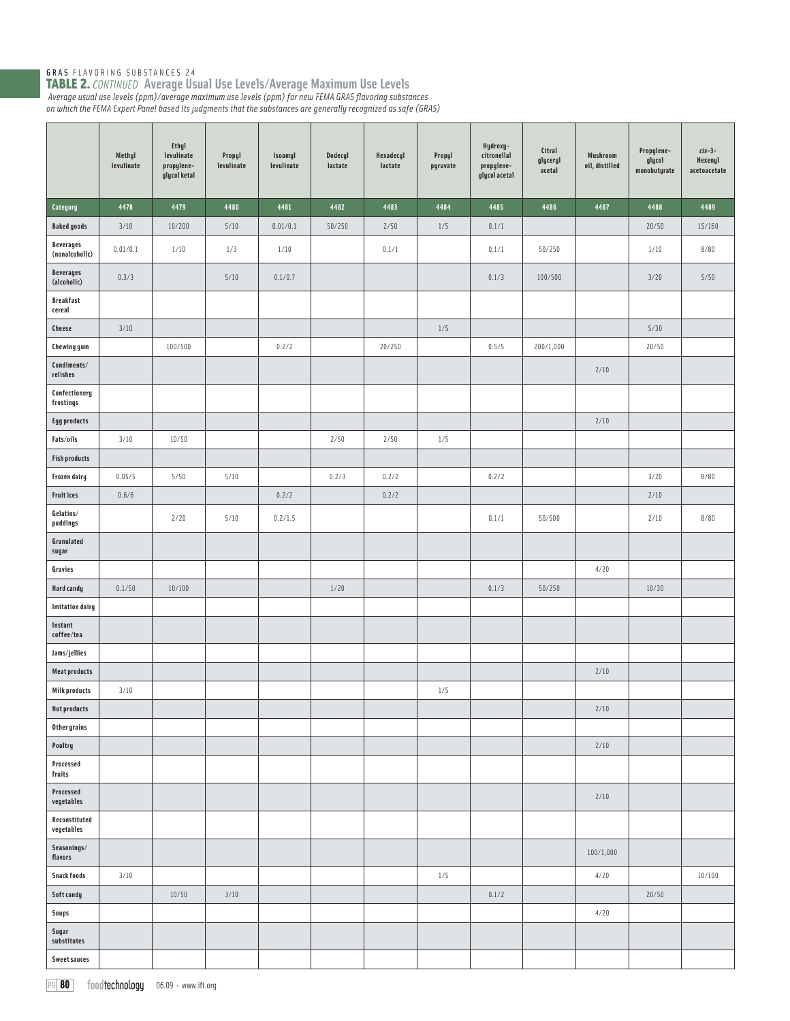|                                    | Methyl<br>levulinate | Ethyl<br>levulinate<br>propylene-<br>glycol ketal | Propyl<br>levulinate | Isoamyl<br>levulinate | Dodecyl<br>lactate | Hexadecyl<br>lactate | Propyl<br>pyruvate | Hydroxy-<br>citronellal<br>propylene-<br>glycol acetal | Citral<br>glyceryl<br>acetal | Mushroom<br>oil, distilled | Propylene-<br>glycol<br>monobutyrate | $cis-3-$<br>Hexenyl<br>acetoacetate |
|------------------------------------|----------------------|---------------------------------------------------|----------------------|-----------------------|--------------------|----------------------|--------------------|--------------------------------------------------------|------------------------------|----------------------------|--------------------------------------|-------------------------------------|
| Category                           | 4478                 | 4479                                              | 4480                 | 4481                  | 4482               | 4483                 | 4484               | 4485                                                   | 4486                         | 4487                       | 4488                                 | 4489                                |
| <b>Baked goods</b>                 | 3/10                 | 10/200                                            | 5/10                 | 0.01/0.1              | 50/250             | 2/50                 | $1/5$              | 0.1/1                                                  |                              |                            | 20/50                                | 15/160                              |
| <b>Beverages</b><br>(nonalcoholic) | 0.01/0.1             | 1/10                                              | 1/3                  | 1/10                  |                    | 0.1/1                |                    | 0.1/1                                                  | 50/250                       |                            | 1/10                                 | 8/80                                |
| <b>Beverages</b><br>(alcoholic)    | 0.3/3                |                                                   | 5/10                 | 0.1/0.7               |                    |                      |                    | 0.1/3                                                  | 100/500                      |                            | 3/20                                 | 5/50                                |
| <b>Breakfast</b><br>cereal         |                      |                                                   |                      |                       |                    |                      |                    |                                                        |                              |                            |                                      |                                     |
| Cheese                             | 3/10                 |                                                   |                      |                       |                    |                      | $1/5$              |                                                        |                              |                            | 5/30                                 |                                     |
| <b>Chewing gum</b>                 |                      | 100/500                                           |                      | 0.2/2                 |                    | 20/250               |                    | 0.5/5                                                  | 200/1,000                    |                            | 20/50                                |                                     |
| Condiments/<br>relishes            |                      |                                                   |                      |                       |                    |                      |                    |                                                        |                              | 2/10                       |                                      |                                     |
| Confectionery<br>frostings         |                      |                                                   |                      |                       |                    |                      |                    |                                                        |                              |                            |                                      |                                     |
| <b>Egg products</b>                |                      |                                                   |                      |                       |                    |                      |                    |                                                        |                              | 2/10                       |                                      |                                     |
| Fats/oils                          | 3/10                 | 10/50                                             |                      |                       | 2/50               | 2/50                 | 1/5                |                                                        |                              |                            |                                      |                                     |
| <b>Fish products</b>               |                      |                                                   |                      |                       |                    |                      |                    |                                                        |                              |                            |                                      |                                     |
| Frozen dairy                       | 0.05/5               | 5/50                                              | 5/10                 |                       | 0.2/3              | 0.2/2                |                    | 0.2/2                                                  |                              |                            | 3/20                                 | 8/80                                |
| <b>Fruit ices</b>                  | 0.6/6                |                                                   |                      | 0.2/2                 |                    | 0.2/2                |                    |                                                        |                              |                            | 2/10                                 |                                     |
| Gelatins/<br>puddings              |                      | 2/20                                              | 5/10                 | 0.2/1.5               |                    |                      |                    | 0.1/1                                                  | 50/500                       |                            | 2/10                                 | 8/80                                |
| Granulated<br>sugar                |                      |                                                   |                      |                       |                    |                      |                    |                                                        |                              |                            |                                      |                                     |
| Gravies                            |                      |                                                   |                      |                       |                    |                      |                    |                                                        |                              | 4/20                       |                                      |                                     |
| <b>Hard candy</b>                  | 0.1/50               | 10/100                                            |                      |                       | $1/20$             |                      |                    | 0.1/3                                                  | 50/250                       |                            | 10/30                                |                                     |
| <b>Imitation dairy</b>             |                      |                                                   |                      |                       |                    |                      |                    |                                                        |                              |                            |                                      |                                     |
| Instant<br>coffee/tea              |                      |                                                   |                      |                       |                    |                      |                    |                                                        |                              |                            |                                      |                                     |
| Jams/jellies                       |                      |                                                   |                      |                       |                    |                      |                    |                                                        |                              |                            |                                      |                                     |
| <b>Meat products</b>               |                      |                                                   |                      |                       |                    |                      |                    |                                                        |                              | 2/10                       |                                      |                                     |
| <b>Milk products</b>               | 3/10                 |                                                   |                      |                       |                    |                      | $1/5$              |                                                        |                              |                            |                                      |                                     |
| <b>Nut products</b>                |                      |                                                   |                      |                       |                    |                      |                    |                                                        |                              | $2/10$                     |                                      |                                     |
| Other grains                       |                      |                                                   |                      |                       |                    |                      |                    |                                                        |                              |                            |                                      |                                     |
| Poultry<br>Processed               |                      |                                                   |                      |                       |                    |                      |                    |                                                        |                              | 2/10                       |                                      |                                     |
| fruits<br>Processed<br>vegetables  |                      |                                                   |                      |                       |                    |                      |                    |                                                        |                              | 2/10                       |                                      |                                     |
| Reconstituted<br>vegetables        |                      |                                                   |                      |                       |                    |                      |                    |                                                        |                              |                            |                                      |                                     |
| $\textbf{Seasonings}/$<br>flavors  |                      |                                                   |                      |                       |                    |                      |                    |                                                        |                              | 100/1,000                  |                                      |                                     |
| <b>Snack foods</b>                 | 3/10                 |                                                   |                      |                       |                    |                      | $1/5$              |                                                        |                              | 4/20                       |                                      | 10/100                              |
| Soft candy                         |                      | 10/50                                             | 3/10                 |                       |                    |                      |                    | 0.1/2                                                  |                              |                            | 20/50                                |                                     |
| Soups                              |                      |                                                   |                      |                       |                    |                      |                    |                                                        |                              | 4/20                       |                                      |                                     |
| Sugar<br>substitutes               |                      |                                                   |                      |                       |                    |                      |                    |                                                        |                              |                            |                                      |                                     |
| <b>Sweet sauces</b>                |                      |                                                   |                      |                       |                    |                      |                    |                                                        |                              |                            |                                      |                                     |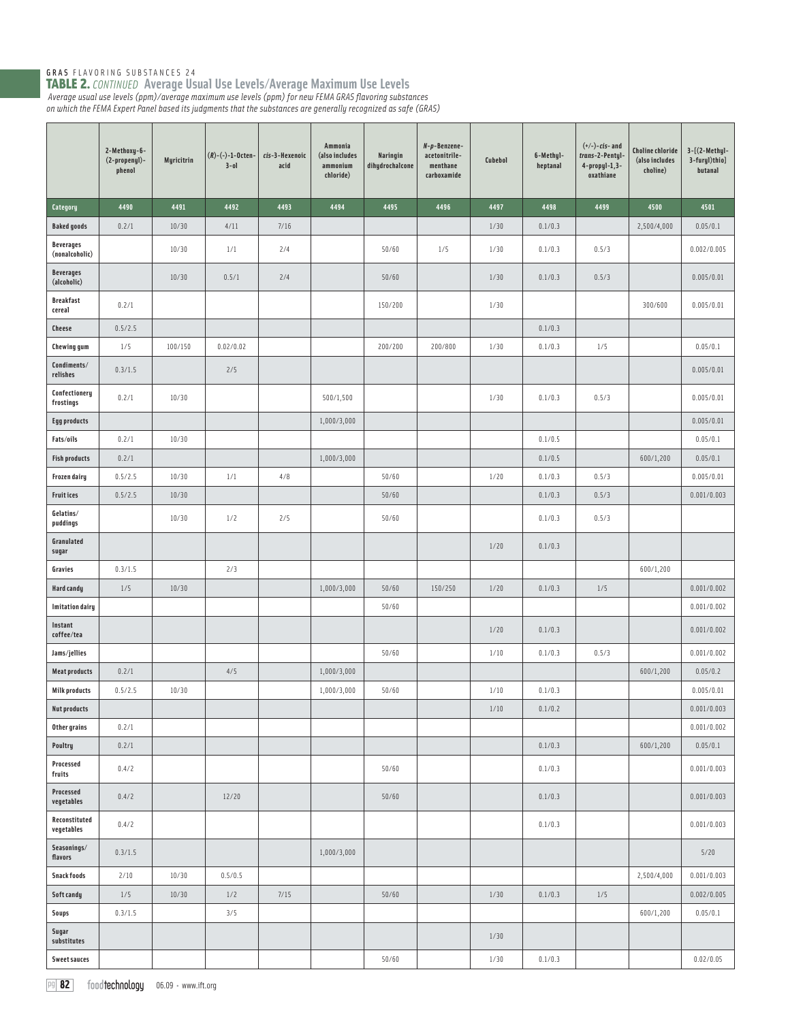|                                    | 2-Methoxy-6-<br>(2-propenyl)-<br>phenol | Myricitrin | $(R)$ -(-)-1-Octen-<br>$3 - 01$ | cis-3-Hexenoic<br>acid | Ammonia<br>(also includes<br>ammonium<br>chloride) | Naringin<br>dihydrochalcone | N-p-Benzene-<br>acetonitrile-<br>menthane<br>carboxamide | Cubebol | 6-Methyl-<br>heptanal | $(+/-)-cis-$ and<br>trans-2-Pentyl-<br>$4$ -propyl-1,3-<br>oxathiane | <b>Choline chloride</b><br>(also includes<br>choline) | $3-[2-Methyl-$<br>3-furyl)thio]<br>butanal |
|------------------------------------|-----------------------------------------|------------|---------------------------------|------------------------|----------------------------------------------------|-----------------------------|----------------------------------------------------------|---------|-----------------------|----------------------------------------------------------------------|-------------------------------------------------------|--------------------------------------------|
| Category                           | 4490                                    | 4491       | 4492                            | 4493                   | 4494                                               | 4495                        | 4496                                                     | 4497    | 4498                  | 4499                                                                 | 4500                                                  | 4501                                       |
| <b>Baked goods</b>                 | 0.2/1                                   | 10/30      | 4/11                            | 7/16                   |                                                    |                             |                                                          | 1/30    | 0.1/0.3               |                                                                      | 2,500/4,000                                           | 0.05/0.1                                   |
| <b>Beverages</b><br>(nonalcoholic) |                                         | 10/30      | 1/1                             | 2/4                    |                                                    | 50/60                       | 1/5                                                      | 1/30    | 0.1/0.3               | 0.5/3                                                                |                                                       | 0.002/0.005                                |
| <b>Beverages</b><br>(alcoholic)    |                                         | 10/30      | 0.5/1                           | 2/4                    |                                                    | 50/60                       |                                                          | 1/30    | 0.1/0.3               | 0.5/3                                                                |                                                       | 0.005/0.01                                 |
| <b>Breakfast</b><br>cereal         | 0.2/1                                   |            |                                 |                        |                                                    | 150/200                     |                                                          | 1/30    |                       |                                                                      | 300/600                                               | 0.005/0.01                                 |
| <b>Cheese</b>                      | 0.5/2.5                                 |            |                                 |                        |                                                    |                             |                                                          |         | 0.1/0.3               |                                                                      |                                                       |                                            |
| <b>Chewing gum</b>                 | 1/5                                     | 100/150    | 0.02/0.02                       |                        |                                                    | 200/200                     | 200/800                                                  | 1/30    | 0.1/0.3               | $1/5$                                                                |                                                       | 0.05/0.1                                   |
| Condiments/<br>relishes            | 0.3/1.5                                 |            | 2/5                             |                        |                                                    |                             |                                                          |         |                       |                                                                      |                                                       | 0.005/0.01                                 |
| Confectionery<br>frostings         | 0.2/1                                   | 10/30      |                                 |                        | 500/1,500                                          |                             |                                                          | 1/30    | 0.1/0.3               | 0.5/3                                                                |                                                       | 0.005/0.01                                 |
| <b>Egg products</b>                |                                         |            |                                 |                        | 1,000/3,000                                        |                             |                                                          |         |                       |                                                                      |                                                       | 0.005/0.01                                 |
| Fats/oils                          | 0.2/1                                   | 10/30      |                                 |                        |                                                    |                             |                                                          |         | 0.1/0.5               |                                                                      |                                                       | 0.05/0.1                                   |
| <b>Fish products</b>               | 0.2/1                                   |            |                                 |                        | 1,000/3,000                                        |                             |                                                          |         | 0.1/0.5               |                                                                      | 600/1,200                                             | 0.05/0.1                                   |
| Frozen dairy                       | 0.5/2.5                                 | 10/30      | 1/1                             | 4/8                    |                                                    | 50/60                       |                                                          | 1/20    | 0.1/0.3               | 0.5/3                                                                |                                                       | 0.005/0.01                                 |
| <b>Fruitices</b>                   | 0.5/2.5                                 | 10/30      |                                 |                        |                                                    | 50/60                       |                                                          |         | 0.1/0.3               | 0.5/3                                                                |                                                       | 0.001/0.003                                |
| Gelatins/<br>puddings              |                                         | 10/30      | 1/2                             | 2/5                    |                                                    | 50/60                       |                                                          |         | 0.1/0.3               | 0.5/3                                                                |                                                       |                                            |
| Granulated<br>sugar                |                                         |            |                                 |                        |                                                    |                             |                                                          | 1/20    | 0.1/0.3               |                                                                      |                                                       |                                            |
| Gravies                            | 0.3/1.5                                 |            | 2/3                             |                        |                                                    |                             |                                                          |         |                       |                                                                      | 600/1,200                                             |                                            |
| Hard candy                         | 1/5                                     | 10/30      |                                 |                        | 1,000/3,000                                        | 50/60                       | 150/250                                                  | 1/20    | 0.1/0.3               | 1/5                                                                  |                                                       | 0.001/0.002                                |
| <b>Imitation dairy</b>             |                                         |            |                                 |                        |                                                    | 50/60                       |                                                          |         |                       |                                                                      |                                                       | 0.001/0.002                                |
| Instant<br>coffee/tea              |                                         |            |                                 |                        |                                                    |                             |                                                          | 1/20    | 0.1/0.3               |                                                                      |                                                       | 0.001/0.002                                |
| Jams/jellies                       |                                         |            |                                 |                        |                                                    | 50/60                       |                                                          | 1/10    | 0.1/0.3               | 0.5/3                                                                |                                                       | 0.001/0.002                                |
| <b>Meat products</b>               | 0.2/1                                   |            | 4/5                             |                        | 1,000/3,000                                        |                             |                                                          |         |                       |                                                                      | 600/1,200                                             | 0.05/0.2                                   |
| <b>Milk products</b>               | 0.5/2.5                                 | 10/30      |                                 |                        | 1,000/3,000                                        | 50/60                       |                                                          | 1/10    | 0.1/0.3               |                                                                      |                                                       | 0.005/0.01                                 |
| <b>Nut products</b>                |                                         |            |                                 |                        |                                                    |                             |                                                          | 1/10    | 0.1/0.2               |                                                                      |                                                       | 0.001/0.003                                |
| Other grains                       | 0.2/1                                   |            |                                 |                        |                                                    |                             |                                                          |         |                       |                                                                      |                                                       | 0.001/0.002                                |
| Poultry                            | 0.2/1                                   |            |                                 |                        |                                                    |                             |                                                          |         | 0.1/0.3               |                                                                      | 600/1,200                                             | 0.05/0.1                                   |
| Processed<br>fruits                | 0.4/2                                   |            |                                 |                        |                                                    | 50/60                       |                                                          |         | 0.1/0.3               |                                                                      |                                                       | 0.001/0.003                                |
| Processed<br>vegetables            | 0.4/2                                   |            | 12/20                           |                        |                                                    | 50/60                       |                                                          |         | 0.1/0.3               |                                                                      |                                                       | 0.001/0.003                                |
| Reconstituted<br>vegetables        | 0.4/2                                   |            |                                 |                        |                                                    |                             |                                                          |         | 0.1/0.3               |                                                                      |                                                       | 0.001/0.003                                |
| Seasonings/<br>flavors             | 0.3/1.5                                 |            |                                 |                        | 1,000/3,000                                        |                             |                                                          |         |                       |                                                                      |                                                       | 5/20                                       |
| <b>Snack foods</b>                 | 2/10                                    | 10/30      | 0.5/0.5                         |                        |                                                    |                             |                                                          |         |                       |                                                                      | 2,500/4,000                                           | 0.001/0.003                                |
| Soft candy                         | $1/5$                                   | 10/30      | 1/2                             | 7/15                   |                                                    | 50/60                       |                                                          | 1/30    | 0.1/0.3               | $1/5$                                                                |                                                       | 0.002/0.005                                |
| <b>Soups</b>                       | 0.3/1.5                                 |            | 3/5                             |                        |                                                    |                             |                                                          |         |                       |                                                                      | 600/1,200                                             | 0.05/0.1                                   |
| Sugar<br>substitutes               |                                         |            |                                 |                        |                                                    |                             |                                                          | 1/30    |                       |                                                                      |                                                       |                                            |
| <b>Sweet sauces</b>                |                                         |            |                                 |                        |                                                    | 50/60                       |                                                          | 1/30    | 0.1/0.3               |                                                                      |                                                       | 0.02/0.05                                  |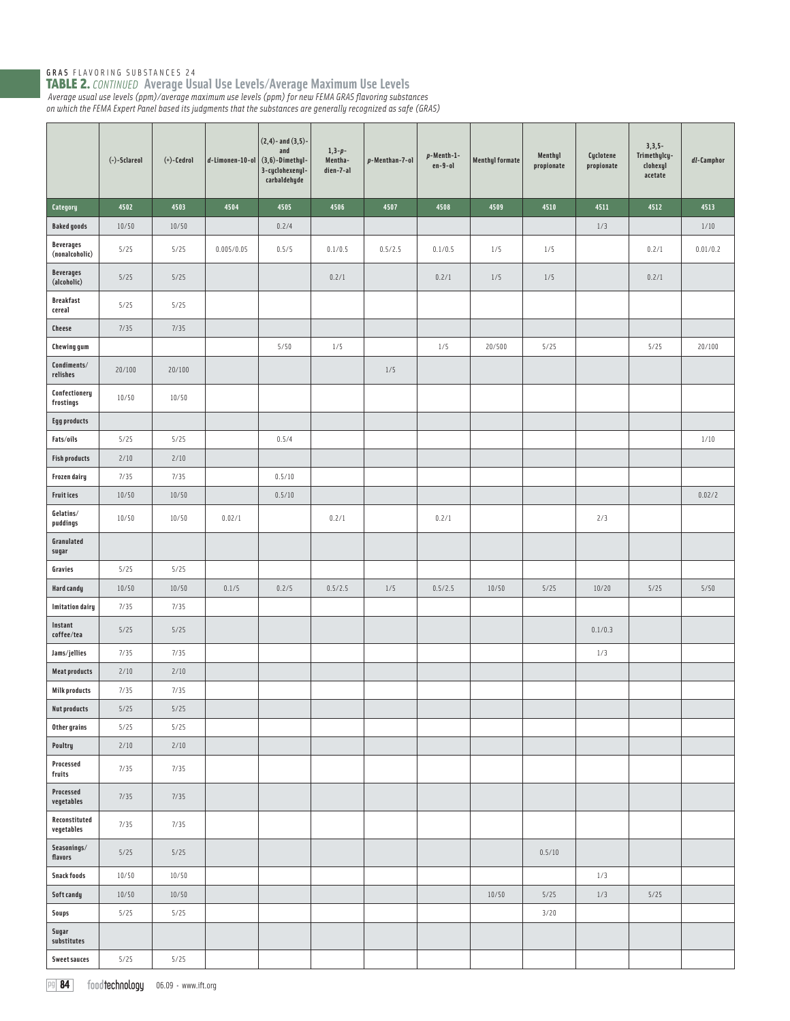|                                    | (-)-Sclareol | $(+)$ -Cedrol | $d$ -Limonen-10-ol | $(2,4)$ - and $(3,5)$ -<br>and<br>$(3,6)-Dimethyl-$<br>3-cyclohexenyl-<br>carbaldehyde | $1,3-p-$<br>Mentha-<br>dien-7-al | p-Menthan-7-ol | $p$ -Menth-1-<br>$en-9-o1$ | <b>Menthyl formate</b> | Menthyl<br>propionate | Cyclotene<br>propionate | $3,3,5-$<br>Trimethylcy-<br>clohexyl<br>acetate | dl-Camphor |
|------------------------------------|--------------|---------------|--------------------|----------------------------------------------------------------------------------------|----------------------------------|----------------|----------------------------|------------------------|-----------------------|-------------------------|-------------------------------------------------|------------|
| Category                           | 4502         | 4503          | 4504               | 4505                                                                                   | 4506                             | 4507           | 4508                       | 4509                   | 4510                  | 4511                    | 4512                                            | 4513       |
| <b>Baked goods</b>                 | 10/50        | 10/50         |                    | 0.2/4                                                                                  |                                  |                |                            |                        |                       | $1/3$                   |                                                 | $1/10$     |
| <b>Beverages</b><br>(nonalcoholic) | 5/25         | 5/25          | 0.005/0.05         | 0.5/5                                                                                  | 0.1/0.5                          | 0.5/2.5        | 0.1/0.5                    | 1/5                    | 1/5                   |                         | 0.2/1                                           | 0.01/0.2   |
| <b>Beverages</b><br>(alcoholic)    | 5/25         | $5/25$        |                    |                                                                                        | 0.2/1                            |                | 0.2/1                      | 1/5                    | 1/5                   |                         | 0.2/1                                           |            |
| <b>Breakfast</b><br>cereal         | 5/25         | 5/25          |                    |                                                                                        |                                  |                |                            |                        |                       |                         |                                                 |            |
| <b>Cheese</b>                      | 7/35         | 7/35          |                    |                                                                                        |                                  |                |                            |                        |                       |                         |                                                 |            |
| <b>Chewing gum</b>                 |              |               |                    | 5/50                                                                                   | $1/5$                            |                | $1/5$                      | 20/500                 | 5/25                  |                         | 5/25                                            | 20/100     |
| Condiments/<br>relishes            | 20/100       | 20/100        |                    |                                                                                        |                                  | $1/5$          |                            |                        |                       |                         |                                                 |            |
| Confectionery<br>frostings         | 10/50        | 10/50         |                    |                                                                                        |                                  |                |                            |                        |                       |                         |                                                 |            |
| <b>Egg products</b>                |              |               |                    |                                                                                        |                                  |                |                            |                        |                       |                         |                                                 |            |
| Fats/oils                          | 5/25         | 5/25          |                    | 0.5/4                                                                                  |                                  |                |                            |                        |                       |                         |                                                 | $1/10$     |
| <b>Fish products</b>               | 2/10         | $2/10$        |                    |                                                                                        |                                  |                |                            |                        |                       |                         |                                                 |            |
| Frozen dairy                       | 7/35         | 7/35          |                    | 0.5/10                                                                                 |                                  |                |                            |                        |                       |                         |                                                 |            |
| <b>Fruitices</b>                   | 10/50        | 10/50         |                    | 0.5/10                                                                                 |                                  |                |                            |                        |                       |                         |                                                 | 0.02/2     |
| Gelatins/<br>puddings              | 10/50        | 10/50         | 0.02/1             |                                                                                        | 0.2/1                            |                | 0.2/1                      |                        |                       | 2/3                     |                                                 |            |
| Granulated<br>sugar                |              |               |                    |                                                                                        |                                  |                |                            |                        |                       |                         |                                                 |            |
| Gravies                            | 5/25         | 5/25          |                    |                                                                                        |                                  |                |                            |                        |                       |                         |                                                 |            |
| Hard candy                         | 10/50        | 10/50         | 0.1/5              | 0.2/5                                                                                  | 0.5/2.5                          | $1/5$          | 0.5/2.5                    | 10/50                  | 5/25                  | 10/20                   | 5/25                                            | 5/50       |
| <b>Imitation dairy</b>             | 7/35         | 7/35          |                    |                                                                                        |                                  |                |                            |                        |                       |                         |                                                 |            |
| Instant<br>coffee/tea              | 5/25         | $5/25$        |                    |                                                                                        |                                  |                |                            |                        |                       | 0.1/0.3                 |                                                 |            |
| Jams/jellies                       | 7/35         | 7/35          |                    |                                                                                        |                                  |                |                            |                        |                       | 1/3                     |                                                 |            |
| <b>Meat products</b>               | $2/10$       | $2/10$        |                    |                                                                                        |                                  |                |                            |                        |                       |                         |                                                 |            |
| <b>Milk products</b>               | 7/35         | 7/35          |                    |                                                                                        |                                  |                |                            |                        |                       |                         |                                                 |            |
| <b>Nut products</b>                | 5/25         | $5/25$        |                    |                                                                                        |                                  |                |                            |                        |                       |                         |                                                 |            |
| Other grains                       | 5/25         | 5/25          |                    |                                                                                        |                                  |                |                            |                        |                       |                         |                                                 |            |
| Poultry                            | $2/10$       | $2/10$        |                    |                                                                                        |                                  |                |                            |                        |                       |                         |                                                 |            |
| Processed<br>fruits                | 7/35         | 7/35          |                    |                                                                                        |                                  |                |                            |                        |                       |                         |                                                 |            |
| Processed<br>vegetables            | 7/35         | 7/35          |                    |                                                                                        |                                  |                |                            |                        |                       |                         |                                                 |            |
| Reconstituted<br>vegetables        | 7/35         | 7/35          |                    |                                                                                        |                                  |                |                            |                        |                       |                         |                                                 |            |
| Seasonings/<br>flavors             | 5/25         | $5/25$        |                    |                                                                                        |                                  |                |                            |                        | 0.5/10                |                         |                                                 |            |
| Snack foods                        | 10/50        | 10/50         |                    |                                                                                        |                                  |                |                            |                        |                       | 1/3                     |                                                 |            |
| Soft candy                         | 10/50        | 10/50         |                    |                                                                                        |                                  |                |                            | 10/50                  | $5/25$                | 1/3                     | $5/25$                                          |            |
| Soups                              | 5/25         | 5/25          |                    |                                                                                        |                                  |                |                            |                        | 3/20                  |                         |                                                 |            |
| Sugar<br>substitutes               |              |               |                    |                                                                                        |                                  |                |                            |                        |                       |                         |                                                 |            |
| <b>Sweet sauces</b>                | 5/25         | 5/25          |                    |                                                                                        |                                  |                |                            |                        |                       |                         |                                                 |            |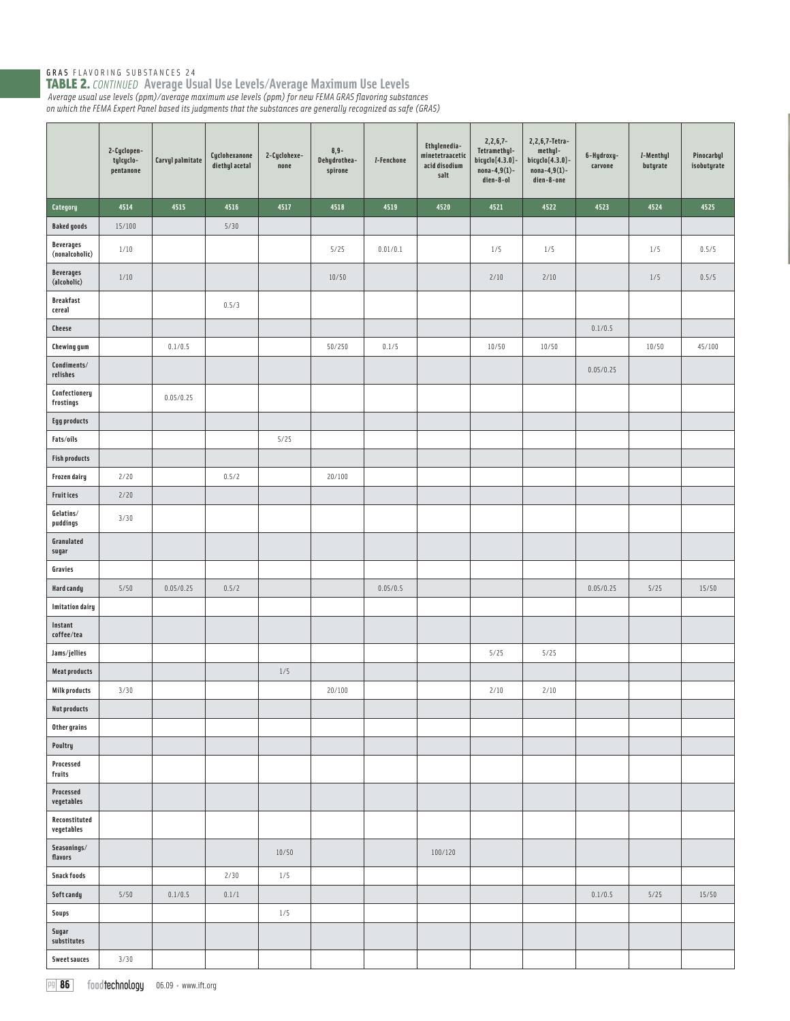|                                             | 2-Cyclopen-<br>tylcyclo-<br>pentanone | Carvyl palmitate | Cyclohexanone<br>diethyl acetal | 2-Cyclohexe-<br>none | $8,9-$<br>Dehydrothea-<br>spirone | <i>I</i> -Fenchone | Ethylenedia-<br>minetetraacetic<br>acid disodium<br>salt | $2, 2, 6, 7 -$<br>Tetramethyl-<br>bicyclo[4.3.0]-<br>$nona-4,9(1)$ -<br>dien-8-ol | 2, 2, 6, 7-Tetra-<br>methyl-<br>$bigclo[4.3.0]$ -<br>$nona-4,9(1)-$<br>dien-8-one | 6-Hydroxy-<br>carvone | I-Menthyl<br>butyrate | Pinocarbyl<br>isobutyrate |
|---------------------------------------------|---------------------------------------|------------------|---------------------------------|----------------------|-----------------------------------|--------------------|----------------------------------------------------------|-----------------------------------------------------------------------------------|-----------------------------------------------------------------------------------|-----------------------|-----------------------|---------------------------|
| Category                                    | 4514                                  | 4515             | 4516                            | 4517                 | 4518                              | 4519               | 4520                                                     | 4521                                                                              | 4522                                                                              | 4523                  | 4524                  | 4525                      |
| <b>Baked goods</b>                          | 15/100                                |                  | 5/30                            |                      |                                   |                    |                                                          |                                                                                   |                                                                                   |                       |                       |                           |
| <b>Beverages</b><br>(nonalcoholic)          | 1/10                                  |                  |                                 |                      | 5/25                              | 0.01/0.1           |                                                          | 1/5                                                                               | 1/5                                                                               |                       | 1/5                   | 0.5/5                     |
| <b>Beverages</b><br>(alcoholic)             | $1/10$                                |                  |                                 |                      | 10/50                             |                    |                                                          | 2/10                                                                              | 2/10                                                                              |                       | $1/5$                 | 0.5/5                     |
| <b>Breakfast</b><br>cereal                  |                                       |                  | 0.5/3                           |                      |                                   |                    |                                                          |                                                                                   |                                                                                   |                       |                       |                           |
| <b>Cheese</b>                               |                                       |                  |                                 |                      |                                   |                    |                                                          |                                                                                   |                                                                                   | 0.1/0.5               |                       |                           |
| <b>Chewing gum</b>                          |                                       | 0.1/0.5          |                                 |                      | 50/250                            | 0.1/5              |                                                          | 10/50                                                                             | 10/50                                                                             |                       | 10/50                 | 45/100                    |
| Condiments/<br>relishes                     |                                       |                  |                                 |                      |                                   |                    |                                                          |                                                                                   |                                                                                   | 0.05/0.25             |                       |                           |
| Confectionery<br>frostings                  |                                       | 0.05/0.25        |                                 |                      |                                   |                    |                                                          |                                                                                   |                                                                                   |                       |                       |                           |
| <b>Egg products</b>                         |                                       |                  |                                 |                      |                                   |                    |                                                          |                                                                                   |                                                                                   |                       |                       |                           |
| Fats/oils                                   |                                       |                  |                                 | 5/25                 |                                   |                    |                                                          |                                                                                   |                                                                                   |                       |                       |                           |
| <b>Fish products</b>                        |                                       |                  |                                 |                      |                                   |                    |                                                          |                                                                                   |                                                                                   |                       |                       |                           |
| <b>Frozen dairy</b>                         | 2/20                                  |                  | 0.5/2                           |                      | 20/100                            |                    |                                                          |                                                                                   |                                                                                   |                       |                       |                           |
| Fruit ices                                  | 2/20                                  |                  |                                 |                      |                                   |                    |                                                          |                                                                                   |                                                                                   |                       |                       |                           |
| Gelatins/<br>puddings                       | 3/30                                  |                  |                                 |                      |                                   |                    |                                                          |                                                                                   |                                                                                   |                       |                       |                           |
| Granulated<br>sugar                         |                                       |                  |                                 |                      |                                   |                    |                                                          |                                                                                   |                                                                                   |                       |                       |                           |
| Gravies                                     |                                       |                  |                                 |                      |                                   |                    |                                                          |                                                                                   |                                                                                   |                       |                       |                           |
| Hard candy                                  | 5/50                                  | 0.05/0.25        | 0.5/2                           |                      |                                   | 0.05/0.5           |                                                          |                                                                                   |                                                                                   | 0.05/0.25             | $5/25$                | 15/50                     |
| <b>Imitation dairy</b>                      |                                       |                  |                                 |                      |                                   |                    |                                                          |                                                                                   |                                                                                   |                       |                       |                           |
| Instant<br>coffee/tea                       |                                       |                  |                                 |                      |                                   |                    |                                                          |                                                                                   |                                                                                   |                       |                       |                           |
| Jams/jellies                                |                                       |                  |                                 |                      |                                   |                    |                                                          | 5/25                                                                              | 5/25                                                                              |                       |                       |                           |
| <b>Meat products</b>                        |                                       |                  |                                 | $1/5$                |                                   |                    |                                                          |                                                                                   |                                                                                   |                       |                       |                           |
| <b>Milk products</b><br><b>Nut products</b> | 3/30                                  |                  |                                 |                      | 20/100                            |                    |                                                          | 2/10                                                                              | 2/10                                                                              |                       |                       |                           |
| Other grains                                |                                       |                  |                                 |                      |                                   |                    |                                                          |                                                                                   |                                                                                   |                       |                       |                           |
| Poultry                                     |                                       |                  |                                 |                      |                                   |                    |                                                          |                                                                                   |                                                                                   |                       |                       |                           |
| Processed<br>fruits                         |                                       |                  |                                 |                      |                                   |                    |                                                          |                                                                                   |                                                                                   |                       |                       |                           |
| Processed<br>vegetables                     |                                       |                  |                                 |                      |                                   |                    |                                                          |                                                                                   |                                                                                   |                       |                       |                           |
| Reconstituted<br>vegetables                 |                                       |                  |                                 |                      |                                   |                    |                                                          |                                                                                   |                                                                                   |                       |                       |                           |
| Seasonings/<br>flavors                      |                                       |                  |                                 | 10/50                |                                   |                    | 100/120                                                  |                                                                                   |                                                                                   |                       |                       |                           |
| <b>Snack foods</b>                          |                                       |                  | 2/30                            | $1/5$                |                                   |                    |                                                          |                                                                                   |                                                                                   |                       |                       |                           |
| Soft candy                                  | $5/50$                                | 0.1/0.5          | 0.1/1                           |                      |                                   |                    |                                                          |                                                                                   |                                                                                   | 0.1/0.5               | $5/25$                | 15/50                     |
| Soups                                       |                                       |                  |                                 | 1/5                  |                                   |                    |                                                          |                                                                                   |                                                                                   |                       |                       |                           |
| Sugar<br>substitutes                        |                                       |                  |                                 |                      |                                   |                    |                                                          |                                                                                   |                                                                                   |                       |                       |                           |
| <b>Sweet sauces</b>                         | 3/30                                  |                  |                                 |                      |                                   |                    |                                                          |                                                                                   |                                                                                   |                       |                       |                           |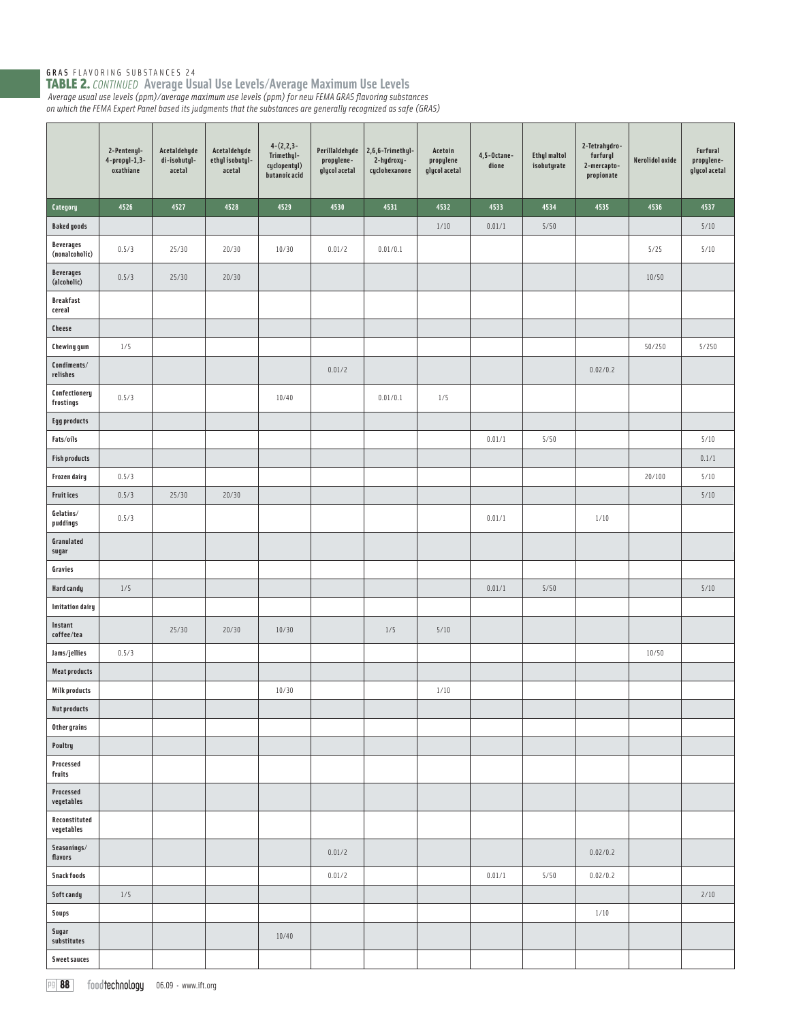|                                    | 2-Pentenyl-<br>4-propyl-1,3-<br>oxathiane | Acetaldehyde<br>di-isobutyl-<br>acetal | Acetaldehyde<br>ethylisobutyl-<br>acetal | $4-(2,2,3-$<br>Trimethyl-<br>cyclopentyl)<br>butanoic acid | Perillaldehyde<br>propylene-<br>glycol acetal | 2,6,6-Trimethyl-<br>2-hydroxy-<br>cyclohexanone | Acetoin<br>propylene<br>glycol acetal | 4,5-Octane-<br>dione | <b>Ethyl maltol</b><br>isobutyrate | 2-Tetrahydro-<br>furfuryl<br>2-mercapto-<br>propionate | Nerolidol oxide | Furfural<br>propylene-<br>glycol acetal |
|------------------------------------|-------------------------------------------|----------------------------------------|------------------------------------------|------------------------------------------------------------|-----------------------------------------------|-------------------------------------------------|---------------------------------------|----------------------|------------------------------------|--------------------------------------------------------|-----------------|-----------------------------------------|
| Category                           | 4526                                      | 4527                                   | 4528                                     | 4529                                                       | 4530                                          | 4531                                            | 4532                                  | 4533                 | 4534                               | 4535                                                   | 4536            | 4537                                    |
| <b>Baked goods</b>                 |                                           |                                        |                                          |                                                            |                                               |                                                 | $1/10$                                | 0.01/1               | 5/50                               |                                                        |                 | $5/10$                                  |
| <b>Beverages</b><br>(nonalcoholic) | 0.5/3                                     | 25/30                                  | 20/30                                    | 10/30                                                      | 0.01/2                                        | 0.01/0.1                                        |                                       |                      |                                    |                                                        | 5/25            | 5/10                                    |
| <b>Beverages</b><br>(alcoholic)    | 0.5/3                                     | 25/30                                  | 20/30                                    |                                                            |                                               |                                                 |                                       |                      |                                    |                                                        | 10/50           |                                         |
| <b>Breakfast</b><br>cereal         |                                           |                                        |                                          |                                                            |                                               |                                                 |                                       |                      |                                    |                                                        |                 |                                         |
| <b>Cheese</b>                      |                                           |                                        |                                          |                                                            |                                               |                                                 |                                       |                      |                                    |                                                        |                 |                                         |
| <b>Chewing gum</b>                 | 1/5                                       |                                        |                                          |                                                            |                                               |                                                 |                                       |                      |                                    |                                                        | 50/250          | 5/250                                   |
| Condiments/<br>relishes            |                                           |                                        |                                          |                                                            | 0.01/2                                        |                                                 |                                       |                      |                                    | 0.02/0.2                                               |                 |                                         |
| Confectionery<br>frostings         | 0.5/3                                     |                                        |                                          | 10/40                                                      |                                               | 0.01/0.1                                        | 1/5                                   |                      |                                    |                                                        |                 |                                         |
| <b>Egg products</b>                |                                           |                                        |                                          |                                                            |                                               |                                                 |                                       |                      |                                    |                                                        |                 |                                         |
| Fats/oils                          |                                           |                                        |                                          |                                                            |                                               |                                                 |                                       | 0.01/1               | 5/50                               |                                                        |                 | 5/10                                    |
| <b>Fish products</b>               |                                           |                                        |                                          |                                                            |                                               |                                                 |                                       |                      |                                    |                                                        |                 | 0.1/1                                   |
| <b>Frozen dairy</b>                | 0.5/3                                     |                                        |                                          |                                                            |                                               |                                                 |                                       |                      |                                    |                                                        | 20/100          | 5/10                                    |
| <b>Fruitices</b>                   | 0.5/3                                     | 25/30                                  | 20/30                                    |                                                            |                                               |                                                 |                                       |                      |                                    |                                                        |                 | 5/10                                    |
| Gelatins/<br>puddings              | 0.5/3                                     |                                        |                                          |                                                            |                                               |                                                 |                                       | 0.01/1               |                                    | 1/10                                                   |                 |                                         |
| Granulated<br>sugar                |                                           |                                        |                                          |                                                            |                                               |                                                 |                                       |                      |                                    |                                                        |                 |                                         |
| Gravies                            |                                           |                                        |                                          |                                                            |                                               |                                                 |                                       |                      |                                    |                                                        |                 |                                         |
| Hard candy                         | 1/5                                       |                                        |                                          |                                                            |                                               |                                                 |                                       | 0.01/1               | 5/50                               |                                                        |                 | $5/10$                                  |
| <b>Imitation dairy</b>             |                                           |                                        |                                          |                                                            |                                               |                                                 |                                       |                      |                                    |                                                        |                 |                                         |
| Instant<br>coffee/tea              |                                           | 25/30                                  | 20/30                                    | 10/30                                                      |                                               | $1/5$                                           | 5/10                                  |                      |                                    |                                                        |                 |                                         |
| Jams/jellies                       | 0.5/3                                     |                                        |                                          |                                                            |                                               |                                                 |                                       |                      |                                    |                                                        | 10/50           |                                         |
| <b>Meat products</b>               |                                           |                                        |                                          |                                                            |                                               |                                                 |                                       |                      |                                    |                                                        |                 |                                         |
| <b>Milk products</b>               |                                           |                                        |                                          | 10/30                                                      |                                               |                                                 | $1/10$                                |                      |                                    |                                                        |                 |                                         |
| <b>Nut products</b>                |                                           |                                        |                                          |                                                            |                                               |                                                 |                                       |                      |                                    |                                                        |                 |                                         |
| Other grains                       |                                           |                                        |                                          |                                                            |                                               |                                                 |                                       |                      |                                    |                                                        |                 |                                         |
| Poultry                            |                                           |                                        |                                          |                                                            |                                               |                                                 |                                       |                      |                                    |                                                        |                 |                                         |
| Processed<br>fruits                |                                           |                                        |                                          |                                                            |                                               |                                                 |                                       |                      |                                    |                                                        |                 |                                         |
| Processed<br>vegetables            |                                           |                                        |                                          |                                                            |                                               |                                                 |                                       |                      |                                    |                                                        |                 |                                         |
| Reconstituted<br>vegetables        |                                           |                                        |                                          |                                                            |                                               |                                                 |                                       |                      |                                    |                                                        |                 |                                         |
| Seasonings/<br>flavors             |                                           |                                        |                                          |                                                            | 0.01/2                                        |                                                 |                                       |                      |                                    | 0.02/0.2                                               |                 |                                         |
| <b>Snack foods</b>                 |                                           |                                        |                                          |                                                            | 0.01/2                                        |                                                 |                                       | 0.01/1               | 5/50                               | 0.02/0.2                                               |                 |                                         |
| Soft candy                         | 1/5                                       |                                        |                                          |                                                            |                                               |                                                 |                                       |                      |                                    |                                                        |                 | 2/10                                    |
| Soups                              |                                           |                                        |                                          |                                                            |                                               |                                                 |                                       |                      |                                    | $1/10$                                                 |                 |                                         |
| Sugar<br>substitutes               |                                           |                                        |                                          | 10/40                                                      |                                               |                                                 |                                       |                      |                                    |                                                        |                 |                                         |
| <b>Sweet sauces</b>                |                                           |                                        |                                          |                                                            |                                               |                                                 |                                       |                      |                                    |                                                        |                 |                                         |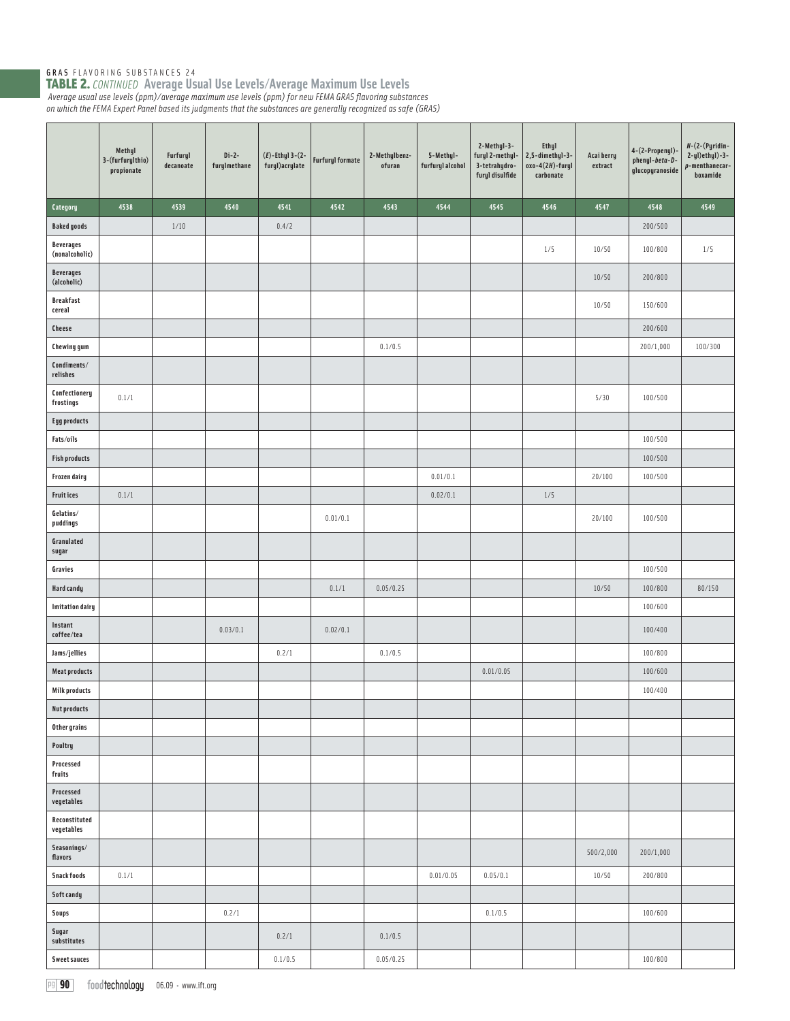|                                    | Methyl<br>3-(furfurylthio)<br>$\ensuremath{\mathfrak{prop}}\xspace$ | Furfuryl<br>decanoate | $Di-2-$<br>furylmethane | $(E)$ -Ethyl 3- $(2-$<br>furyl) acrylate | <b>Furfuryl formate</b> | 2-Methylbenz-<br>ofuran | 5-Methyl-<br>furfuryl alcohol | 2-Methyl-3-<br>furyl 2-methyl-<br>3-tetrahydro-<br>furyl disulfide | <b>Ethyl</b><br>2,5-dimethyl-3-<br>$oxo-4(2H)$ -furyl<br>carbonate | Acai berry<br>extract | 4-(2-Propenyl)-<br>phenyl-beta-D-<br>glucopyranoside | $N-(2-(Pyridin-$<br>$2-yl$ ) $ethyl$ ) $-3-$<br>p-menthanecar-<br>boxamide |
|------------------------------------|---------------------------------------------------------------------|-----------------------|-------------------------|------------------------------------------|-------------------------|-------------------------|-------------------------------|--------------------------------------------------------------------|--------------------------------------------------------------------|-----------------------|------------------------------------------------------|----------------------------------------------------------------------------|
| Category                           | 4538                                                                | 4539                  | 4540                    | 4541                                     | 4542                    | 4543                    | 4544                          | 4545                                                               | 4546                                                               | 4547                  | 4548                                                 | 4549                                                                       |
| <b>Baked goods</b>                 |                                                                     | 1/10                  |                         | 0.4/2                                    |                         |                         |                               |                                                                    |                                                                    |                       | 200/500                                              |                                                                            |
| <b>Beverages</b><br>(nonalcoholic) |                                                                     |                       |                         |                                          |                         |                         |                               |                                                                    | 1/5                                                                | 10/50                 | 100/800                                              | 1/5                                                                        |
| <b>Beverages</b><br>(alcoholic)    |                                                                     |                       |                         |                                          |                         |                         |                               |                                                                    |                                                                    | 10/50                 | 200/800                                              |                                                                            |
| <b>Breakfast</b><br>cereal         |                                                                     |                       |                         |                                          |                         |                         |                               |                                                                    |                                                                    | 10/50                 | 150/600                                              |                                                                            |
| <b>Cheese</b>                      |                                                                     |                       |                         |                                          |                         |                         |                               |                                                                    |                                                                    |                       | 200/600                                              |                                                                            |
| Chewing gum                        |                                                                     |                       |                         |                                          |                         | 0.1/0.5                 |                               |                                                                    |                                                                    |                       | 200/1,000                                            | 100/300                                                                    |
| Condiments/<br>relishes            |                                                                     |                       |                         |                                          |                         |                         |                               |                                                                    |                                                                    |                       |                                                      |                                                                            |
| Confectionery<br>${\tt frostings}$ | 0.1/1                                                               |                       |                         |                                          |                         |                         |                               |                                                                    |                                                                    | 5/30                  | 100/500                                              |                                                                            |
| <b>Egg products</b>                |                                                                     |                       |                         |                                          |                         |                         |                               |                                                                    |                                                                    |                       |                                                      |                                                                            |
| Fats/oils                          |                                                                     |                       |                         |                                          |                         |                         |                               |                                                                    |                                                                    |                       | 100/500                                              |                                                                            |
| <b>Fish products</b>               |                                                                     |                       |                         |                                          |                         |                         |                               |                                                                    |                                                                    |                       | 100/500                                              |                                                                            |
| <b>Frozen dairy</b>                |                                                                     |                       |                         |                                          |                         |                         | 0.01/0.1                      |                                                                    |                                                                    | 20/100                | 100/500                                              |                                                                            |
| <b>Fruitices</b>                   | 0.1/1                                                               |                       |                         |                                          |                         |                         | 0.02/0.1                      |                                                                    | $1/5$                                                              |                       |                                                      |                                                                            |
| Gelatins/<br>puddings              |                                                                     |                       |                         |                                          | 0.01/0.1                |                         |                               |                                                                    |                                                                    | 20/100                | 100/500                                              |                                                                            |
| Granulated<br>sugar                |                                                                     |                       |                         |                                          |                         |                         |                               |                                                                    |                                                                    |                       |                                                      |                                                                            |
| Gravies                            |                                                                     |                       |                         |                                          |                         |                         |                               |                                                                    |                                                                    |                       | 100/500                                              |                                                                            |
| <b>Hard candy</b>                  |                                                                     |                       |                         |                                          | 0.1/1                   | 0.05/0.25               |                               |                                                                    |                                                                    | 10/50                 | 100/800                                              | 80/150                                                                     |
| <b>Imitation dairy</b>             |                                                                     |                       |                         |                                          |                         |                         |                               |                                                                    |                                                                    |                       | 100/600                                              |                                                                            |
| Instant<br>coffee/tea              |                                                                     |                       | 0.03/0.1                |                                          | 0.02/0.1                |                         |                               |                                                                    |                                                                    |                       | 100/400                                              |                                                                            |
| Jams/jellies                       |                                                                     |                       |                         | 0.2/1                                    |                         | 0.1/0.5                 |                               |                                                                    |                                                                    |                       | 100/800                                              |                                                                            |
| <b>Meat products</b>               |                                                                     |                       |                         |                                          |                         |                         |                               | 0.01/0.05                                                          |                                                                    |                       | 100/600                                              |                                                                            |
| <b>Milk products</b>               |                                                                     |                       |                         |                                          |                         |                         |                               |                                                                    |                                                                    |                       | 100/400                                              |                                                                            |
| <b>Nut products</b>                |                                                                     |                       |                         |                                          |                         |                         |                               |                                                                    |                                                                    |                       |                                                      |                                                                            |
| Other grains                       |                                                                     |                       |                         |                                          |                         |                         |                               |                                                                    |                                                                    |                       |                                                      |                                                                            |
| Poultry<br>Processed               |                                                                     |                       |                         |                                          |                         |                         |                               |                                                                    |                                                                    |                       |                                                      |                                                                            |
| fruits<br>Processed<br>vegetables  |                                                                     |                       |                         |                                          |                         |                         |                               |                                                                    |                                                                    |                       |                                                      |                                                                            |
| Reconstituted<br>vegetables        |                                                                     |                       |                         |                                          |                         |                         |                               |                                                                    |                                                                    |                       |                                                      |                                                                            |
| Seasonings/<br>flavors             |                                                                     |                       |                         |                                          |                         |                         |                               |                                                                    |                                                                    | 500/2,000             | 200/1,000                                            |                                                                            |
| <b>Snack foods</b>                 | 0.1/1                                                               |                       |                         |                                          |                         |                         | 0.01/0.05                     | 0.05/0.1                                                           |                                                                    | 10/50                 | 200/800                                              |                                                                            |
| Soft candy                         |                                                                     |                       |                         |                                          |                         |                         |                               |                                                                    |                                                                    |                       |                                                      |                                                                            |
| Soups                              |                                                                     |                       | 0.2/1                   |                                          |                         |                         |                               | 0.1/0.5                                                            |                                                                    |                       | 100/600                                              |                                                                            |
| Sugar<br>substitutes               |                                                                     |                       |                         | 0.2/1                                    |                         | 0.1/0.5                 |                               |                                                                    |                                                                    |                       |                                                      |                                                                            |
| Sweet sauces                       |                                                                     |                       |                         | 0.1/0.5                                  |                         | 0.05/0.25               |                               |                                                                    |                                                                    |                       | 100/800                                              |                                                                            |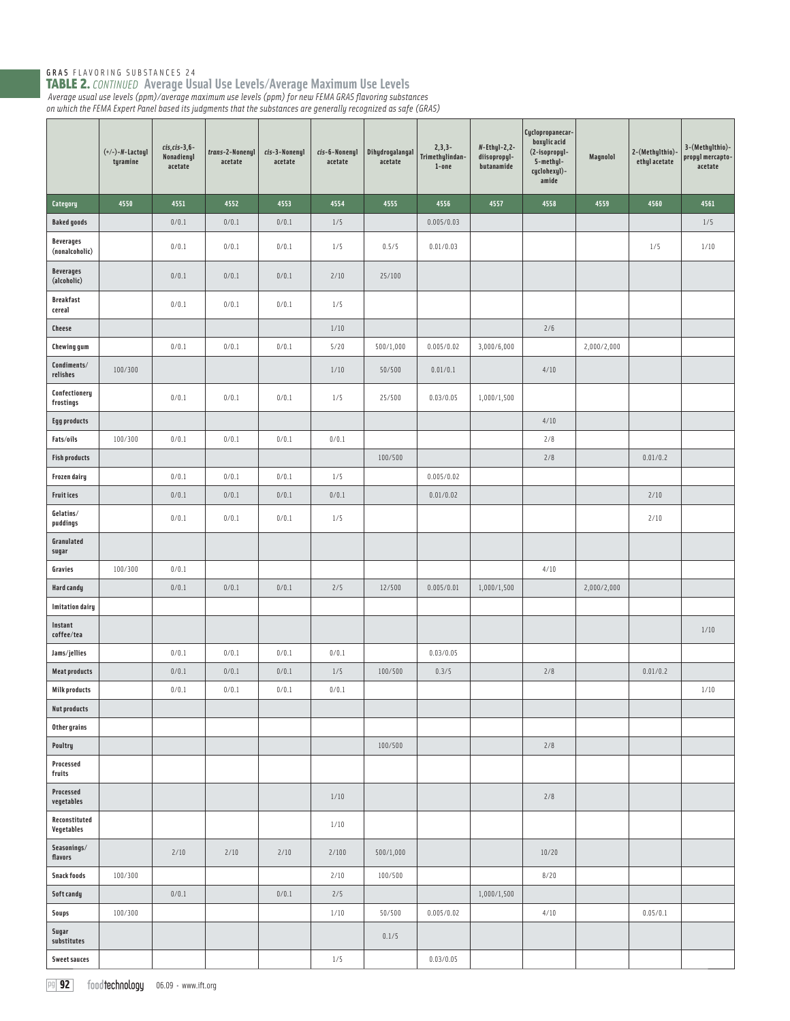|                                    | $(+/-)-N$ -Lactoyl<br>tyramine | $cis, cis-3, 6-$<br>Nonadienyl<br>acetate | trans-2-Nonenyl<br>acetate | cis-3-Nonenyl<br>acetate | cis-6-Nonenyl<br>acetate | Dihydrogalangal<br>acetate | $2, 3, 3-$<br>Trimethylindan-<br>$1$ -one | $N$ -Ethyl-2,2-<br>diisopropyl-<br>butanamide | Cyclopropanecar-<br>boxulic acid<br>(2-isopropyl-<br>5-methyl-<br>cyclohexyl)-<br>amide | Magnolol    | 2-(Methylthio)<br>ethyl acetate | 3-(Methylthio)-<br>propyl mercapto-<br>acetate |
|------------------------------------|--------------------------------|-------------------------------------------|----------------------------|--------------------------|--------------------------|----------------------------|-------------------------------------------|-----------------------------------------------|-----------------------------------------------------------------------------------------|-------------|---------------------------------|------------------------------------------------|
| Category                           | 4550                           | 4551                                      | 4552                       | 4553                     | 4554                     | 4555                       | 4556                                      | 4557                                          | 4558                                                                                    | 4559        | 4560                            | 4561                                           |
| <b>Baked goods</b>                 |                                | 0/0.1                                     | 0/0.1                      | 0/0.1                    | 1/5                      |                            | 0.005/0.03                                |                                               |                                                                                         |             |                                 | 1/5                                            |
| <b>Beverages</b><br>(nonalcoholic) |                                | 0/0.1                                     | 0/0.1                      | 0/0.1                    | 1/5                      | 0.5/5                      | 0.01/0.03                                 |                                               |                                                                                         |             | 1/5                             | 1/10                                           |
| <b>Beverages</b><br>(alcoholic)    |                                | 0/0.1                                     | 0/0.1                      | 0/0.1                    | 2/10                     | 25/100                     |                                           |                                               |                                                                                         |             |                                 |                                                |
| <b>Breakfast</b><br>cereal         |                                | 0/0.1                                     | 0/0.1                      | 0/0.1                    | 1/5                      |                            |                                           |                                               |                                                                                         |             |                                 |                                                |
| <b>Cheese</b>                      |                                |                                           |                            |                          | $1/10$                   |                            |                                           |                                               | 2/6                                                                                     |             |                                 |                                                |
| <b>Chewing gum</b>                 |                                | 0/0.1                                     | 0/0.1                      | 0/0.1                    | 5/20                     | 500/1,000                  | 0.005/0.02                                | 3,000/6,000                                   |                                                                                         | 2,000/2,000 |                                 |                                                |
| Condiments/<br>relishes            | 100/300                        |                                           |                            |                          | 1/10                     | 50/500                     | 0.01/0.1                                  |                                               | 4/10                                                                                    |             |                                 |                                                |
| Confectionery<br>frostings         |                                | 0/0.1                                     | 0/0.1                      | 0/0.1                    | 1/5                      | 25/500                     | 0.03/0.05                                 | 1,000/1,500                                   |                                                                                         |             |                                 |                                                |
| <b>Egg products</b>                |                                |                                           |                            |                          |                          |                            |                                           |                                               | 4/10                                                                                    |             |                                 |                                                |
| Fats/oils                          | 100/300                        | 0/0.1                                     | 0/0.1                      | 0/0.1                    | 0/0.1                    |                            |                                           |                                               | 2/8                                                                                     |             |                                 |                                                |
| <b>Fish products</b>               |                                |                                           |                            |                          |                          | 100/500                    |                                           |                                               | 2/8                                                                                     |             | 0.01/0.2                        |                                                |
| Frozen dairy                       |                                | 0/0.1                                     | 0/0.1                      | 0/0.1                    | 1/5                      |                            | 0.005/0.02                                |                                               |                                                                                         |             |                                 |                                                |
| Fruit ices                         |                                | 0/0.1                                     | 0/0.1                      | 0/0.1                    | 0/0.1                    |                            | 0.01/0.02                                 |                                               |                                                                                         |             | 2/10                            |                                                |
| Gelatins/<br>puddings              |                                | 0/0.1                                     | 0/0.1                      | 0/0.1                    | 1/5                      |                            |                                           |                                               |                                                                                         |             | 2/10                            |                                                |
| Granulated<br>sugar                |                                |                                           |                            |                          |                          |                            |                                           |                                               |                                                                                         |             |                                 |                                                |
| Gravies                            | 100/300                        | 0/0.1                                     |                            |                          |                          |                            |                                           |                                               | 4/10                                                                                    |             |                                 |                                                |
| Hard candy                         |                                | 0/0.1                                     | 0/0.1                      | 0/0.1                    | 2/5                      | 12/500                     | 0.005/0.01                                | 1,000/1,500                                   |                                                                                         | 2,000/2,000 |                                 |                                                |
| <b>Imitation dairy</b>             |                                |                                           |                            |                          |                          |                            |                                           |                                               |                                                                                         |             |                                 |                                                |
| Instant<br>coffee/tea              |                                |                                           |                            |                          |                          |                            |                                           |                                               |                                                                                         |             |                                 | $1/10$                                         |
| Jams/jellies                       |                                | 0/0.1                                     | 0/0.1                      | 0/0.1                    | 0/0.1                    |                            | 0.03/0.05                                 |                                               |                                                                                         |             |                                 |                                                |
| <b>Meat products</b>               |                                | 0/0.1                                     | 0/0.1                      | 0/0.1                    | $1/5$                    | 100/500                    | 0.3/5                                     |                                               | 2/8                                                                                     |             | 0.01/0.2                        |                                                |
| <b>Milk products</b>               |                                | 0/0.1                                     | 0/0.1                      | 0/0.1                    | 0/0.1                    |                            |                                           |                                               |                                                                                         |             |                                 | 1/10                                           |
| <b>Nut products</b>                |                                |                                           |                            |                          |                          |                            |                                           |                                               |                                                                                         |             |                                 |                                                |
| Other grains                       |                                |                                           |                            |                          |                          |                            |                                           |                                               |                                                                                         |             |                                 |                                                |
| Poultry<br>Processed<br>fruits     |                                |                                           |                            |                          |                          | 100/500                    |                                           |                                               | 2/8                                                                                     |             |                                 |                                                |
| Processed<br>vegetables            |                                |                                           |                            |                          | 1/10                     |                            |                                           |                                               | 2/8                                                                                     |             |                                 |                                                |
| Reconstituted<br>Vegetables        |                                |                                           |                            |                          | $1/10$                   |                            |                                           |                                               |                                                                                         |             |                                 |                                                |
| Seasonings/<br>flavors             |                                | 2/10                                      | 2/10                       | 2/10                     | 2/100                    | 500/1,000                  |                                           |                                               | 10/20                                                                                   |             |                                 |                                                |
| <b>Snack foods</b>                 | 100/300                        |                                           |                            |                          | 2/10                     | 100/500                    |                                           |                                               | 8/20                                                                                    |             |                                 |                                                |
| Soft candy                         |                                | 0/0.1                                     |                            | 0/0.1                    | 2/5                      |                            |                                           | 1,000/1,500                                   |                                                                                         |             |                                 |                                                |
| Soups                              | 100/300                        |                                           |                            |                          | $1/10$                   | 50/500                     | 0.005/0.02                                |                                               | 4/10                                                                                    |             | 0.05/0.1                        |                                                |
| Sugar<br>substitutes               |                                |                                           |                            |                          |                          | 0.1/5                      |                                           |                                               |                                                                                         |             |                                 |                                                |
| <b>Sweet sauces</b>                |                                |                                           |                            |                          | 1/5                      |                            | 0.03/0.05                                 |                                               |                                                                                         |             |                                 |                                                |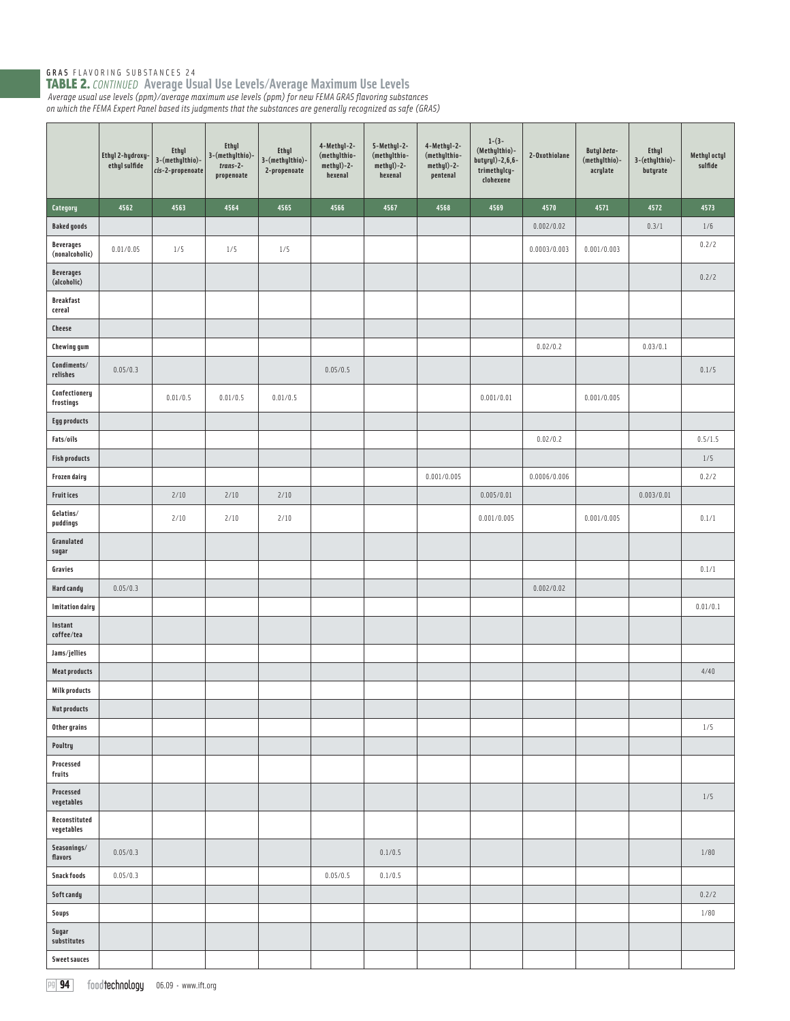|                                    | Ethyl 2-hydroxy-<br>ethyl sulfide | Ethyl<br>3-(methylthio)-<br>$cis$ -2-propenoate | Ethyl<br>3-(methylthio)-<br>$trans-2-$<br>propenoate | Ethyl<br>3-(methylthio)-<br>2-propenoate | 4-Methul-2-<br>(methylthio-<br>$methyl$ )-2-<br>hexenal | 5-Methyl-2-<br>(methylthio-<br>methyl)-2-<br>hexenal | 4-Methyl-2-<br>(methylthio-<br>methyl)-2-<br>pentenal | $1-(3-$<br>(Methylthio)-<br>butyryl)-2,6,6-<br>trimethylcy-<br>clohexene | 2-Oxothiolane | Butyl beta-<br>(methylthio)-<br>acrylate | <b>Ethyl</b><br>3-(ethylthio)-<br>butyrate | Methyl octyl<br>sulfide |
|------------------------------------|-----------------------------------|-------------------------------------------------|------------------------------------------------------|------------------------------------------|---------------------------------------------------------|------------------------------------------------------|-------------------------------------------------------|--------------------------------------------------------------------------|---------------|------------------------------------------|--------------------------------------------|-------------------------|
| Category                           | 4562                              | 4563                                            | 4564                                                 | 4565                                     | 4566                                                    | 4567                                                 | 4568                                                  | 4569                                                                     | 4570          | 4571                                     | 4572                                       | 4573                    |
| <b>Baked goods</b>                 |                                   |                                                 |                                                      |                                          |                                                         |                                                      |                                                       |                                                                          | 0.002/0.02    |                                          | 0.3/1                                      | 1/6                     |
| <b>Beverages</b><br>(nonalcoholic) | 0.01/0.05                         | 1/5                                             | 1/5                                                  | $1/5$                                    |                                                         |                                                      |                                                       |                                                                          | 0.0003/0.003  | 0.001/0.003                              |                                            | 0.2/2                   |
| <b>Beverages</b><br>(alcoholic)    |                                   |                                                 |                                                      |                                          |                                                         |                                                      |                                                       |                                                                          |               |                                          |                                            | 0.2/2                   |
| <b>Breakfast</b><br>cereal         |                                   |                                                 |                                                      |                                          |                                                         |                                                      |                                                       |                                                                          |               |                                          |                                            |                         |
| Cheese                             |                                   |                                                 |                                                      |                                          |                                                         |                                                      |                                                       |                                                                          |               |                                          |                                            |                         |
| <b>Chewing gum</b>                 |                                   |                                                 |                                                      |                                          |                                                         |                                                      |                                                       |                                                                          | 0.02/0.2      |                                          | 0.03/0.1                                   |                         |
| Condiments/<br>relishes            | 0.05/0.3                          |                                                 |                                                      |                                          | 0.05/0.5                                                |                                                      |                                                       |                                                                          |               |                                          |                                            | 0.1/5                   |
| Confectionery<br>${\tt frostings}$ |                                   | 0.01/0.5                                        | 0.01/0.5                                             | 0.01/0.5                                 |                                                         |                                                      |                                                       | 0.001/0.01                                                               |               | 0.001/0.005                              |                                            |                         |
| <b>Egg products</b>                |                                   |                                                 |                                                      |                                          |                                                         |                                                      |                                                       |                                                                          |               |                                          |                                            |                         |
| Fats/oils                          |                                   |                                                 |                                                      |                                          |                                                         |                                                      |                                                       |                                                                          | 0.02/0.2      |                                          |                                            | 0.5/1.5                 |
| <b>Fish products</b>               |                                   |                                                 |                                                      |                                          |                                                         |                                                      |                                                       |                                                                          |               |                                          |                                            | $1/5$                   |
| Frozen dairy                       |                                   |                                                 |                                                      |                                          |                                                         |                                                      | 0.001/0.005                                           |                                                                          | 0.0006/0.006  |                                          |                                            | 0.2/2                   |
| <b>Fruitices</b>                   |                                   | 2/10                                            | 2/10                                                 | 2/10                                     |                                                         |                                                      |                                                       | 0.005/0.01                                                               |               |                                          | 0.003/0.01                                 |                         |
| Gelatins/<br>puddings              |                                   | 2/10                                            | 2/10                                                 | 2/10                                     |                                                         |                                                      |                                                       | 0.001/0.005                                                              |               | 0.001/0.005                              |                                            | 0.1/1                   |
| Granulated<br>sugar                |                                   |                                                 |                                                      |                                          |                                                         |                                                      |                                                       |                                                                          |               |                                          |                                            |                         |
| Gravies                            |                                   |                                                 |                                                      |                                          |                                                         |                                                      |                                                       |                                                                          |               |                                          |                                            | 0.1/1                   |
| <b>Hard candy</b>                  | 0.05/0.3                          |                                                 |                                                      |                                          |                                                         |                                                      |                                                       |                                                                          | 0.002/0.02    |                                          |                                            |                         |
| <b>Imitation dairy</b>             |                                   |                                                 |                                                      |                                          |                                                         |                                                      |                                                       |                                                                          |               |                                          |                                            | 0.01/0.1                |
| Instant<br>coffee/tea              |                                   |                                                 |                                                      |                                          |                                                         |                                                      |                                                       |                                                                          |               |                                          |                                            |                         |
| Jams/jellies                       |                                   |                                                 |                                                      |                                          |                                                         |                                                      |                                                       |                                                                          |               |                                          |                                            |                         |
| <b>Meat products</b>               |                                   |                                                 |                                                      |                                          |                                                         |                                                      |                                                       |                                                                          |               |                                          |                                            | 4/40                    |
| <b>Milk products</b>               |                                   |                                                 |                                                      |                                          |                                                         |                                                      |                                                       |                                                                          |               |                                          |                                            |                         |
| <b>Nut products</b>                |                                   |                                                 |                                                      |                                          |                                                         |                                                      |                                                       |                                                                          |               |                                          |                                            |                         |
| Other grains                       |                                   |                                                 |                                                      |                                          |                                                         |                                                      |                                                       |                                                                          |               |                                          |                                            | $1/5$                   |
| Poultry<br>Processed<br>fruits     |                                   |                                                 |                                                      |                                          |                                                         |                                                      |                                                       |                                                                          |               |                                          |                                            |                         |
| Processed<br>vegetables            |                                   |                                                 |                                                      |                                          |                                                         |                                                      |                                                       |                                                                          |               |                                          |                                            | 1/5                     |
| Reconstituted<br>vegetables        |                                   |                                                 |                                                      |                                          |                                                         |                                                      |                                                       |                                                                          |               |                                          |                                            |                         |
| Seasonings/<br>flavors             | 0.05/0.3                          |                                                 |                                                      |                                          |                                                         | 0.1/0.5                                              |                                                       |                                                                          |               |                                          |                                            | $1/80$                  |
| <b>Snack foods</b>                 | 0.05/0.3                          |                                                 |                                                      |                                          | 0.05/0.5                                                | 0.1/0.5                                              |                                                       |                                                                          |               |                                          |                                            |                         |
| Soft candy                         |                                   |                                                 |                                                      |                                          |                                                         |                                                      |                                                       |                                                                          |               |                                          |                                            | 0.2/2                   |
| Soups                              |                                   |                                                 |                                                      |                                          |                                                         |                                                      |                                                       |                                                                          |               |                                          |                                            | 1/80                    |
| Sugar<br>substitutes               |                                   |                                                 |                                                      |                                          |                                                         |                                                      |                                                       |                                                                          |               |                                          |                                            |                         |
| <b>Sweet sauces</b>                |                                   |                                                 |                                                      |                                          |                                                         |                                                      |                                                       |                                                                          |               |                                          |                                            |                         |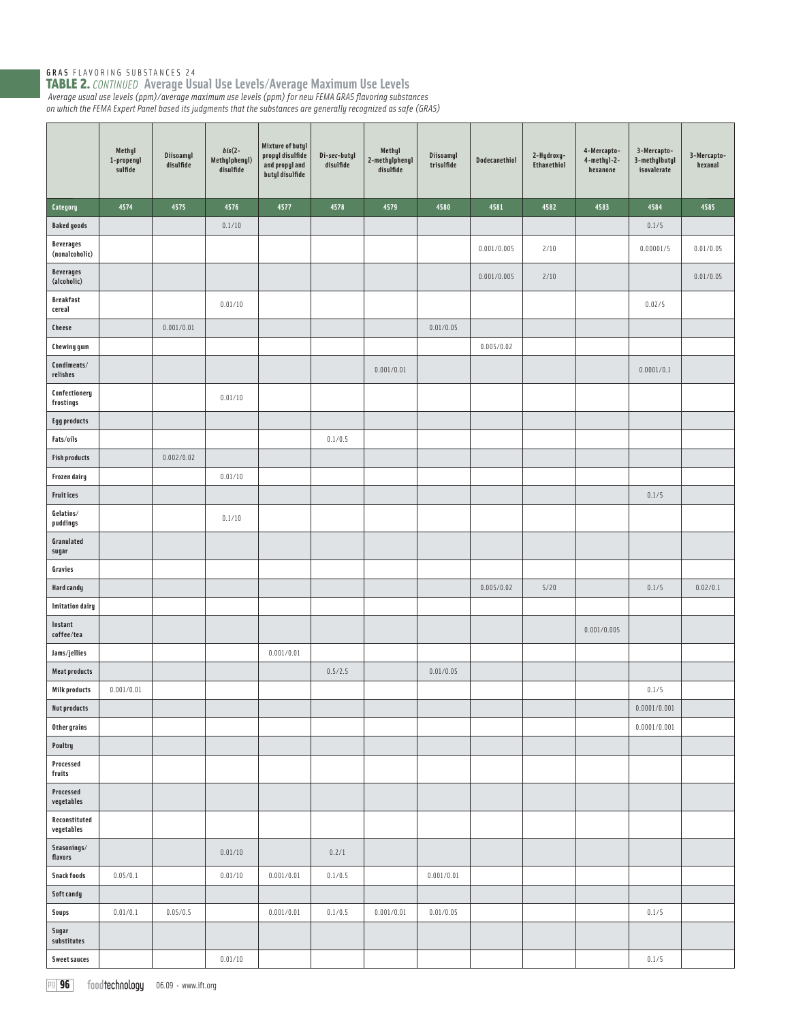|                                    | Methyl<br>1-propenyl<br>sulfide | Diisoamyl<br>disulfide | $bis(2 -$<br>Methylphenyl)<br>disulfide | Mixture of butyl<br>propyl disulfide<br>and propyl and<br>butyl disulfide | Di-sec-butyl<br>disulfide | Methyl<br>2-methylphenyl<br>disulfide | Diisoamyl<br>trisulfide | Dodecanethiol | 2-Hydroxy-<br>Ethanethiol | 4-Mercapto-<br>4-methyl-2-<br>hexanone | 3-Mercapto-<br>3-methylbutyl<br>isovalerate | 3-Mercapto-<br>hexanal |
|------------------------------------|---------------------------------|------------------------|-----------------------------------------|---------------------------------------------------------------------------|---------------------------|---------------------------------------|-------------------------|---------------|---------------------------|----------------------------------------|---------------------------------------------|------------------------|
| Category                           | 4574                            | 4575                   | 4576                                    | 4577                                                                      | 4578                      | 4579                                  | 4580                    | 4581          | 4582                      | 4583                                   | 4584                                        | 4585                   |
| <b>Baked goods</b>                 |                                 |                        | 0.1/10                                  |                                                                           |                           |                                       |                         |               |                           |                                        | 0.1/5                                       |                        |
| <b>Beverages</b><br>(nonalcoholic) |                                 |                        |                                         |                                                                           |                           |                                       |                         | 0.001/0.005   | 2/10                      |                                        | 0.00001/5                                   | 0.01/0.05              |
| <b>Beverages</b><br>(alcoholic)    |                                 |                        |                                         |                                                                           |                           |                                       |                         | 0.001/0.005   | 2/10                      |                                        |                                             | 0.01/0.05              |
| <b>Breakfast</b><br>cereal         |                                 |                        | 0.01/10                                 |                                                                           |                           |                                       |                         |               |                           |                                        | 0.02/5                                      |                        |
| <b>Cheese</b>                      |                                 | 0.001/0.01             |                                         |                                                                           |                           |                                       | 0.01/0.05               |               |                           |                                        |                                             |                        |
| <b>Chewing gum</b>                 |                                 |                        |                                         |                                                                           |                           |                                       |                         | 0.005/0.02    |                           |                                        |                                             |                        |
| Condiments/<br>relishes            |                                 |                        |                                         |                                                                           |                           | 0.001/0.01                            |                         |               |                           |                                        | 0.0001/0.1                                  |                        |
| Confectionery<br>frostings         |                                 |                        | 0.01/10                                 |                                                                           |                           |                                       |                         |               |                           |                                        |                                             |                        |
| <b>Egg products</b>                |                                 |                        |                                         |                                                                           |                           |                                       |                         |               |                           |                                        |                                             |                        |
| Fats/oils                          |                                 |                        |                                         |                                                                           | 0.1/0.5                   |                                       |                         |               |                           |                                        |                                             |                        |
| <b>Fish products</b>               |                                 | 0.002/0.02             |                                         |                                                                           |                           |                                       |                         |               |                           |                                        |                                             |                        |
| <b>Frozen dairy</b>                |                                 |                        | 0.01/10                                 |                                                                           |                           |                                       |                         |               |                           |                                        |                                             |                        |
| <b>Fruitices</b>                   |                                 |                        |                                         |                                                                           |                           |                                       |                         |               |                           |                                        | 0.1/5                                       |                        |
| Gelatins/<br>puddings              |                                 |                        | 0.1/10                                  |                                                                           |                           |                                       |                         |               |                           |                                        |                                             |                        |
| Granulated<br>sugar                |                                 |                        |                                         |                                                                           |                           |                                       |                         |               |                           |                                        |                                             |                        |
| Gravies                            |                                 |                        |                                         |                                                                           |                           |                                       |                         |               |                           |                                        |                                             |                        |
| <b>Hard candy</b>                  |                                 |                        |                                         |                                                                           |                           |                                       |                         | 0.005/0.02    | 5/20                      |                                        | 0.1/5                                       | 0.02/0.1               |
| <b>Imitation dairy</b>             |                                 |                        |                                         |                                                                           |                           |                                       |                         |               |                           |                                        |                                             |                        |
| Instant<br>coffee/tea              |                                 |                        |                                         |                                                                           |                           |                                       |                         |               |                           | 0.001/0.005                            |                                             |                        |
| Jams/jellies                       |                                 |                        |                                         | 0.001/0.01                                                                |                           |                                       |                         |               |                           |                                        |                                             |                        |
| <b>Meat products</b>               |                                 |                        |                                         |                                                                           | 0.5/2.5                   |                                       | 0.01/0.05               |               |                           |                                        |                                             |                        |
| <b>Milk products</b>               | 0.001/0.01                      |                        |                                         |                                                                           |                           |                                       |                         |               |                           |                                        | 0.1/5                                       |                        |
| <b>Nut products</b>                |                                 |                        |                                         |                                                                           |                           |                                       |                         |               |                           |                                        | 0.0001/0.001                                |                        |
| Other grains                       |                                 |                        |                                         |                                                                           |                           |                                       |                         |               |                           |                                        | 0.0001/0.001                                |                        |
| Poultry<br>Processed               |                                 |                        |                                         |                                                                           |                           |                                       |                         |               |                           |                                        |                                             |                        |
| fruits<br>Processed<br>vegetables  |                                 |                        |                                         |                                                                           |                           |                                       |                         |               |                           |                                        |                                             |                        |
| Reconstituted<br>vegetables        |                                 |                        |                                         |                                                                           |                           |                                       |                         |               |                           |                                        |                                             |                        |
| Seasonings/<br>flavors             |                                 |                        | 0.01/10                                 |                                                                           | 0.2/1                     |                                       |                         |               |                           |                                        |                                             |                        |
| Snack foods                        | 0.05/0.1                        |                        | 0.01/10                                 | 0.001/0.01                                                                | 0.1/0.5                   |                                       | 0.001/0.01              |               |                           |                                        |                                             |                        |
| Soft candy                         |                                 |                        |                                         |                                                                           |                           |                                       |                         |               |                           |                                        |                                             |                        |
| Soups                              | 0.01/0.1                        | 0.05/0.5               |                                         | 0.001/0.01                                                                | 0.1/0.5                   | 0.001/0.01                            | 0.01/0.05               |               |                           |                                        | 0.1/5                                       |                        |
| Sugar<br>substitutes               |                                 |                        |                                         |                                                                           |                           |                                       |                         |               |                           |                                        |                                             |                        |
| <b>Sweet sauces</b>                |                                 |                        | 0.01/10                                 |                                                                           |                           |                                       |                         |               |                           |                                        | 0.1/5                                       |                        |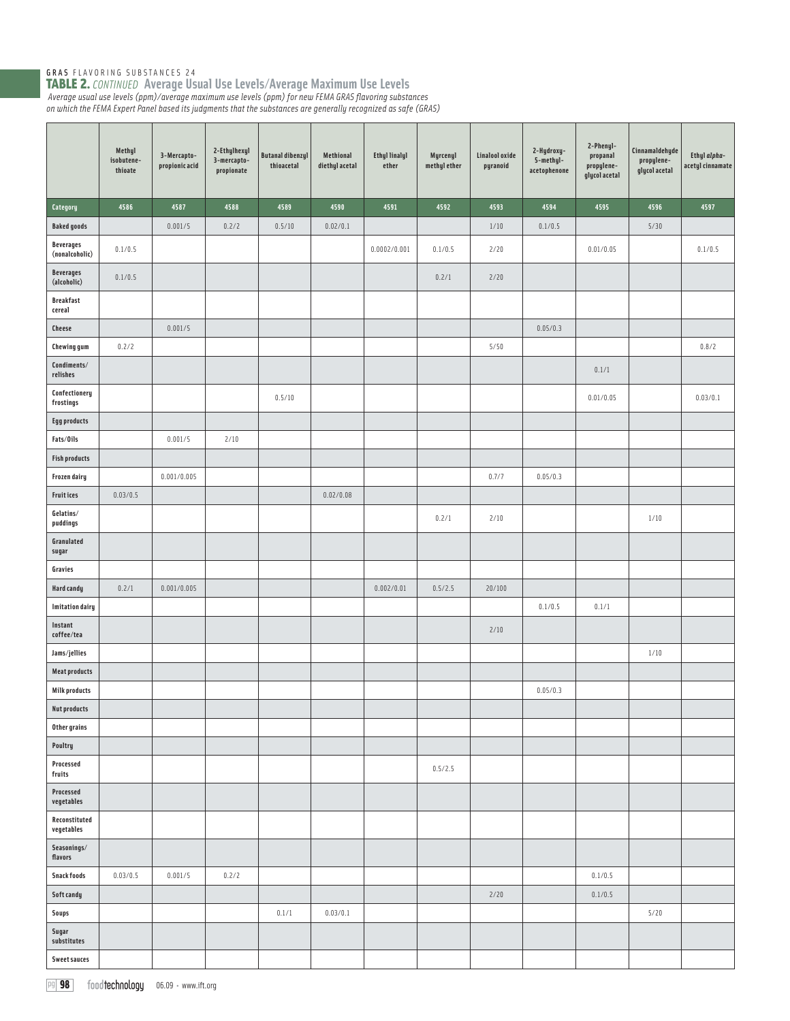|                                    | Methyl<br>isobutene-<br>thioate | 3-Mercapto-<br>propionic acid | 2-Ethylhexyl<br>3-mercapto-<br>propionate | <b>Butanal dibenzyl</b><br>thioacetal | Methional<br>diethyl acetal | <b>Ethyl linalyl</b><br>ether | Myrcenyl<br>methyl ether | Linalool oxide<br>pyranoid | 2-Hydroxy-<br>5-methyl-<br>acetophenone | 2-Phenyl-<br>propanal<br>propylene-<br>glycol acetal | Cinnamaldehyde<br>propylene-<br>glycol acetal | Ethyl alpha-<br>acetyl cinnamate |
|------------------------------------|---------------------------------|-------------------------------|-------------------------------------------|---------------------------------------|-----------------------------|-------------------------------|--------------------------|----------------------------|-----------------------------------------|------------------------------------------------------|-----------------------------------------------|----------------------------------|
| Category                           | 4586                            | 4587                          | 4588                                      | 4589                                  | 4590                        | 4591                          | 4592                     | 4593                       | 4594                                    | 4595                                                 | 4596                                          | 4597                             |
| <b>Baked goods</b>                 |                                 | 0.001/5                       | 0.2/2                                     | 0.5/10                                | 0.02/0.1                    |                               |                          | 1/10                       | 0.1/0.5                                 |                                                      | 5/30                                          |                                  |
| <b>Beverages</b><br>(nonalcoholic) | 0.1/0.5                         |                               |                                           |                                       |                             | 0.0002/0.001                  | 0.1/0.5                  | 2/20                       |                                         | 0.01/0.05                                            |                                               | 0.1/0.5                          |
| <b>Beverages</b><br>(alcoholic)    | 0.1/0.5                         |                               |                                           |                                       |                             |                               | 0.2/1                    | 2/20                       |                                         |                                                      |                                               |                                  |
| <b>Breakfast</b><br>cereal         |                                 |                               |                                           |                                       |                             |                               |                          |                            |                                         |                                                      |                                               |                                  |
| <b>Cheese</b>                      |                                 | 0.001/5                       |                                           |                                       |                             |                               |                          |                            | 0.05/0.3                                |                                                      |                                               |                                  |
| <b>Chewing gum</b>                 | 0.2/2                           |                               |                                           |                                       |                             |                               |                          | 5/50                       |                                         |                                                      |                                               | 0.8/2                            |
| Condiments/<br>relishes            |                                 |                               |                                           |                                       |                             |                               |                          |                            |                                         | 0.1/1                                                |                                               |                                  |
| Confectionery<br>frostings         |                                 |                               |                                           | 0.5/10                                |                             |                               |                          |                            |                                         | 0.01/0.05                                            |                                               | 0.03/0.1                         |
| <b>Egg products</b>                |                                 |                               |                                           |                                       |                             |                               |                          |                            |                                         |                                                      |                                               |                                  |
| Fats/Oils                          |                                 | 0.001/5                       | 2/10                                      |                                       |                             |                               |                          |                            |                                         |                                                      |                                               |                                  |
| <b>Fish products</b>               |                                 |                               |                                           |                                       |                             |                               |                          |                            |                                         |                                                      |                                               |                                  |
| Frozen dairy                       |                                 | 0.001/0.005                   |                                           |                                       |                             |                               |                          | 0.7/7                      | 0.05/0.3                                |                                                      |                                               |                                  |
| <b>Fruitices</b>                   | 0.03/0.5                        |                               |                                           |                                       | 0.02/0.08                   |                               |                          |                            |                                         |                                                      |                                               |                                  |
| Gelatins/<br>puddings              |                                 |                               |                                           |                                       |                             |                               | 0.2/1                    | 2/10                       |                                         |                                                      | 1/10                                          |                                  |
| Granulated<br>sugar                |                                 |                               |                                           |                                       |                             |                               |                          |                            |                                         |                                                      |                                               |                                  |
| Gravies                            |                                 |                               |                                           |                                       |                             |                               |                          |                            |                                         |                                                      |                                               |                                  |
| Hard candy                         | 0.2/1                           | 0.001/0.005                   |                                           |                                       |                             | 0.002/0.01                    | 0.5/2.5                  | 20/100                     |                                         |                                                      |                                               |                                  |
| <b>Imitation dairy</b>             |                                 |                               |                                           |                                       |                             |                               |                          |                            | 0.1/0.5                                 | 0.1/1                                                |                                               |                                  |
| Instant<br>coffee/tea              |                                 |                               |                                           |                                       |                             |                               |                          | 2/10                       |                                         |                                                      |                                               |                                  |
| Jams/jellies                       |                                 |                               |                                           |                                       |                             |                               |                          |                            |                                         |                                                      | 1/10                                          |                                  |
| <b>Meat products</b>               |                                 |                               |                                           |                                       |                             |                               |                          |                            |                                         |                                                      |                                               |                                  |
| <b>Milk products</b>               |                                 |                               |                                           |                                       |                             |                               |                          |                            | 0.05/0.3                                |                                                      |                                               |                                  |
| <b>Nut products</b>                |                                 |                               |                                           |                                       |                             |                               |                          |                            |                                         |                                                      |                                               |                                  |
| Other grains                       |                                 |                               |                                           |                                       |                             |                               |                          |                            |                                         |                                                      |                                               |                                  |
| Poultry                            |                                 |                               |                                           |                                       |                             |                               |                          |                            |                                         |                                                      |                                               |                                  |
| Processed<br>fruits                |                                 |                               |                                           |                                       |                             |                               | 0.5/2.5                  |                            |                                         |                                                      |                                               |                                  |
| Processed<br>vegetables            |                                 |                               |                                           |                                       |                             |                               |                          |                            |                                         |                                                      |                                               |                                  |
| Reconstituted<br>vegetables        |                                 |                               |                                           |                                       |                             |                               |                          |                            |                                         |                                                      |                                               |                                  |
| Seasonings/<br>flavors             |                                 |                               |                                           |                                       |                             |                               |                          |                            |                                         |                                                      |                                               |                                  |
| <b>Snack foods</b>                 | 0.03/0.5                        | 0.001/5                       | 0.2/2                                     |                                       |                             |                               |                          |                            |                                         | 0.1/0.5                                              |                                               |                                  |
| Soft candy                         |                                 |                               |                                           |                                       |                             |                               |                          | 2/20                       |                                         | 0.1/0.5                                              |                                               |                                  |
| Soups                              |                                 |                               |                                           | 0.1/1                                 | 0.03/0.1                    |                               |                          |                            |                                         |                                                      | 5/20                                          |                                  |
| Sugar<br>substitutes               |                                 |                               |                                           |                                       |                             |                               |                          |                            |                                         |                                                      |                                               |                                  |
| <b>Sweet sauces</b>                |                                 |                               |                                           |                                       |                             |                               |                          |                            |                                         |                                                      |                                               |                                  |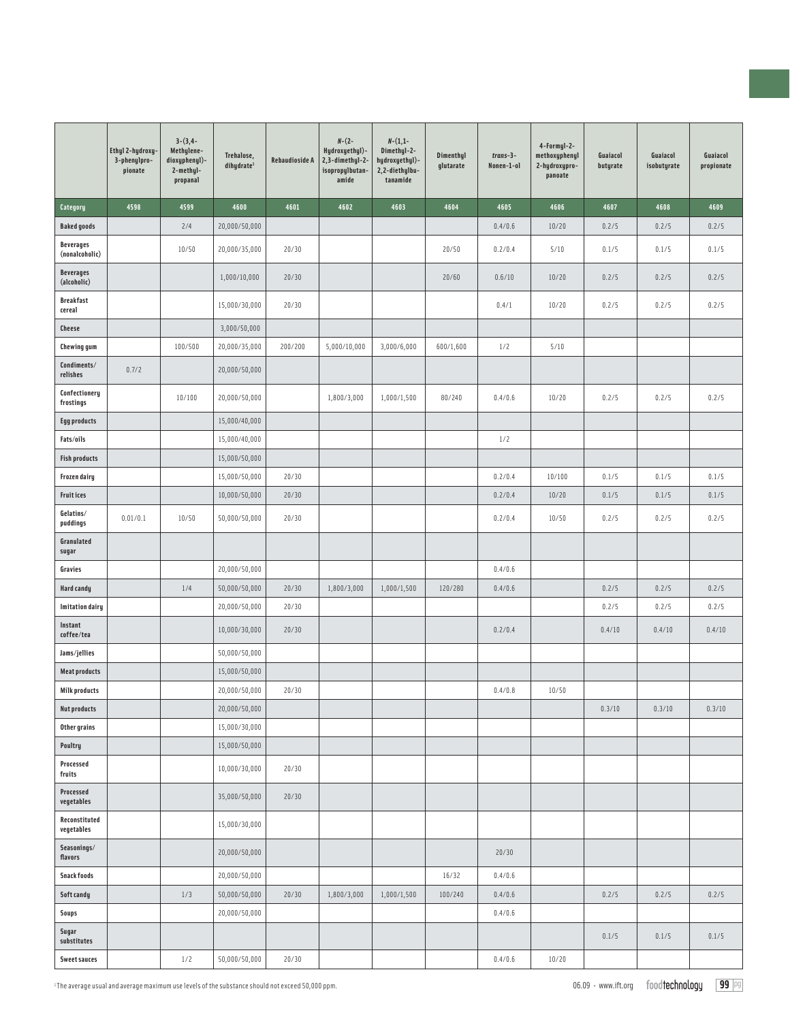|                                    | Ethyl 2-hydroxy-<br>3-phenylpro-<br>pionate | $3-(3,4-$<br>Methylene-<br>dioxyphenyl)-<br>2-methyl-<br>propanal | Trehalose,<br>dihydrate <sup>1</sup> | <b>Rebaudioside A</b> | $N-(2-$<br>Hydroxyethyl)-<br>2,3-dimethyl-2-<br>isopropylbutan-<br>amide | $N - (1,1 -$<br>Dimethyl-2-<br>hydroxyethyl)-<br>2,2-diethylbu-<br>tanamide | Dimenthyl<br>glutarate | $trans-3-$<br>Nonen-1-ol | 4-Formyl-2-<br>methoxyphenyl<br>2-hydroxypro-<br>panoate | Guaiacol<br>butyrate | Guaiacol<br>isobutyrate | Guaiacol<br>propionate |
|------------------------------------|---------------------------------------------|-------------------------------------------------------------------|--------------------------------------|-----------------------|--------------------------------------------------------------------------|-----------------------------------------------------------------------------|------------------------|--------------------------|----------------------------------------------------------|----------------------|-------------------------|------------------------|
| Category                           | 4598                                        | 4599                                                              | 4600                                 | 4601                  | 4602                                                                     | 4603                                                                        | 4604                   | 4605                     | 4606                                                     | 4607                 | 4608                    | 4609                   |
| <b>Baked goods</b>                 |                                             | 2/4                                                               | 20,000/50,000                        |                       |                                                                          |                                                                             |                        | 0.4/0.6                  | 10/20                                                    | 0.2/5                | 0.2/5                   | 0.2/5                  |
| <b>Beverages</b><br>(nonalcoholic) |                                             | 10/50                                                             | 20,000/35,000                        | 20/30                 |                                                                          |                                                                             | 20/50                  | 0.2/0.4                  | 5/10                                                     | 0.1/5                | 0.1/5                   | 0.1/5                  |
| <b>Beverages</b><br>(alcoholic)    |                                             |                                                                   | 1,000/10,000                         | 20/30                 |                                                                          |                                                                             | 20/60                  | 0.6/10                   | 10/20                                                    | 0.2/5                | 0.2/5                   | 0.2/5                  |
| <b>Breakfast</b><br>cereal         |                                             |                                                                   | 15,000/30,000                        | 20/30                 |                                                                          |                                                                             |                        | 0.4/1                    | 10/20                                                    | 0.2/5                | 0.2/5                   | 0.2/5                  |
| <b>Cheese</b>                      |                                             |                                                                   | 3,000/50,000                         |                       |                                                                          |                                                                             |                        |                          |                                                          |                      |                         |                        |
| <b>Chewing gum</b>                 |                                             | 100/500                                                           | 20,000/35,000                        | 200/200               | 5,000/10,000                                                             | 3,000/6,000                                                                 | 600/1,600              | 1/2                      | 5/10                                                     |                      |                         |                        |
| Condiments/<br>relishes            | 0.7/2                                       |                                                                   | 20,000/50,000                        |                       |                                                                          |                                                                             |                        |                          |                                                          |                      |                         |                        |
| Confectionery<br>frostings         |                                             | 10/100                                                            | 20,000/50,000                        |                       | 1,800/3,000                                                              | 1,000/1,500                                                                 | 80/240                 | 0.4/0.6                  | 10/20                                                    | 0.2/5                | 0.2/5                   | 0.2/5                  |
| <b>Egg products</b>                |                                             |                                                                   | 15,000/40,000                        |                       |                                                                          |                                                                             |                        |                          |                                                          |                      |                         |                        |
| Fats/oils                          |                                             |                                                                   | 15,000/40,000                        |                       |                                                                          |                                                                             |                        | 1/2                      |                                                          |                      |                         |                        |
| <b>Fish products</b>               |                                             |                                                                   | 15,000/50,000                        |                       |                                                                          |                                                                             |                        |                          |                                                          |                      |                         |                        |
| Frozen dairy                       |                                             |                                                                   | 15,000/50,000                        | 20/30                 |                                                                          |                                                                             |                        | 0.2/0.4                  | 10/100                                                   | 0.1/5                | 0.1/5                   | 0.1/5                  |
| <b>Fruitices</b>                   |                                             |                                                                   | 10,000/50,000                        | 20/30                 |                                                                          |                                                                             |                        | 0.2/0.4                  | 10/20                                                    | 0.1/5                | 0.1/5                   | 0.1/5                  |
| Gelatins/<br>puddings              | 0.01/0.1                                    | 10/50                                                             | 50,000/50,000                        | 20/30                 |                                                                          |                                                                             |                        | 0.2/0.4                  | 10/50                                                    | 0.2/5                | 0.2/5                   | 0.2/5                  |
| Granulated<br>sugar                |                                             |                                                                   |                                      |                       |                                                                          |                                                                             |                        |                          |                                                          |                      |                         |                        |
| Gravies                            |                                             |                                                                   | 20,000/50,000                        |                       |                                                                          |                                                                             |                        | 0.4/0.6                  |                                                          |                      |                         |                        |
| Hard candy                         |                                             | 1/4                                                               | 50,000/50,000                        | 20/30                 | 1,800/3,000                                                              | 1,000/1,500                                                                 | 120/280                | 0.4/0.6                  |                                                          | 0.2/5                | 0.2/5                   | 0.2/5                  |
| <b>Imitation dairy</b>             |                                             |                                                                   | 20,000/50,000                        | 20/30                 |                                                                          |                                                                             |                        |                          |                                                          | 0.2/5                | 0.2/5                   | 0.2/5                  |
| Instant<br>coffee/tea              |                                             |                                                                   | 10,000/30,000                        | 20/30                 |                                                                          |                                                                             |                        | 0.2/0.4                  |                                                          | 0.4/10               | 0.4/10                  | 0.4/10                 |
| Jams/jellies                       |                                             |                                                                   | 50,000/50,000                        |                       |                                                                          |                                                                             |                        |                          |                                                          |                      |                         |                        |
| <b>Meat products</b>               |                                             |                                                                   | 15,000/50,000                        |                       |                                                                          |                                                                             |                        |                          |                                                          |                      |                         |                        |
| <b>Milk products</b>               |                                             |                                                                   | 20,000/50,000                        | 20/30                 |                                                                          |                                                                             |                        | 0.4/0.8                  | 10/50                                                    |                      |                         |                        |
| <b>Nut products</b>                |                                             |                                                                   | 20,000/50,000                        |                       |                                                                          |                                                                             |                        |                          |                                                          | 0.3/10               | 0.3/10                  | 0.3/10                 |
| Other grains                       |                                             |                                                                   | 15,000/30,000                        |                       |                                                                          |                                                                             |                        |                          |                                                          |                      |                         |                        |
| Poultry                            |                                             |                                                                   | 15,000/50,000                        |                       |                                                                          |                                                                             |                        |                          |                                                          |                      |                         |                        |
| Processed<br>fruits                |                                             |                                                                   | 10,000/30,000                        | 20/30                 |                                                                          |                                                                             |                        |                          |                                                          |                      |                         |                        |
| Processed<br>vegetables            |                                             |                                                                   | 35,000/50,000                        | 20/30                 |                                                                          |                                                                             |                        |                          |                                                          |                      |                         |                        |
| Reconstituted<br>vegetables        |                                             |                                                                   | 15,000/30,000                        |                       |                                                                          |                                                                             |                        |                          |                                                          |                      |                         |                        |
| Seasonings/<br>flavors             |                                             |                                                                   | 20,000/50,000                        |                       |                                                                          |                                                                             |                        | 20/30                    |                                                          |                      |                         |                        |
| <b>Snack foods</b>                 |                                             |                                                                   | 20,000/50,000                        |                       |                                                                          |                                                                             | 16/32                  | 0.4/0.6                  |                                                          |                      |                         |                        |
| Soft candy                         |                                             | 1/3                                                               | 50,000/50,000                        | 20/30                 | 1,800/3,000                                                              | 1,000/1,500                                                                 | 100/240                | 0.4/0.6                  |                                                          | 0.2/5                | 0.2/5                   | 0.2/5                  |
| <b>Soups</b>                       |                                             |                                                                   | 20,000/50,000                        |                       |                                                                          |                                                                             |                        | 0.4/0.6                  |                                                          |                      |                         |                        |
| Sugar<br>substitutes               |                                             |                                                                   |                                      |                       |                                                                          |                                                                             |                        |                          |                                                          | 0.1/5                | 0.1/5                   | 0.1/5                  |
| <b>Sweet sauces</b>                |                                             | 1/2                                                               | 50,000/50,000                        | 20/30                 |                                                                          |                                                                             |                        | 0.4/0.6                  | 10/20                                                    |                      |                         |                        |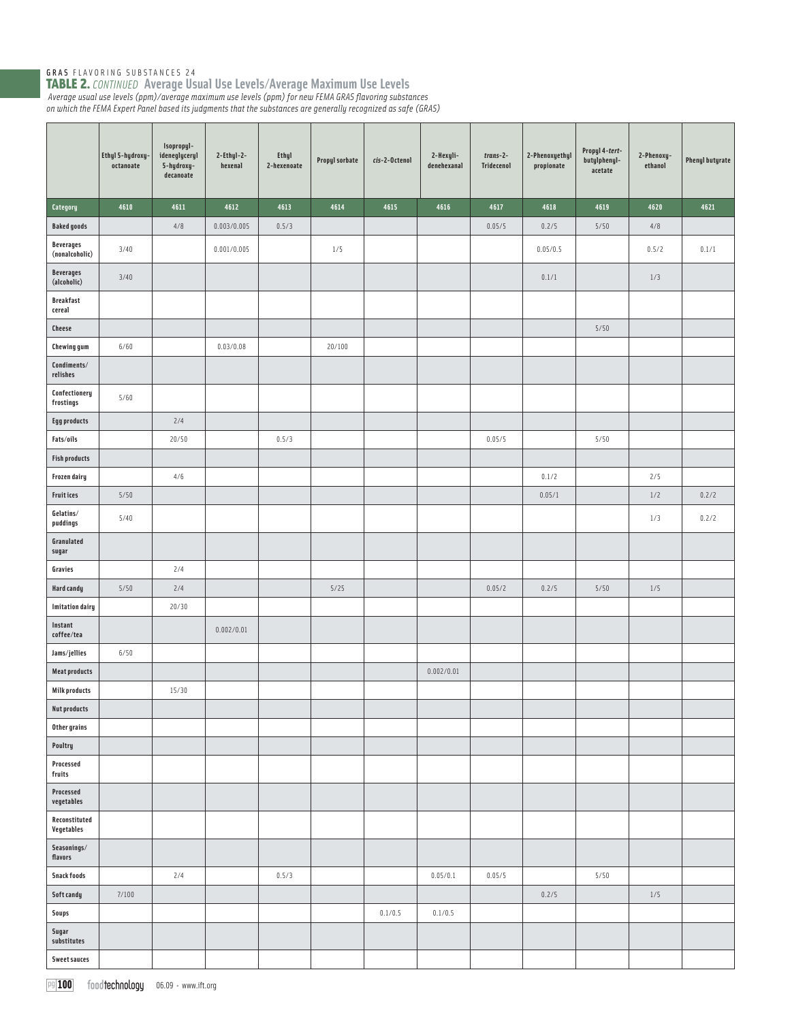|                                    | Ethyl 5-hydroxy<br>octanoate | Isopropyl-<br>ideneglyceryl<br>5-hydroxy-<br>decanoate | 2-Ethyl-2-<br>hexenal | <b>Ethyl</b><br>2-hexenoate | Propyl sorbate | cis-2-Octenol | 2-Hexyli-<br>denehexanal | $trans-2-$<br>Tridecenol | 2-Phenoxyethyl<br>propionate | Propyl 4-tert-<br>butylphenyl-<br>acetate | 2-Phenoxy-<br>ethanol | <b>Phenyl butyrate</b> |
|------------------------------------|------------------------------|--------------------------------------------------------|-----------------------|-----------------------------|----------------|---------------|--------------------------|--------------------------|------------------------------|-------------------------------------------|-----------------------|------------------------|
| Category                           | 4610                         | 4611                                                   | 4612                  | 4613                        | 4614           | 4615          | 4616                     | 4617                     | 4618                         | 4619                                      | 4620                  | 4621                   |
| <b>Baked goods</b>                 |                              | 4/8                                                    | 0.003/0.005           | 0.5/3                       |                |               |                          | 0.05/5                   | 0.2/5                        | 5/50                                      | $4/8$                 |                        |
| <b>Beverages</b><br>(nonalcoholic) | 3/40                         |                                                        | 0.001/0.005           |                             | 1/5            |               |                          |                          | 0.05/0.5                     |                                           | 0.5/2                 | 0.1/1                  |
| <b>Beverages</b><br>(alcoholic)    | 3/40                         |                                                        |                       |                             |                |               |                          |                          | 0.1/1                        |                                           | 1/3                   |                        |
| <b>Breakfast</b><br>cereal         |                              |                                                        |                       |                             |                |               |                          |                          |                              |                                           |                       |                        |
| Cheese                             |                              |                                                        |                       |                             |                |               |                          |                          |                              | 5/50                                      |                       |                        |
| <b>Chewing gum</b>                 | 6/60                         |                                                        | 0.03/0.08             |                             | 20/100         |               |                          |                          |                              |                                           |                       |                        |
| Condiments/<br>relishes            |                              |                                                        |                       |                             |                |               |                          |                          |                              |                                           |                       |                        |
| Confectionery<br>frostings         | 5/60                         |                                                        |                       |                             |                |               |                          |                          |                              |                                           |                       |                        |
| <b>Egg products</b>                |                              | 2/4                                                    |                       |                             |                |               |                          |                          |                              |                                           |                       |                        |
| Fats/oils                          |                              | 20/50                                                  |                       | 0.5/3                       |                |               |                          | 0.05/5                   |                              | 5/50                                      |                       |                        |
| <b>Fish products</b>               |                              |                                                        |                       |                             |                |               |                          |                          |                              |                                           |                       |                        |
| Frozen dairy                       |                              | 4/6                                                    |                       |                             |                |               |                          |                          | 0.1/2                        |                                           | 2/5                   |                        |
| Fruit ices                         | 5/50                         |                                                        |                       |                             |                |               |                          |                          | 0.05/1                       |                                           | $1/2$                 | 0.2/2                  |
| Gelatins/<br>puddings              | 5/40                         |                                                        |                       |                             |                |               |                          |                          |                              |                                           | 1/3                   | 0.2/2                  |
| Granulated<br>sugar                |                              |                                                        |                       |                             |                |               |                          |                          |                              |                                           |                       |                        |
| Gravies                            |                              | 2/4                                                    |                       |                             |                |               |                          |                          |                              |                                           |                       |                        |
| <b>Hard candy</b>                  | 5/50                         | 2/4                                                    |                       |                             | $5/25$         |               |                          | 0.05/2                   | 0.2/5                        | 5/50                                      | 1/5                   |                        |
| <b>Imitation dairy</b>             |                              | 20/30                                                  |                       |                             |                |               |                          |                          |                              |                                           |                       |                        |
| Instant<br>coffee/tea              |                              |                                                        | 0.002/0.01            |                             |                |               |                          |                          |                              |                                           |                       |                        |
| Jams/jellies                       | 6/50                         |                                                        |                       |                             |                |               |                          |                          |                              |                                           |                       |                        |
| <b>Meat products</b>               |                              |                                                        |                       |                             |                |               | 0.002/0.01               |                          |                              |                                           |                       |                        |
| <b>Milk products</b>               |                              | 15/30                                                  |                       |                             |                |               |                          |                          |                              |                                           |                       |                        |
| <b>Nut products</b>                |                              |                                                        |                       |                             |                |               |                          |                          |                              |                                           |                       |                        |
| Other grains<br>Poultry            |                              |                                                        |                       |                             |                |               |                          |                          |                              |                                           |                       |                        |
| Processed<br>fruits                |                              |                                                        |                       |                             |                |               |                          |                          |                              |                                           |                       |                        |
| Processed<br>vegetables            |                              |                                                        |                       |                             |                |               |                          |                          |                              |                                           |                       |                        |
| Reconstituted<br>Vegetables        |                              |                                                        |                       |                             |                |               |                          |                          |                              |                                           |                       |                        |
| Seasonings/<br>flavors             |                              |                                                        |                       |                             |                |               |                          |                          |                              |                                           |                       |                        |
| Snack foods                        |                              | 2/4                                                    |                       | 0.5/3                       |                |               | 0.05/0.1                 | 0.05/5                   |                              | 5/50                                      |                       |                        |
| Soft candy                         | 7/100                        |                                                        |                       |                             |                |               |                          |                          | 0.2/5                        |                                           | 1/5                   |                        |
| Soups                              |                              |                                                        |                       |                             |                | 0.1/0.5       | 0.1/0.5                  |                          |                              |                                           |                       |                        |
| Sugar<br>substitutes               |                              |                                                        |                       |                             |                |               |                          |                          |                              |                                           |                       |                        |
| <b>Sweet sauces</b>                |                              |                                                        |                       |                             |                |               |                          |                          |                              |                                           |                       |                        |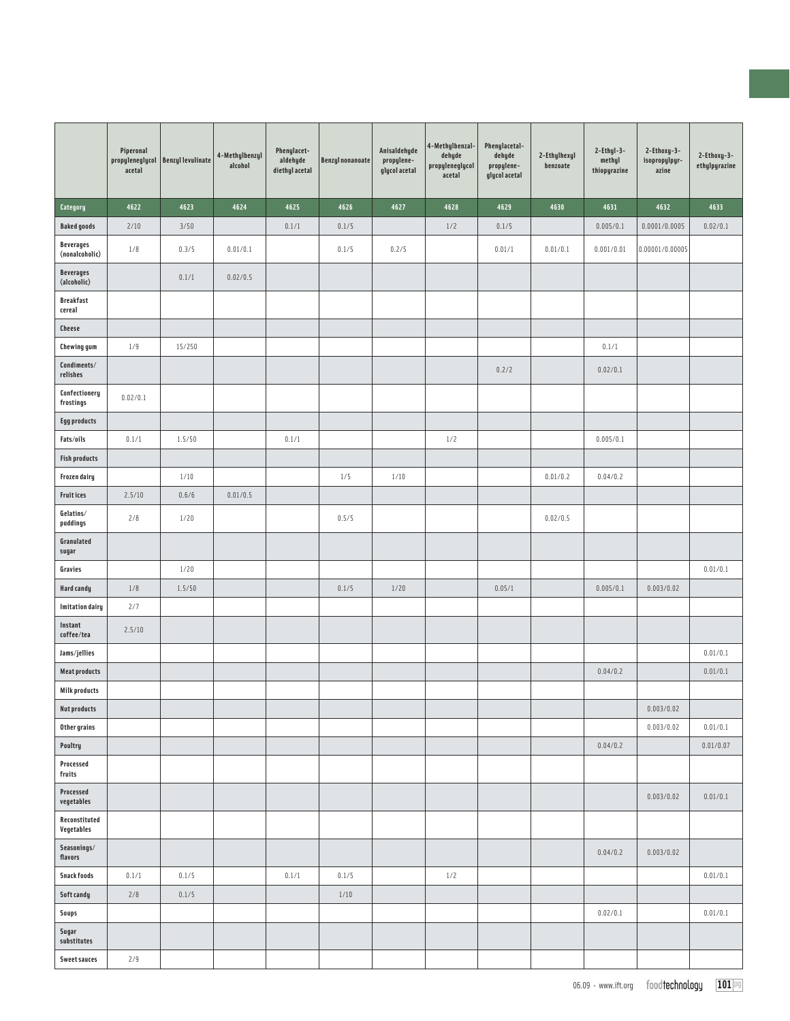|                                             | Piperonal<br>acetal | propyleneglycol   Benzyl levulinate | 4-Methylbenzyl<br>alcohol | Phenylacet-<br>aldehyde<br>diethyl acetal | Benzyl nonanoate | Anisaldehyde<br>propylene-<br>glycol acetal | 4-Methylbenzal-<br>dehyde<br>propyleneglycol<br>acetal | Phenylacetal-<br>dehyde<br>propylene-<br>glycol acetal | 2-Ethylhexyl<br>benzoate | $2$ -Ethyl-3-<br>methyl<br>thiopyrazine | 2-Ethoxy-3-<br>isopropylpyr-<br>azine | 2-Ethoxy-3-<br>ethylpyrazine |
|---------------------------------------------|---------------------|-------------------------------------|---------------------------|-------------------------------------------|------------------|---------------------------------------------|--------------------------------------------------------|--------------------------------------------------------|--------------------------|-----------------------------------------|---------------------------------------|------------------------------|
| Category                                    | 4622                | 4623                                | 4624                      | 4625                                      | 4626             | 4627                                        | 4628                                                   | 4629                                                   | 4630                     | 4631                                    | 4632                                  | 4633                         |
| <b>Baked goods</b>                          | 2/10                | 3/50                                |                           | 0.1/1                                     | 0.1/5            |                                             | 1/2                                                    | 0.1/5                                                  |                          | 0.005/0.1                               | 0.0001/0.0005                         | 0.02/0.1                     |
| <b>Beverages</b><br>(nonalcoholic)          | 1/8                 | 0.3/5                               | 0.01/0.1                  |                                           | 0.1/5            | 0.2/5                                       |                                                        | 0.01/1                                                 | 0.01/0.1                 | 0.001/0.01                              | 0.00001/0.00005                       |                              |
| <b>Beverages</b><br>(alcoholic)             |                     | 0.1/1                               | 0.02/0.5                  |                                           |                  |                                             |                                                        |                                                        |                          |                                         |                                       |                              |
| <b>Breakfast</b><br>cereal                  |                     |                                     |                           |                                           |                  |                                             |                                                        |                                                        |                          |                                         |                                       |                              |
| <b>Cheese</b>                               |                     |                                     |                           |                                           |                  |                                             |                                                        |                                                        |                          |                                         |                                       |                              |
| <b>Chewing gum</b>                          | 1/9                 | 15/250                              |                           |                                           |                  |                                             |                                                        |                                                        |                          | 0.1/1                                   |                                       |                              |
| $\textsf{Conditions}/\textsf{}$<br>relishes |                     |                                     |                           |                                           |                  |                                             |                                                        | 0.2/2                                                  |                          | 0.02/0.1                                |                                       |                              |
| Confectionery<br>frostings                  | 0.02/0.1            |                                     |                           |                                           |                  |                                             |                                                        |                                                        |                          |                                         |                                       |                              |
| <b>Egg products</b>                         |                     |                                     |                           |                                           |                  |                                             |                                                        |                                                        |                          |                                         |                                       |                              |
| Fats/oils                                   | 0.1/1               | 1.5/50                              |                           | 0.1/1                                     |                  |                                             | 1/2                                                    |                                                        |                          | 0.005/0.1                               |                                       |                              |
| <b>Fish products</b>                        |                     |                                     |                           |                                           |                  |                                             |                                                        |                                                        |                          |                                         |                                       |                              |
| Frozen dairy                                |                     | $1/10$                              |                           |                                           | 1/5              | 1/10                                        |                                                        |                                                        | 0.01/0.2                 | 0.04/0.2                                |                                       |                              |
| <b>Fruitices</b>                            | 2.5/10              | 0.6/6                               | 0.01/0.5                  |                                           |                  |                                             |                                                        |                                                        |                          |                                         |                                       |                              |
| Gelatins/<br>puddings                       | 2/8                 | 1/20                                |                           |                                           | 0.5/5            |                                             |                                                        |                                                        | 0.02/0.5                 |                                         |                                       |                              |
| Granulated<br>sugar                         |                     |                                     |                           |                                           |                  |                                             |                                                        |                                                        |                          |                                         |                                       |                              |
| Gravies                                     |                     | 1/20                                |                           |                                           |                  |                                             |                                                        |                                                        |                          |                                         |                                       | 0.01/0.1                     |
| <b>Hard candy</b>                           | 1/8                 | 1.5/50                              |                           |                                           | 0.1/5            | 1/20                                        |                                                        | 0.05/1                                                 |                          | 0.005/0.1                               | 0.003/0.02                            |                              |
| <b>Imitation dairy</b>                      | 2/7                 |                                     |                           |                                           |                  |                                             |                                                        |                                                        |                          |                                         |                                       |                              |
| Instant<br>coffee/tea                       | 2.5/10              |                                     |                           |                                           |                  |                                             |                                                        |                                                        |                          |                                         |                                       |                              |
| Jams/jellies                                |                     |                                     |                           |                                           |                  |                                             |                                                        |                                                        |                          |                                         |                                       | 0.01/0.1                     |
| <b>Meat products</b>                        |                     |                                     |                           |                                           |                  |                                             |                                                        |                                                        |                          | 0.04/0.2                                |                                       | 0.01/0.1                     |
| <b>Milk products</b>                        |                     |                                     |                           |                                           |                  |                                             |                                                        |                                                        |                          |                                         |                                       |                              |
| <b>Nut products</b>                         |                     |                                     |                           |                                           |                  |                                             |                                                        |                                                        |                          |                                         | 0.003/0.02                            |                              |
| Other grains                                |                     |                                     |                           |                                           |                  |                                             |                                                        |                                                        |                          |                                         | 0.003/0.02                            | 0.01/0.1                     |
| Poultry                                     |                     |                                     |                           |                                           |                  |                                             |                                                        |                                                        |                          | 0.04/0.2                                |                                       | 0.01/0.07                    |
| Processed<br>fruits                         |                     |                                     |                           |                                           |                  |                                             |                                                        |                                                        |                          |                                         |                                       |                              |
| Processed<br>vegetables                     |                     |                                     |                           |                                           |                  |                                             |                                                        |                                                        |                          |                                         | 0.003/0.02                            | 0.01/0.1                     |
| Reconstituted<br>Vegetables                 |                     |                                     |                           |                                           |                  |                                             |                                                        |                                                        |                          |                                         |                                       |                              |
| Seasonings/<br>flavors                      |                     |                                     |                           |                                           |                  |                                             |                                                        |                                                        |                          | 0.04/0.2                                | 0.003/0.02                            |                              |
| <b>Snack foods</b>                          | 0.1/1               | 0.1/5                               |                           | 0.1/1                                     | 0.1/5            |                                             | 1/2                                                    |                                                        |                          |                                         |                                       | 0.01/0.1                     |
| Soft candy                                  | 2/8                 | 0.1/5                               |                           |                                           | $1/10$           |                                             |                                                        |                                                        |                          |                                         |                                       |                              |
| Soups                                       |                     |                                     |                           |                                           |                  |                                             |                                                        |                                                        |                          | 0.02/0.1                                |                                       | 0.01/0.1                     |
| Sugar<br>substitutes                        |                     |                                     |                           |                                           |                  |                                             |                                                        |                                                        |                          |                                         |                                       |                              |
| <b>Sweet sauces</b>                         | 2/9                 |                                     |                           |                                           |                  |                                             |                                                        |                                                        |                          |                                         |                                       |                              |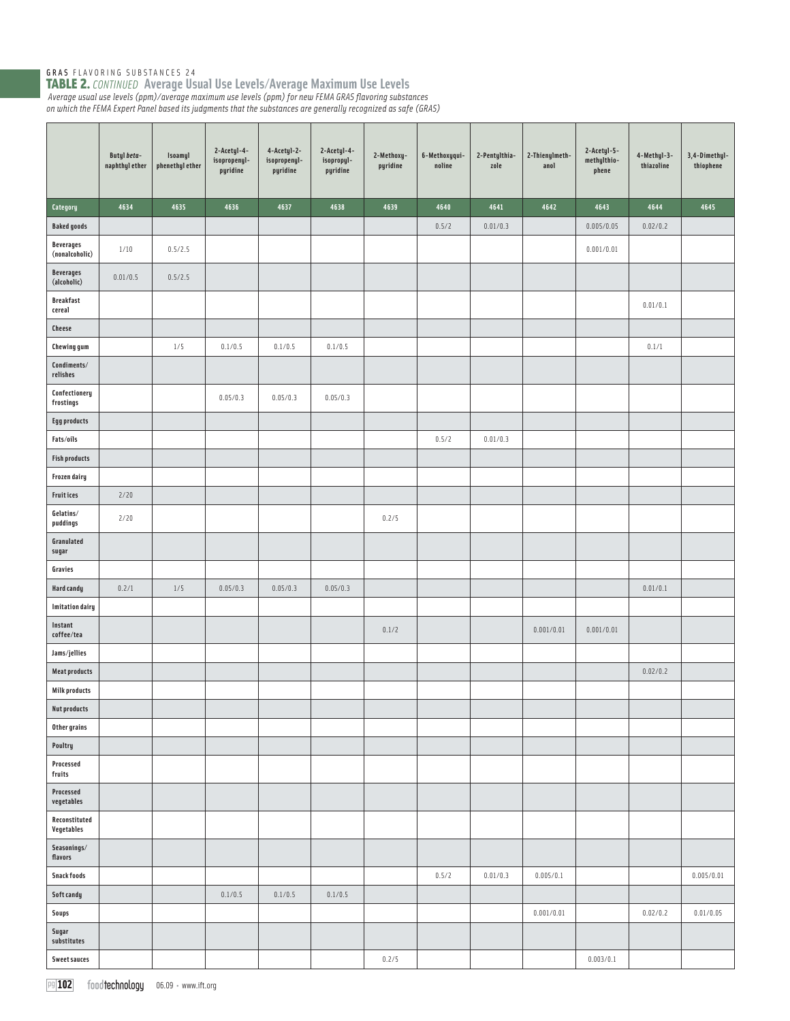TABLE 2. *CONTINUED* **Average Usual Use Levels/Average Maximum Use Levels** *Average usual use levels (ppm)/average maximum use levels (ppm) for new FEMA GRAS fl avoring substances on which the FEMA Expert Panel based its judgments that the substances are generally recognized as safe (GRAS)* 

|                                    | Butyl beta-<br>naphthyl ether | Isoamyl<br>phenethyl ether | 2-Acetyl-4-<br>isopropenyl-<br>pyridine | 4-Acetyl-2-<br>isopropenyl-<br>pyridine | 2-Acetyl-4-<br>isopropyl-<br>pyridine | 2-Methoxy-<br>pyridine | 6-Methoxyqui-<br>noline | 2-Pentylthia-<br>zole | 2-Thienylmeth-<br>anol | 2-Acetyl-5-<br>methylthio-<br>phene | 4-Methyl-3-<br>thiazoline | 3,4-Dimethyl-<br>thiophene |
|------------------------------------|-------------------------------|----------------------------|-----------------------------------------|-----------------------------------------|---------------------------------------|------------------------|-------------------------|-----------------------|------------------------|-------------------------------------|---------------------------|----------------------------|
| Category                           | 4634                          | 4635                       | 4636                                    | 4637                                    | 4638                                  | 4639                   | 4640                    | 4641                  | 4642                   | 4643                                | 4644                      | 4645                       |
| <b>Baked goods</b>                 |                               |                            |                                         |                                         |                                       |                        | 0.5/2                   | 0.01/0.3              |                        | 0.005/0.05                          | 0.02/0.2                  |                            |
| <b>Beverages</b><br>(nonalcoholic) | 1/10                          | 0.5/2.5                    |                                         |                                         |                                       |                        |                         |                       |                        | 0.001/0.01                          |                           |                            |
| <b>Beverages</b><br>(alcoholic)    | 0.01/0.5                      | 0.5/2.5                    |                                         |                                         |                                       |                        |                         |                       |                        |                                     |                           |                            |
| <b>Breakfast</b><br>cereal         |                               |                            |                                         |                                         |                                       |                        |                         |                       |                        |                                     | 0.01/0.1                  |                            |
| Cheese                             |                               |                            |                                         |                                         |                                       |                        |                         |                       |                        |                                     |                           |                            |
| <b>Chewing gum</b>                 |                               | 1/5                        | 0.1/0.5                                 | 0.1/0.5                                 | 0.1/0.5                               |                        |                         |                       |                        |                                     | 0.1/1                     |                            |
| Condiments/<br>relishes            |                               |                            |                                         |                                         |                                       |                        |                         |                       |                        |                                     |                           |                            |
| Confectionery<br>frostings         |                               |                            | 0.05/0.3                                | 0.05/0.3                                | 0.05/0.3                              |                        |                         |                       |                        |                                     |                           |                            |
| <b>Egg products</b>                |                               |                            |                                         |                                         |                                       |                        |                         |                       |                        |                                     |                           |                            |
| Fats/oils                          |                               |                            |                                         |                                         |                                       |                        | 0.5/2                   | 0.01/0.3              |                        |                                     |                           |                            |
| <b>Fish products</b>               |                               |                            |                                         |                                         |                                       |                        |                         |                       |                        |                                     |                           |                            |
| Frozen dairy                       |                               |                            |                                         |                                         |                                       |                        |                         |                       |                        |                                     |                           |                            |
| <b>Fruitices</b>                   | 2/20                          |                            |                                         |                                         |                                       |                        |                         |                       |                        |                                     |                           |                            |
| Gelatins/<br>puddings              | 2/20                          |                            |                                         |                                         |                                       | 0.2/5                  |                         |                       |                        |                                     |                           |                            |
| Granulated<br>sugar                |                               |                            |                                         |                                         |                                       |                        |                         |                       |                        |                                     |                           |                            |
| Gravies                            |                               |                            |                                         |                                         |                                       |                        |                         |                       |                        |                                     |                           |                            |
| <b>Hard candy</b>                  | 0.2/1                         | $1/5$                      | 0.05/0.3                                | 0.05/0.3                                | 0.05/0.3                              |                        |                         |                       |                        |                                     | 0.01/0.1                  |                            |
| <b>Imitation dairy</b>             |                               |                            |                                         |                                         |                                       |                        |                         |                       |                        |                                     |                           |                            |
| Instant<br>coffee/tea              |                               |                            |                                         |                                         |                                       | 0.1/2                  |                         |                       | 0.001/0.01             | 0.001/0.01                          |                           |                            |
| Jams/jellies                       |                               |                            |                                         |                                         |                                       |                        |                         |                       |                        |                                     |                           |                            |
| <b>Meat products</b>               |                               |                            |                                         |                                         |                                       |                        |                         |                       |                        |                                     | 0.02/0.2                  |                            |
| <b>Milk products</b>               |                               |                            |                                         |                                         |                                       |                        |                         |                       |                        |                                     |                           |                            |
| <b>Nut products</b>                |                               |                            |                                         |                                         |                                       |                        |                         |                       |                        |                                     |                           |                            |
| Other grains                       |                               |                            |                                         |                                         |                                       |                        |                         |                       |                        |                                     |                           |                            |
| Poultry<br>Processed               |                               |                            |                                         |                                         |                                       |                        |                         |                       |                        |                                     |                           |                            |
| fruits<br>Processed<br>vegetables  |                               |                            |                                         |                                         |                                       |                        |                         |                       |                        |                                     |                           |                            |
| Reconstituted<br>Vegetables        |                               |                            |                                         |                                         |                                       |                        |                         |                       |                        |                                     |                           |                            |
| Seasonings/<br>flavors             |                               |                            |                                         |                                         |                                       |                        |                         |                       |                        |                                     |                           |                            |
| <b>Snack foods</b>                 |                               |                            |                                         |                                         |                                       |                        | 0.5/2                   | 0.01/0.3              | 0.005/0.1              |                                     |                           | 0.005/0.01                 |
| Soft candy                         |                               |                            | 0.1/0.5                                 | 0.1/0.5                                 | 0.1/0.5                               |                        |                         |                       |                        |                                     |                           |                            |
| Soups                              |                               |                            |                                         |                                         |                                       |                        |                         |                       | 0.001/0.01             |                                     | 0.02/0.2                  | 0.01/0.05                  |
| Sugar<br>substitutes               |                               |                            |                                         |                                         |                                       |                        |                         |                       |                        |                                     |                           |                            |
| <b>Sweet sauces</b>                |                               |                            |                                         |                                         |                                       | 0.2/5                  |                         |                       |                        | 0.003/0.1                           |                           |                            |

pg **102** food technology 06.09 · www.ift.org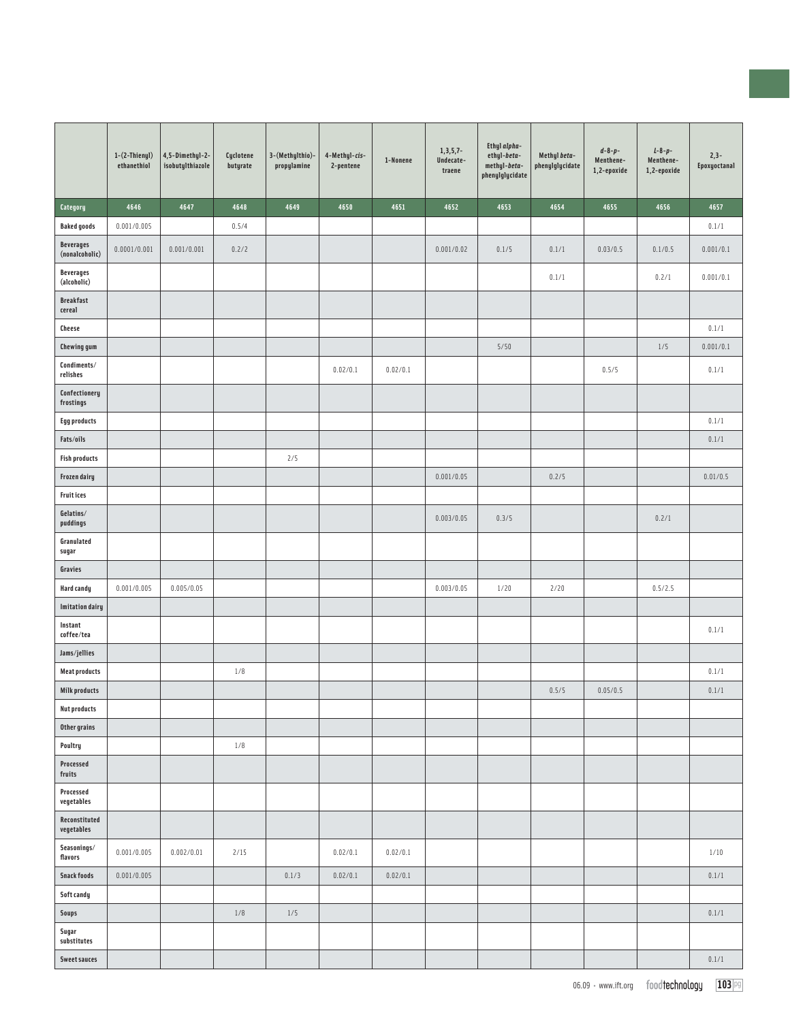|                                    | $1-(2-Thienyl)$<br>ethanethiol | 4,5-Dimethyl-2-<br>isobutylthiazole | Cyclotene<br>butyrate | 3-(Methylthio)-<br>propylamine | 4-Methyl-cis-<br>2-pentene | 1-Nonene | $1, 3, 5, 7-$<br>Undecate-<br>traene | Ethyl alpha-<br>ethyl-beta-<br>methyl-beta-<br>phenylglycidate | Methyl beta-<br>phenylglycidate | $d - 8 - p -$<br>Menthene-<br>1,2-epoxide | $L - 8 - p -$<br>Menthene-<br>1,2-epoxide | $2,3-$<br>Epoxyoctanal |
|------------------------------------|--------------------------------|-------------------------------------|-----------------------|--------------------------------|----------------------------|----------|--------------------------------------|----------------------------------------------------------------|---------------------------------|-------------------------------------------|-------------------------------------------|------------------------|
| Category                           | 4646                           | 4647                                | 4648                  | 4649                           | 4650                       | 4651     | 4652                                 | 4653                                                           | 4654                            | 4655                                      | 4656                                      | 4657                   |
| <b>Baked goods</b>                 | 0.001/0.005                    |                                     | 0.5/4                 |                                |                            |          |                                      |                                                                |                                 |                                           |                                           | 0.1/1                  |
| <b>Beverages</b><br>(nonalcoholic) | 0.0001/0.001                   | 0.001/0.001                         | 0.2/2                 |                                |                            |          | 0.001/0.02                           | 0.1/5                                                          | 0.1/1                           | 0.03/0.5                                  | 0.1/0.5                                   | 0.001/0.1              |
| <b>Beverages</b><br>(alcoholic)    |                                |                                     |                       |                                |                            |          |                                      |                                                                | 0.1/1                           |                                           | 0.2/1                                     | 0.001/0.1              |
| <b>Breakfast</b><br>cereal         |                                |                                     |                       |                                |                            |          |                                      |                                                                |                                 |                                           |                                           |                        |
| Cheese                             |                                |                                     |                       |                                |                            |          |                                      |                                                                |                                 |                                           |                                           | 0.1/1                  |
| <b>Chewing gum</b>                 |                                |                                     |                       |                                |                            |          |                                      | 5/50                                                           |                                 |                                           | 1/5                                       | 0.001/0.1              |
| Condiments/<br>relishes            |                                |                                     |                       |                                | 0.02/0.1                   | 0.02/0.1 |                                      |                                                                |                                 | 0.5/5                                     |                                           | 0.1/1                  |
| Confectionery<br>frostings         |                                |                                     |                       |                                |                            |          |                                      |                                                                |                                 |                                           |                                           |                        |
| <b>Egg products</b>                |                                |                                     |                       |                                |                            |          |                                      |                                                                |                                 |                                           |                                           | 0.1/1                  |
| Fats/oils                          |                                |                                     |                       |                                |                            |          |                                      |                                                                |                                 |                                           |                                           | 0.1/1                  |
| <b>Fish products</b>               |                                |                                     |                       | 2/5                            |                            |          |                                      |                                                                |                                 |                                           |                                           |                        |
| Frozen dairy                       |                                |                                     |                       |                                |                            |          | 0.001/0.05                           |                                                                | 0.2/5                           |                                           |                                           | 0.01/0.5               |
| <b>Fruit ices</b>                  |                                |                                     |                       |                                |                            |          |                                      |                                                                |                                 |                                           |                                           |                        |
| Gelatins/<br>puddings              |                                |                                     |                       |                                |                            |          | 0.003/0.05                           | 0.3/5                                                          |                                 |                                           | 0.2/1                                     |                        |
| Granulated<br>sugar                |                                |                                     |                       |                                |                            |          |                                      |                                                                |                                 |                                           |                                           |                        |
| Gravies                            |                                |                                     |                       |                                |                            |          |                                      |                                                                |                                 |                                           |                                           |                        |
| <b>Hard candy</b>                  | 0.001/0.005                    | 0.005/0.05                          |                       |                                |                            |          | 0.003/0.05                           | 1/20                                                           | 2/20                            |                                           | 0.5/2.5                                   |                        |
| <b>Imitation dairy</b>             |                                |                                     |                       |                                |                            |          |                                      |                                                                |                                 |                                           |                                           |                        |
| Instant<br>coffee/tea              |                                |                                     |                       |                                |                            |          |                                      |                                                                |                                 |                                           |                                           | 0.1/1                  |
| Jams/jellies                       |                                |                                     |                       |                                |                            |          |                                      |                                                                |                                 |                                           |                                           |                        |
| <b>Meat products</b>               |                                |                                     | 1/8                   |                                |                            |          |                                      |                                                                |                                 |                                           |                                           | 0.1/1                  |
| <b>Milk products</b>               |                                |                                     |                       |                                |                            |          |                                      |                                                                | 0.5/5                           | 0.05/0.5                                  |                                           | 0.1/1                  |
| <b>Nut products</b>                |                                |                                     |                       |                                |                            |          |                                      |                                                                |                                 |                                           |                                           |                        |
| Other grains                       |                                |                                     |                       |                                |                            |          |                                      |                                                                |                                 |                                           |                                           |                        |
| Poultry                            |                                |                                     | 1/8                   |                                |                            |          |                                      |                                                                |                                 |                                           |                                           |                        |
| Processed<br>fruits                |                                |                                     |                       |                                |                            |          |                                      |                                                                |                                 |                                           |                                           |                        |
| Processed<br>vegetables            |                                |                                     |                       |                                |                            |          |                                      |                                                                |                                 |                                           |                                           |                        |
| Reconstituted<br>vegetables        |                                |                                     |                       |                                |                            |          |                                      |                                                                |                                 |                                           |                                           |                        |
| Seasonings/<br>flavors             | 0.001/0.005                    | 0.002/0.01                          | 2/15                  |                                | 0.02/0.1                   | 0.02/0.1 |                                      |                                                                |                                 |                                           |                                           | 1/10                   |
| <b>Snack foods</b>                 | 0.001/0.005                    |                                     |                       | 0.1/3                          | 0.02/0.1                   | 0.02/0.1 |                                      |                                                                |                                 |                                           |                                           | 0.1/1                  |
| <b>Soft candy</b>                  |                                |                                     |                       |                                |                            |          |                                      |                                                                |                                 |                                           |                                           |                        |
| <b>Soups</b>                       |                                |                                     | 1/8                   | 1/5                            |                            |          |                                      |                                                                |                                 |                                           |                                           | 0.1/1                  |
| Sugar<br>substitutes               |                                |                                     |                       |                                |                            |          |                                      |                                                                |                                 |                                           |                                           |                        |
| <b>Sweet sauces</b>                |                                |                                     |                       |                                |                            |          |                                      |                                                                |                                 |                                           |                                           | 0.1/1                  |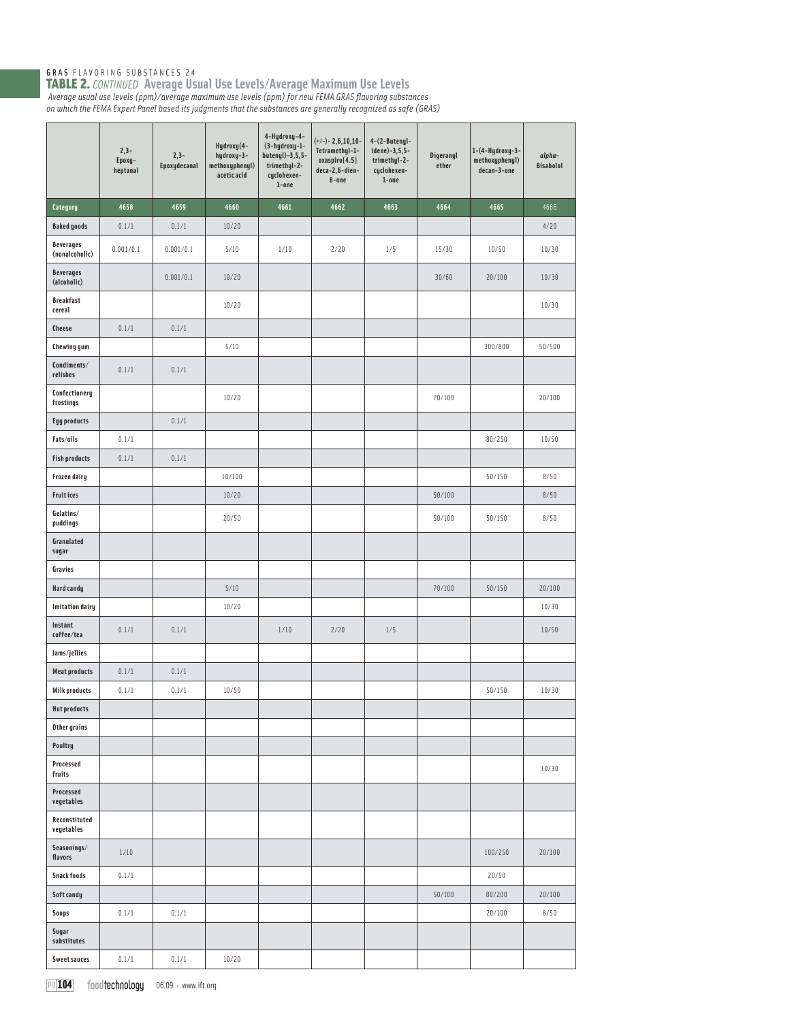|                                    | $2,3-$<br>Epoxy-<br>heptanal | $2,3-$<br>Epoxydecanal | Hydroxy(4-<br>hydroxy-3-<br>methoxyphenyl)<br>acetic acid | 4-Hydroxy-4-<br>(3-hydroxy-1-<br>butenyl)-3,5,5-<br>trimethyl-2-<br>cyclohexen-<br>$1$ -one | $(+/-) - 2,6,10,10-$<br>Tetramethyl-1-<br>oxaspiro[4.5]<br>deca-2,6-dien-<br>8-one | $4-(2-Butenyl-$<br>idene)-3,5,5-<br>trimethyl-2-<br>cyclohexen-<br>$1$ -one | Digeranyl<br>ether | 1-(4-Hydroxy-3-<br>methoxyphenyl)<br>decan-3-one | alpha-<br><b>Bisabolol</b> |
|------------------------------------|------------------------------|------------------------|-----------------------------------------------------------|---------------------------------------------------------------------------------------------|------------------------------------------------------------------------------------|-----------------------------------------------------------------------------|--------------------|--------------------------------------------------|----------------------------|
| Category                           | 4658                         | 4659                   | 4660                                                      | 4661                                                                                        | 4662                                                                               | 4663                                                                        | 4664               | 4665                                             | 4666                       |
| <b>Baked goods</b>                 | 0.1/1                        | 0.1/1                  | 10/20                                                     |                                                                                             |                                                                                    |                                                                             |                    |                                                  | 4/20                       |
| <b>Beverages</b><br>(nonalcoholic) | 0.001/0.1                    | 0.001/0.1              | 5/10                                                      | 1/10                                                                                        | 2/20                                                                               | 1/5                                                                         | 15/30              | 10/50                                            | 10/30                      |
| <b>Beverages</b><br>(alcoholic)    |                              | 0.001/0.1              | 10/20                                                     |                                                                                             |                                                                                    |                                                                             | 30/60              | 20/100                                           | 10/30                      |
| <b>Breakfast</b><br>cereal         |                              |                        | 10/20                                                     |                                                                                             |                                                                                    |                                                                             |                    |                                                  | 10/30                      |
| Cheese                             | 0.1/1                        | 0.1/1                  |                                                           |                                                                                             |                                                                                    |                                                                             |                    |                                                  |                            |
| Chewing gum                        |                              |                        | 5/10                                                      |                                                                                             |                                                                                    |                                                                             |                    | 300/800                                          | 50/500                     |
| Condiments/<br>relishes            | 0.1/1                        | 0.1/1                  |                                                           |                                                                                             |                                                                                    |                                                                             |                    |                                                  |                            |
| Confectionery<br>frostings         |                              |                        | 10/20                                                     |                                                                                             |                                                                                    |                                                                             | 70/100             |                                                  | 20/100                     |
| <b>Egg products</b>                |                              | 0.1/1                  |                                                           |                                                                                             |                                                                                    |                                                                             |                    |                                                  |                            |
| Fats/oils                          | 0.1/1                        |                        |                                                           |                                                                                             |                                                                                    |                                                                             |                    | 80/250                                           | 10/50                      |
| <b>Fish products</b>               | 0.1/1                        | 0.1/1                  |                                                           |                                                                                             |                                                                                    |                                                                             |                    |                                                  |                            |
| Frozen dairy                       |                              |                        | 10/100                                                    |                                                                                             |                                                                                    |                                                                             |                    | 50/150                                           | 8/50                       |
| <b>Fruitices</b>                   |                              |                        | 10/20                                                     |                                                                                             |                                                                                    |                                                                             | 50/100             |                                                  | 8/50                       |
| Gelatins/<br>puddings              |                              |                        | 20/50                                                     |                                                                                             |                                                                                    |                                                                             | 50/100             | 50/150                                           | 8/50                       |
| Granulated<br>sugar                |                              |                        |                                                           |                                                                                             |                                                                                    |                                                                             |                    |                                                  |                            |
| Gravies                            |                              |                        |                                                           |                                                                                             |                                                                                    |                                                                             |                    |                                                  |                            |
| Hard candy                         |                              |                        | 5/10                                                      |                                                                                             |                                                                                    |                                                                             | 70/100             | 50/150                                           | 20/100                     |
| <b>Imitation dairy</b>             |                              |                        | 10/20                                                     |                                                                                             |                                                                                    |                                                                             |                    |                                                  | 10/30                      |
| Instant<br>coffee/tea              | 0.1/1                        | 0.1/1                  |                                                           | 1/10                                                                                        | 2/20                                                                               | 1/5                                                                         |                    |                                                  | 10/50                      |
| Jams/jellies                       |                              |                        |                                                           |                                                                                             |                                                                                    |                                                                             |                    |                                                  |                            |
| <b>Meat products</b>               | 0.1/1                        | 0.1/1                  |                                                           |                                                                                             |                                                                                    |                                                                             |                    |                                                  |                            |
| <b>Milk products</b>               | 0.1/1                        | 0.1/1                  | 10/50                                                     |                                                                                             |                                                                                    |                                                                             |                    | 50/150                                           | 10/30                      |
| <b>Nut products</b>                |                              |                        |                                                           |                                                                                             |                                                                                    |                                                                             |                    |                                                  |                            |
| Other grains                       |                              |                        |                                                           |                                                                                             |                                                                                    |                                                                             |                    |                                                  |                            |
| Poultry                            |                              |                        |                                                           |                                                                                             |                                                                                    |                                                                             |                    |                                                  |                            |
| Processed<br>fruits                |                              |                        |                                                           |                                                                                             |                                                                                    |                                                                             |                    |                                                  | 10/30                      |
| Processed<br>vegetables            |                              |                        |                                                           |                                                                                             |                                                                                    |                                                                             |                    |                                                  |                            |
| Reconstituted<br>vegetables        |                              |                        |                                                           |                                                                                             |                                                                                    |                                                                             |                    |                                                  |                            |
| Seasonings/<br>flavors             | 1/10                         |                        |                                                           |                                                                                             |                                                                                    |                                                                             |                    | 100/250                                          | 20/100                     |
| <b>Snack foods</b>                 | 0.1/1                        |                        |                                                           |                                                                                             |                                                                                    |                                                                             |                    | 20/50                                            |                            |
| Soft candy                         |                              |                        |                                                           |                                                                                             |                                                                                    |                                                                             | 50/100             | 80/200                                           | 20/100                     |
| <b>Soups</b>                       | 0.1/1                        | 0.1/1                  |                                                           |                                                                                             |                                                                                    |                                                                             |                    | 20/100                                           | 8/50                       |
| Sugar<br>substitutes               |                              |                        |                                                           |                                                                                             |                                                                                    |                                                                             |                    |                                                  |                            |
| <b>Sweet sauces</b>                | 0.1/1                        | 0.1/1                  | 10/20                                                     |                                                                                             |                                                                                    |                                                                             |                    |                                                  |                            |